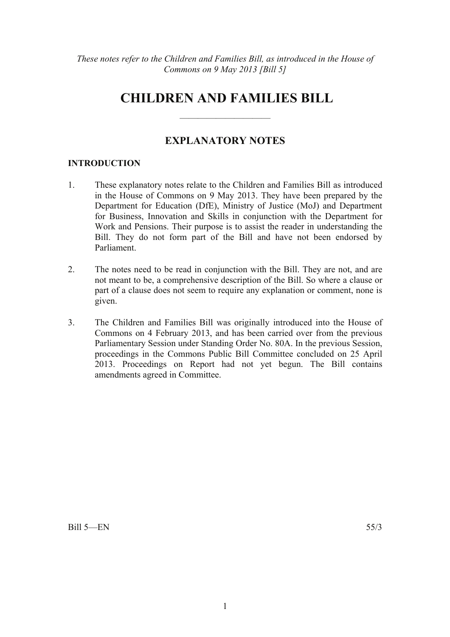# **CHILDREN AND FAMILIES BILL**

# **EXPLANATORY NOTES**

——————————

## **INTRODUCTION**

- 1. These explanatory notes relate to the Children and Families Bill as introduced in the House of Commons on 9 May 2013. They have been prepared by the Department for Education (DfE), Ministry of Justice (MoJ) and Department for Business, Innovation and Skills in conjunction with the Department for Work and Pensions. Their purpose is to assist the reader in understanding the Bill. They do not form part of the Bill and have not been endorsed by Parliament.
- 2. The notes need to be read in conjunction with the Bill. They are not, and are not meant to be, a comprehensive description of the Bill. So where a clause or part of a clause does not seem to require any explanation or comment, none is given.
- 3. The Children and Families Bill was originally introduced into the House of Commons on 4 February 2013, and has been carried over from the previous Parliamentary Session under Standing Order No. 80A. In the previous Session, proceedings in the Commons Public Bill Committee concluded on 25 April 2013. Proceedings on Report had not yet begun. The Bill contains amendments agreed in Committee.

 $Bill 5—FN$  55/3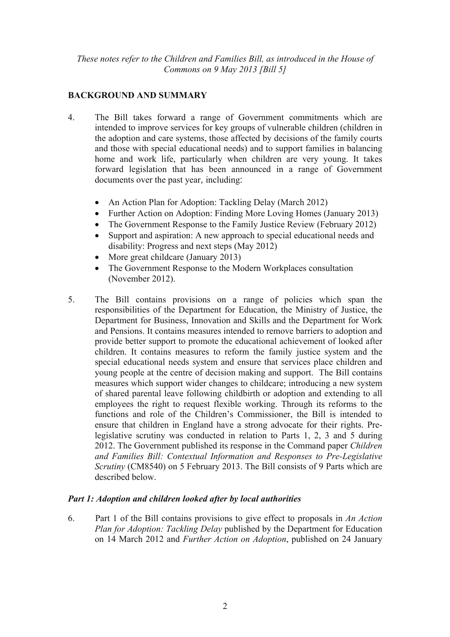# **BACKGROUND AND SUMMARY**

- 4. The Bill takes forward a range of Government commitments which are intended to improve services for key groups of vulnerable children (children in the adoption and care systems, those affected by decisions of the family courts and those with special educational needs) and to support families in balancing home and work life, particularly when children are very young. It takes forward legislation that has been announced in a range of Government documents over the past year, including:
	- An Action Plan for Adoption: Tackling Delay (March 2012)
	- Further Action on Adoption: Finding More Loving Homes (January 2013)
	- The Government Response to the Family Justice Review (February 2012)
	- Support and aspiration: A new approach to special educational needs and disability: Progress and next steps (May 2012)
	- More great childcare (January 2013)
	- The Government Response to the Modern Workplaces consultation (November 2012).
- 5. The Bill contains provisions on a range of policies which span the responsibilities of the Department for Education, the Ministry of Justice, the Department for Business, Innovation and Skills and the Department for Work and Pensions. It contains measures intended to remove barriers to adoption and provide better support to promote the educational achievement of looked after children. It contains measures to reform the family justice system and the special educational needs system and ensure that services place children and young people at the centre of decision making and support. The Bill contains measures which support wider changes to childcare; introducing a new system of shared parental leave following childbirth or adoption and extending to all employees the right to request flexible working. Through its reforms to the functions and role of the Children's Commissioner, the Bill is intended to ensure that children in England have a strong advocate for their rights. Prelegislative scrutiny was conducted in relation to Parts 1, 2, 3 and 5 during 2012. The Government published its response in the Command paper *Children and Families Bill: Contextual Information and Responses to Pre-Legislative Scrutiny* (CM8540) on 5 February 2013. The Bill consists of 9 Parts which are described below.

# *Part 1: Adoption and children looked after by local authorities*

6. Part 1 of the Bill contains provisions to give effect to proposals in *An Action Plan for Adoption: Tackling Delay* published by the Department for Education on 14 March 2012 and *Further Action on Adoption*, published on 24 January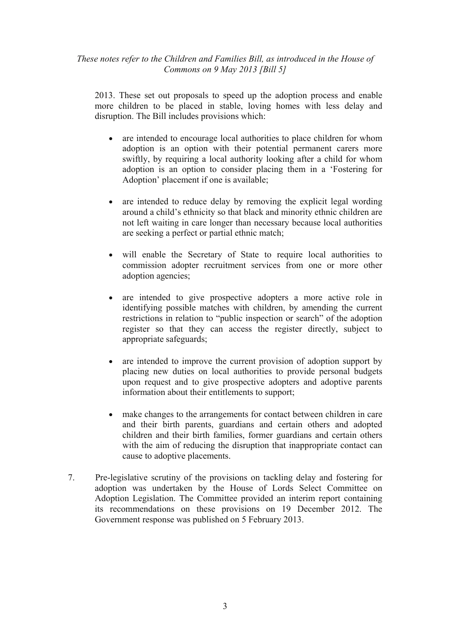2013. These set out proposals to speed up the adoption process and enable more children to be placed in stable, loving homes with less delay and disruption. The Bill includes provisions which:

- are intended to encourage local authorities to place children for whom adoption is an option with their potential permanent carers more swiftly, by requiring a local authority looking after a child for whom adoption is an option to consider placing them in a 'Fostering for Adoption' placement if one is available;
- are intended to reduce delay by removing the explicit legal wording around a child's ethnicity so that black and minority ethnic children are not left waiting in care longer than necessary because local authorities are seeking a perfect or partial ethnic match;
- will enable the Secretary of State to require local authorities to commission adopter recruitment services from one or more other adoption agencies;
- are intended to give prospective adopters a more active role in identifying possible matches with children, by amending the current restrictions in relation to "public inspection or search" of the adoption register so that they can access the register directly, subject to appropriate safeguards;
- are intended to improve the current provision of adoption support by placing new duties on local authorities to provide personal budgets upon request and to give prospective adopters and adoptive parents information about their entitlements to support;
- make changes to the arrangements for contact between children in care and their birth parents, guardians and certain others and adopted children and their birth families, former guardians and certain others with the aim of reducing the disruption that inappropriate contact can cause to adoptive placements.
- 7. Pre-legislative scrutiny of the provisions on tackling delay and fostering for adoption was undertaken by the House of Lords Select Committee on Adoption Legislation. The Committee provided an interim report containing its recommendations on these provisions on 19 December 2012. The Government response was published on 5 February 2013.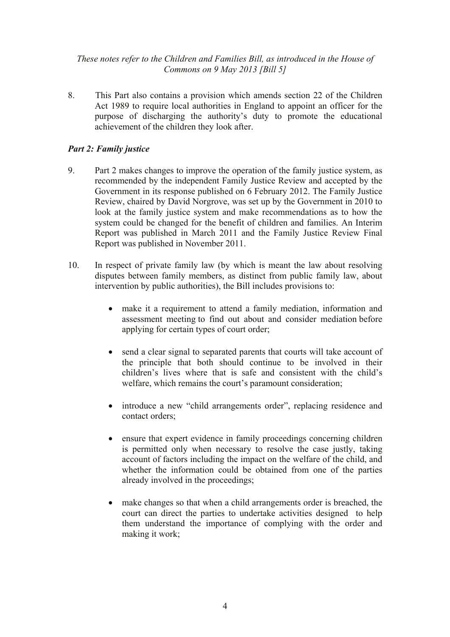8. This Part also contains a provision which amends section 22 of the Children Act 1989 to require local authorities in England to appoint an officer for the purpose of discharging the authority's duty to promote the educational achievement of the children they look after.

# *Part 2: Family justice*

- 9. Part 2 makes changes to improve the operation of the family justice system, as recommended by the independent Family Justice Review and accepted by the Government in its response published on 6 February 2012. The Family Justice Review, chaired by David Norgrove, was set up by the Government in 2010 to look at the family justice system and make recommendations as to how the system could be changed for the benefit of children and families. An Interim Report was published in March 2011 and the Family Justice Review Final Report was published in November 2011.
- 10. In respect of private family law (by which is meant the law about resolving disputes between family members, as distinct from public family law, about intervention by public authorities), the Bill includes provisions to:
	- make it a requirement to attend a family mediation, information and assessment meeting to find out about and consider mediation before applying for certain types of court order;
	- send a clear signal to separated parents that courts will take account of the principle that both should continue to be involved in their children's lives where that is safe and consistent with the child's welfare, which remains the court's paramount consideration;
	- introduce a new "child arrangements order", replacing residence and contact orders;
	- ensure that expert evidence in family proceedings concerning children is permitted only when necessary to resolve the case justly, taking account of factors including the impact on the welfare of the child, and whether the information could be obtained from one of the parties already involved in the proceedings;
	- make changes so that when a child arrangements order is breached, the court can direct the parties to undertake activities designed to help them understand the importance of complying with the order and making it work;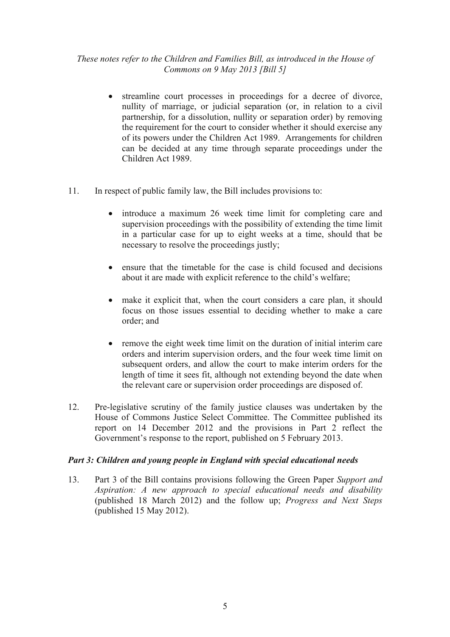- streamline court processes in proceedings for a decree of divorce, nullity of marriage, or judicial separation (or, in relation to a civil partnership, for a dissolution, nullity or separation order) by removing the requirement for the court to consider whether it should exercise any of its powers under the Children Act 1989. Arrangements for children can be decided at any time through separate proceedings under the Children Act 1989.
- 11. In respect of public family law, the Bill includes provisions to:
	- introduce a maximum 26 week time limit for completing care and supervision proceedings with the possibility of extending the time limit in a particular case for up to eight weeks at a time, should that be necessary to resolve the proceedings justly;
	- ensure that the timetable for the case is child focused and decisions about it are made with explicit reference to the child's welfare;
	- make it explicit that, when the court considers a care plan, it should focus on those issues essential to deciding whether to make a care order; and
	- remove the eight week time limit on the duration of initial interim care orders and interim supervision orders, and the four week time limit on subsequent orders, and allow the court to make interim orders for the length of time it sees fit, although not extending beyond the date when the relevant care or supervision order proceedings are disposed of.
- 12. Pre-legislative scrutiny of the family justice clauses was undertaken by the House of Commons Justice Select Committee. The Committee published its report on 14 December 2012 and the provisions in Part 2 reflect the Government's response to the report, published on 5 February 2013.

#### *Part 3: Children and young people in England with special educational needs*

13. Part 3 of the Bill contains provisions following the Green Paper *Support and Aspiration: A new approach to special educational needs and disability* (published 18 March 2012) and the follow up; *Progress and Next Steps* (published 15 May 2012).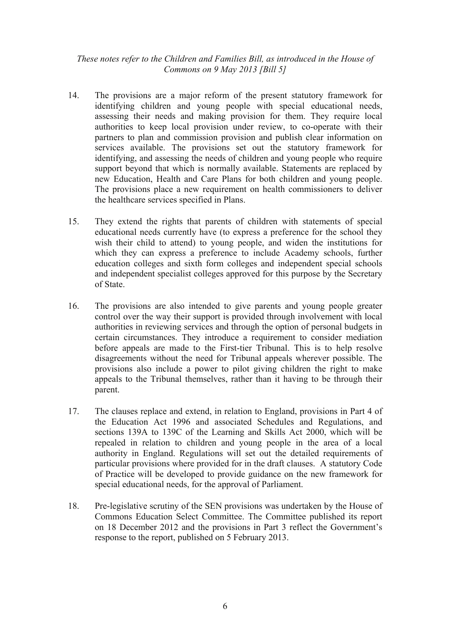- 14. The provisions are a major reform of the present statutory framework for identifying children and young people with special educational needs, assessing their needs and making provision for them. They require local authorities to keep local provision under review, to co-operate with their partners to plan and commission provision and publish clear information on services available. The provisions set out the statutory framework for identifying, and assessing the needs of children and young people who require support beyond that which is normally available. Statements are replaced by new Education, Health and Care Plans for both children and young people. The provisions place a new requirement on health commissioners to deliver the healthcare services specified in Plans.
- 15. They extend the rights that parents of children with statements of special educational needs currently have (to express a preference for the school they wish their child to attend) to young people, and widen the institutions for which they can express a preference to include Academy schools, further education colleges and sixth form colleges and independent special schools and independent specialist colleges approved for this purpose by the Secretary of State.
- 16. The provisions are also intended to give parents and young people greater control over the way their support is provided through involvement with local authorities in reviewing services and through the option of personal budgets in certain circumstances. They introduce a requirement to consider mediation before appeals are made to the First-tier Tribunal. This is to help resolve disagreements without the need for Tribunal appeals wherever possible. The provisions also include a power to pilot giving children the right to make appeals to the Tribunal themselves, rather than it having to be through their parent.
- 17. The clauses replace and extend, in relation to England, provisions in Part 4 of the Education Act 1996 and associated Schedules and Regulations, and sections 139A to 139C of the Learning and Skills Act 2000, which will be repealed in relation to children and young people in the area of a local authority in England. Regulations will set out the detailed requirements of particular provisions where provided for in the draft clauses. A statutory Code of Practice will be developed to provide guidance on the new framework for special educational needs, for the approval of Parliament.
- 18. Pre-legislative scrutiny of the SEN provisions was undertaken by the House of Commons Education Select Committee. The Committee published its report on 18 December 2012 and the provisions in Part 3 reflect the Government's response to the report, published on 5 February 2013.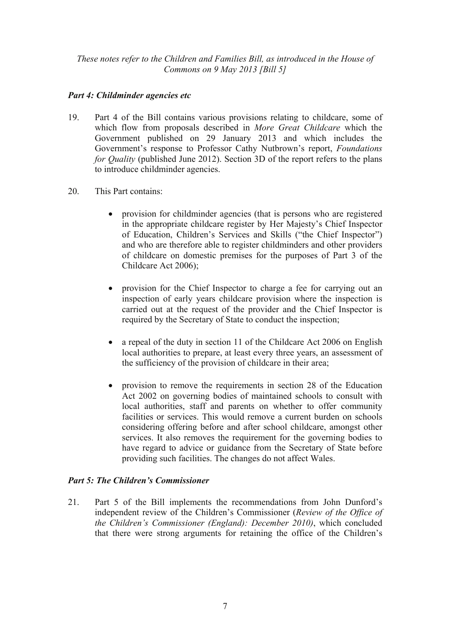# *Part 4: Childminder agencies etc*

- 19. Part 4 of the Bill contains various provisions relating to childcare, some of which flow from proposals described in *More Great Childcare* which the Government published on 29 January 2013 and which includes the Government's response to Professor Cathy Nutbrown's report, *Foundations for Quality* (published June 2012). Section 3D of the report refers to the plans to introduce childminder agencies.
- 20. This Part contains:
	- provision for childminder agencies (that is persons who are registered in the appropriate childcare register by Her Majesty's Chief Inspector of Education, Children's Services and Skills ("the Chief Inspector") and who are therefore able to register childminders and other providers of childcare on domestic premises for the purposes of Part 3 of the Childcare Act 2006);
	- provision for the Chief Inspector to charge a fee for carrying out an inspection of early years childcare provision where the inspection is carried out at the request of the provider and the Chief Inspector is required by the Secretary of State to conduct the inspection;
	- a repeal of the duty in section 11 of the Childcare Act 2006 on English local authorities to prepare, at least every three years, an assessment of the sufficiency of the provision of childcare in their area;
	- provision to remove the requirements in section 28 of the Education Act 2002 on governing bodies of maintained schools to consult with local authorities, staff and parents on whether to offer community facilities or services. This would remove a current burden on schools considering offering before and after school childcare, amongst other services. It also removes the requirement for the governing bodies to have regard to advice or guidance from the Secretary of State before providing such facilities. The changes do not affect Wales.

# *Part 5: The Children's Commissioner*

21. Part 5 of the Bill implements the recommendations from John Dunford's independent review of the Children's Commissioner (*Review of the Office of the Children's Commissioner (England): December 2010)*, which concluded that there were strong arguments for retaining the office of the Children's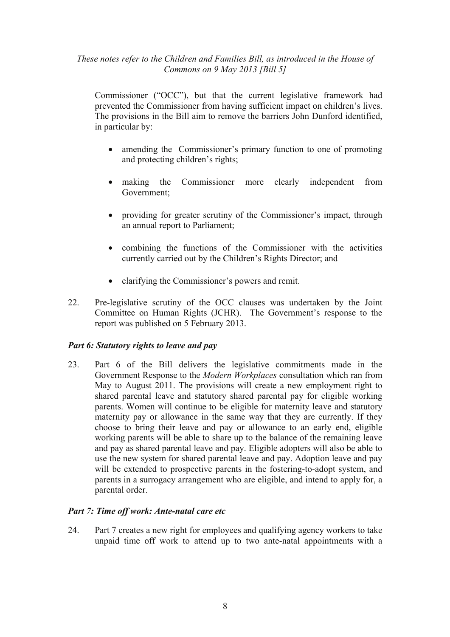Commissioner ("OCC"), but that the current legislative framework had prevented the Commissioner from having sufficient impact on children's lives. The provisions in the Bill aim to remove the barriers John Dunford identified, in particular by:

- amending the Commissioner's primary function to one of promoting and protecting children's rights;
- making the Commissioner more clearly independent from Government;
- providing for greater scrutiny of the Commissioner's impact, through an annual report to Parliament;
- combining the functions of the Commissioner with the activities currently carried out by the Children's Rights Director; and
- clarifying the Commissioner's powers and remit.
- 22. Pre-legislative scrutiny of the OCC clauses was undertaken by the Joint Committee on Human Rights (JCHR). The Government's response to the report was published on 5 February 2013.

# *Part 6: Statutory rights to leave and pay*

23. Part 6 of the Bill delivers the legislative commitments made in the Government Response to the *Modern Workplaces* consultation which ran from May to August 2011. The provisions will create a new employment right to shared parental leave and statutory shared parental pay for eligible working parents. Women will continue to be eligible for maternity leave and statutory maternity pay or allowance in the same way that they are currently. If they choose to bring their leave and pay or allowance to an early end, eligible working parents will be able to share up to the balance of the remaining leave and pay as shared parental leave and pay. Eligible adopters will also be able to use the new system for shared parental leave and pay. Adoption leave and pay will be extended to prospective parents in the fostering-to-adopt system, and parents in a surrogacy arrangement who are eligible, and intend to apply for, a parental order.

#### *Part 7: Time off work: Ante-natal care etc*

24. Part 7 creates a new right for employees and qualifying agency workers to take unpaid time off work to attend up to two ante-natal appointments with a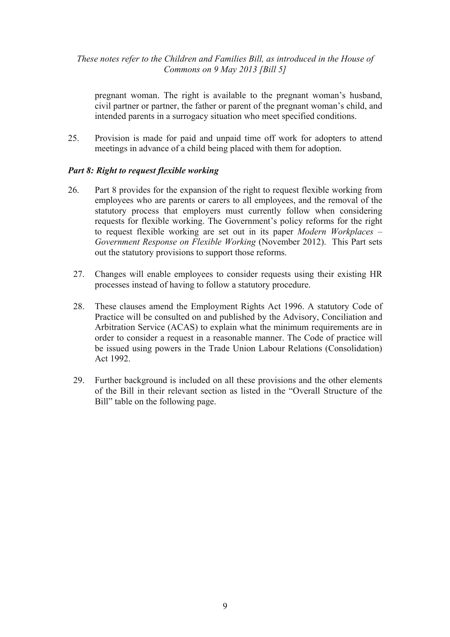pregnant woman. The right is available to the pregnant woman's husband, civil partner or partner, the father or parent of the pregnant woman's child, and intended parents in a surrogacy situation who meet specified conditions.

25. Provision is made for paid and unpaid time off work for adopters to attend meetings in advance of a child being placed with them for adoption.

## *Part 8: Right to request flexible working*

- 26. Part 8 provides for the expansion of the right to request flexible working from employees who are parents or carers to all employees, and the removal of the statutory process that employers must currently follow when considering requests for flexible working. The Government's policy reforms for the right to request flexible working are set out in its paper *Modern Workplaces – Government Response on Flexible Working* (November 2012). This Part sets out the statutory provisions to support those reforms.
	- 27. Changes will enable employees to consider requests using their existing HR processes instead of having to follow a statutory procedure.
	- 28. These clauses amend the Employment Rights Act 1996. A statutory Code of Practice will be consulted on and published by the Advisory, Conciliation and Arbitration Service (ACAS) to explain what the minimum requirements are in order to consider a request in a reasonable manner. The Code of practice will be issued using powers in the Trade Union Labour Relations (Consolidation) Act 1992.
	- 29. Further background is included on all these provisions and the other elements of the Bill in their relevant section as listed in the "Overall Structure of the Bill" table on the following page.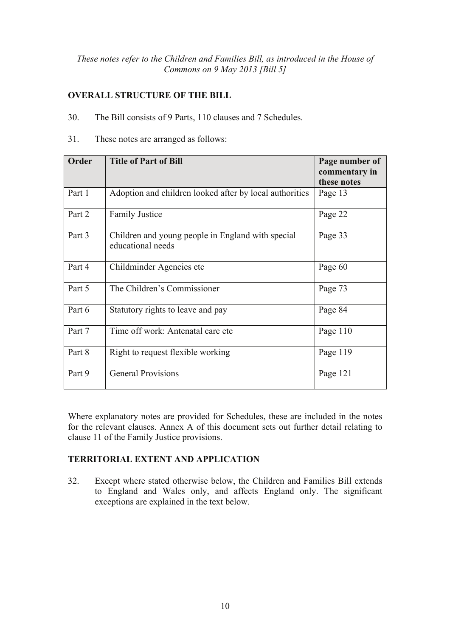# **OVERALL STRUCTURE OF THE BILL**

- 30. The Bill consists of 9 Parts, 110 clauses and 7 Schedules.
- 31. These notes are arranged as follows:

| Order  | <b>Title of Part of Bill</b>                                           | Page number of<br>commentary in<br>these notes |
|--------|------------------------------------------------------------------------|------------------------------------------------|
| Part 1 | Adoption and children looked after by local authorities                | Page 13                                        |
| Part 2 | <b>Family Justice</b>                                                  | Page 22                                        |
| Part 3 | Children and young people in England with special<br>educational needs | Page 33                                        |
| Part 4 | Childminder Agencies etc.                                              | Page 60                                        |
| Part 5 | The Children's Commissioner                                            | Page 73                                        |
| Part 6 | Statutory rights to leave and pay                                      | Page 84                                        |
| Part 7 | Time off work: Antenatal care etc                                      | Page 110                                       |
| Part 8 | Right to request flexible working                                      | Page 119                                       |
| Part 9 | <b>General Provisions</b>                                              | Page 121                                       |

Where explanatory notes are provided for Schedules, these are included in the notes for the relevant clauses. Annex A of this document sets out further detail relating to clause 11 of the Family Justice provisions.

# **TERRITORIAL EXTENT AND APPLICATION**

32. Except where stated otherwise below, the Children and Families Bill extends to England and Wales only, and affects England only. The significant exceptions are explained in the text below.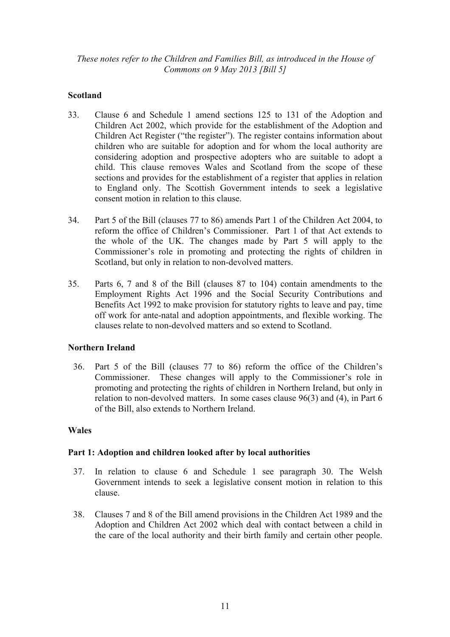# **Scotland**

- 33. Clause 6 and Schedule 1 amend sections 125 to 131 of the Adoption and Children Act 2002, which provide for the establishment of the Adoption and Children Act Register ("the register"). The register contains information about children who are suitable for adoption and for whom the local authority are considering adoption and prospective adopters who are suitable to adopt a child. This clause removes Wales and Scotland from the scope of these sections and provides for the establishment of a register that applies in relation to England only. The Scottish Government intends to seek a legislative consent motion in relation to this clause.
- 34. Part 5 of the Bill (clauses 77 to 86) amends Part 1 of the Children Act 2004, to reform the office of Children's Commissioner. Part 1 of that Act extends to the whole of the UK. The changes made by Part 5 will apply to the Commissioner's role in promoting and protecting the rights of children in Scotland, but only in relation to non-devolved matters.
- 35. Parts 6, 7 and 8 of the Bill (clauses 87 to 104) contain amendments to the Employment Rights Act 1996 and the Social Security Contributions and Benefits Act 1992 to make provision for statutory rights to leave and pay, time off work for ante-natal and adoption appointments, and flexible working. The clauses relate to non-devolved matters and so extend to Scotland.

# **Northern Ireland**

36. Part 5 of the Bill (clauses 77 to 86) reform the office of the Children's Commissioner. These changes will apply to the Commissioner's role in promoting and protecting the rights of children in Northern Ireland, but only in relation to non-devolved matters. In some cases clause 96(3) and (4), in Part 6 of the Bill, also extends to Northern Ireland.

# **Wales**

# **Part 1: Adoption and children looked after by local authorities**

- 37. In relation to clause 6 and Schedule 1 see paragraph 30. The Welsh Government intends to seek a legislative consent motion in relation to this clause.
- 38. Clauses 7 and 8 of the Bill amend provisions in the Children Act 1989 and the Adoption and Children Act 2002 which deal with contact between a child in the care of the local authority and their birth family and certain other people.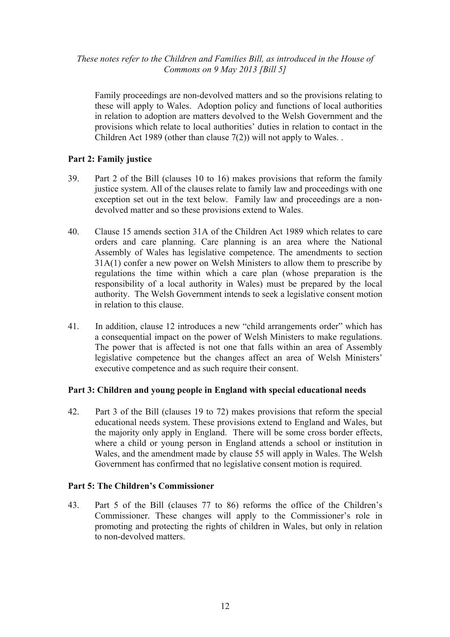Family proceedings are non-devolved matters and so the provisions relating to these will apply to Wales. Adoption policy and functions of local authorities in relation to adoption are matters devolved to the Welsh Government and the provisions which relate to local authorities' duties in relation to contact in the Children Act 1989 (other than clause  $7(2)$ ) will not apply to Wales.

# **Part 2: Family justice**

- 39. Part 2 of the Bill (clauses 10 to 16) makes provisions that reform the family justice system. All of the clauses relate to family law and proceedings with one exception set out in the text below. Family law and proceedings are a nondevolved matter and so these provisions extend to Wales.
- 40. Clause 15 amends section 31A of the Children Act 1989 which relates to care orders and care planning. Care planning is an area where the National Assembly of Wales has legislative competence. The amendments to section 31A(1) confer a new power on Welsh Ministers to allow them to prescribe by regulations the time within which a care plan (whose preparation is the responsibility of a local authority in Wales) must be prepared by the local authority. The Welsh Government intends to seek a legislative consent motion in relation to this clause.
- 41. In addition, clause 12 introduces a new "child arrangements order" which has a consequential impact on the power of Welsh Ministers to make regulations. The power that is affected is not one that falls within an area of Assembly legislative competence but the changes affect an area of Welsh Ministers' executive competence and as such require their consent.

# **Part 3: Children and young people in England with special educational needs**

42. Part 3 of the Bill (clauses 19 to 72) makes provisions that reform the special educational needs system. These provisions extend to England and Wales, but the majority only apply in England. There will be some cross border effects, where a child or young person in England attends a school or institution in Wales, and the amendment made by clause 55 will apply in Wales. The Welsh Government has confirmed that no legislative consent motion is required.

# **Part 5: The Children's Commissioner**

43. Part 5 of the Bill (clauses 77 to 86) reforms the office of the Children's Commissioner. These changes will apply to the Commissioner's role in promoting and protecting the rights of children in Wales, but only in relation to non-devolved matters.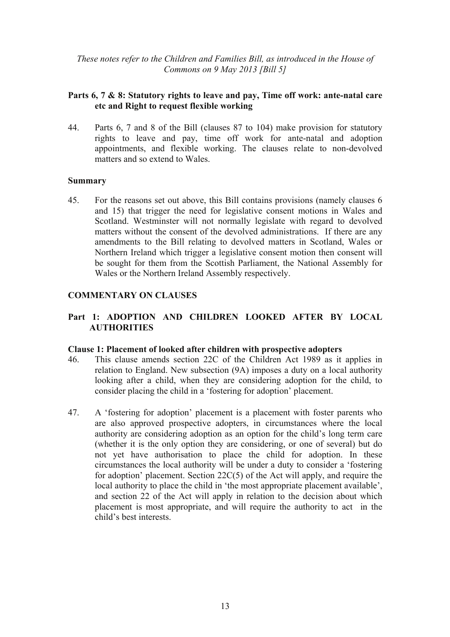## **Parts 6, 7 & 8: Statutory rights to leave and pay, Time off work: ante-natal care etc and Right to request flexible working**

44. Parts 6, 7 and 8 of the Bill (clauses 87 to 104) make provision for statutory rights to leave and pay, time off work for ante-natal and adoption appointments, and flexible working. The clauses relate to non-devolved matters and so extend to Wales.

#### **Summary**

45. For the reasons set out above, this Bill contains provisions (namely clauses 6 and 15) that trigger the need for legislative consent motions in Wales and Scotland. Westminster will not normally legislate with regard to devolved matters without the consent of the devolved administrations. If there are any amendments to the Bill relating to devolved matters in Scotland, Wales or Northern Ireland which trigger a legislative consent motion then consent will be sought for them from the Scottish Parliament, the National Assembly for Wales or the Northern Ireland Assembly respectively.

## **COMMENTARY ON CLAUSES**

# **Part 1: ADOPTION AND CHILDREN LOOKED AFTER BY LOCAL AUTHORITIES**

#### **Clause 1: Placement of looked after children with prospective adopters**

- 46. This clause amends section 22C of the Children Act 1989 as it applies in relation to England. New subsection (9A) imposes a duty on a local authority looking after a child, when they are considering adoption for the child, to consider placing the child in a 'fostering for adoption' placement.
- 47. A 'fostering for adoption' placement is a placement with foster parents who are also approved prospective adopters, in circumstances where the local authority are considering adoption as an option for the child's long term care (whether it is the only option they are considering, or one of several) but do not yet have authorisation to place the child for adoption. In these circumstances the local authority will be under a duty to consider a 'fostering for adoption' placement. Section 22C(5) of the Act will apply, and require the local authority to place the child in 'the most appropriate placement available', and section 22 of the Act will apply in relation to the decision about which placement is most appropriate, and will require the authority to act in the child's best interests.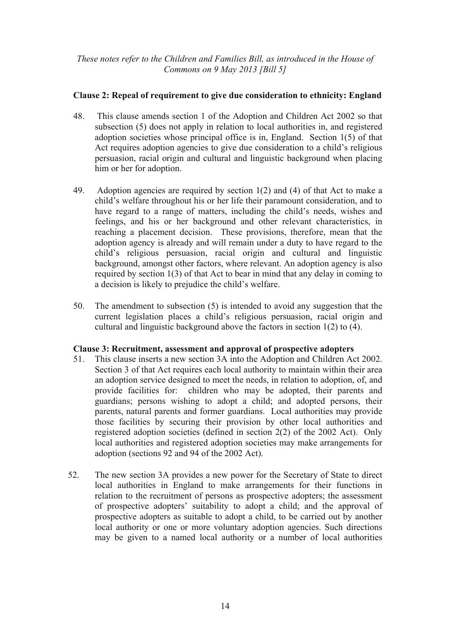# **Clause 2: Repeal of requirement to give due consideration to ethnicity: England**

- 48. This clause amends section 1 of the Adoption and Children Act 2002 so that subsection (5) does not apply in relation to local authorities in, and registered adoption societies whose principal office is in, England. Section 1(5) of that Act requires adoption agencies to give due consideration to a child's religious persuasion, racial origin and cultural and linguistic background when placing him or her for adoption.
- 49. Adoption agencies are required by section 1(2) and (4) of that Act to make a child's welfare throughout his or her life their paramount consideration, and to have regard to a range of matters, including the child's needs, wishes and feelings, and his or her background and other relevant characteristics, in reaching a placement decision. These provisions, therefore, mean that the adoption agency is already and will remain under a duty to have regard to the child's religious persuasion, racial origin and cultural and linguistic background, amongst other factors, where relevant. An adoption agency is also required by section 1(3) of that Act to bear in mind that any delay in coming to a decision is likely to prejudice the child's welfare.
- 50. The amendment to subsection (5) is intended to avoid any suggestion that the current legislation places a child's religious persuasion, racial origin and cultural and linguistic background above the factors in section 1(2) to (4).

# **Clause 3: Recruitment, assessment and approval of prospective adopters**

- 51. This clause inserts a new section 3A into the Adoption and Children Act 2002. Section 3 of that Act requires each local authority to maintain within their area an adoption service designed to meet the needs, in relation to adoption, of, and provide facilities for: children who may be adopted, their parents and guardians; persons wishing to adopt a child; and adopted persons, their parents, natural parents and former guardians. Local authorities may provide those facilities by securing their provision by other local authorities and registered adoption societies (defined in section 2(2) of the 2002 Act). Only local authorities and registered adoption societies may make arrangements for adoption (sections 92 and 94 of the 2002 Act).
- 52. The new section 3A provides a new power for the Secretary of State to direct local authorities in England to make arrangements for their functions in relation to the recruitment of persons as prospective adopters; the assessment of prospective adopters' suitability to adopt a child; and the approval of prospective adopters as suitable to adopt a child, to be carried out by another local authority or one or more voluntary adoption agencies. Such directions may be given to a named local authority or a number of local authorities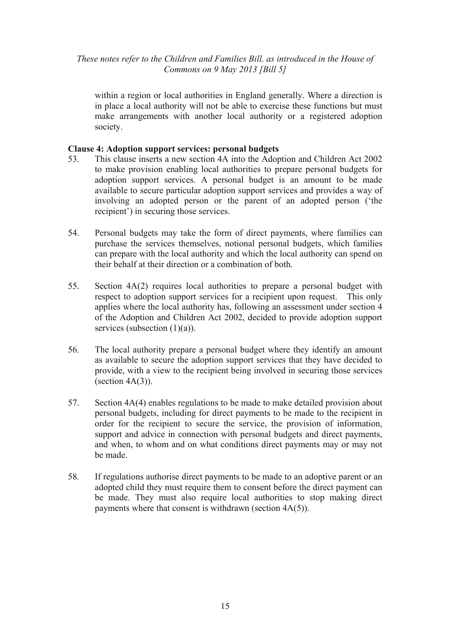within a region or local authorities in England generally. Where a direction is in place a local authority will not be able to exercise these functions but must make arrangements with another local authority or a registered adoption society.

# **Clause 4: Adoption support services: personal budgets**

- 53. This clause inserts a new section 4A into the Adoption and Children Act 2002 to make provision enabling local authorities to prepare personal budgets for adoption support services. A personal budget is an amount to be made available to secure particular adoption support services and provides a way of involving an adopted person or the parent of an adopted person ('the recipient') in securing those services.
- 54. Personal budgets may take the form of direct payments, where families can purchase the services themselves, notional personal budgets, which families can prepare with the local authority and which the local authority can spend on their behalf at their direction or a combination of both.
- 55. Section 4A(2) requires local authorities to prepare a personal budget with respect to adoption support services for a recipient upon request. This only applies where the local authority has, following an assessment under section 4 of the Adoption and Children Act 2002, decided to provide adoption support services (subsection  $(1)(a)$ ).
- 56. The local authority prepare a personal budget where they identify an amount as available to secure the adoption support services that they have decided to provide, with a view to the recipient being involved in securing those services  $(section 4A(3))$ .
- 57. Section 4A(4) enables regulations to be made to make detailed provision about personal budgets, including for direct payments to be made to the recipient in order for the recipient to secure the service, the provision of information, support and advice in connection with personal budgets and direct payments, and when, to whom and on what conditions direct payments may or may not be made.
- 58. If regulations authorise direct payments to be made to an adoptive parent or an adopted child they must require them to consent before the direct payment can be made. They must also require local authorities to stop making direct payments where that consent is withdrawn (section 4A(5)).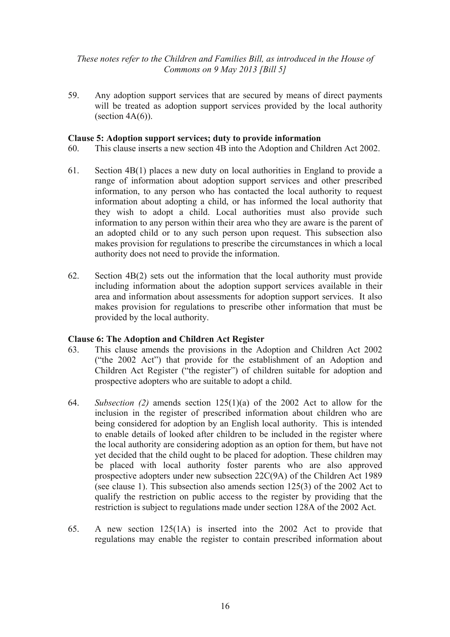59. Any adoption support services that are secured by means of direct payments will be treated as adoption support services provided by the local authority (section  $4A(6)$ ).

#### **Clause 5: Adoption support services; duty to provide information**

- 60. This clause inserts a new section 4B into the Adoption and Children Act 2002.
- 61. Section 4B(1) places a new duty on local authorities in England to provide a range of information about adoption support services and other prescribed information, to any person who has contacted the local authority to request information about adopting a child, or has informed the local authority that they wish to adopt a child. Local authorities must also provide such information to any person within their area who they are aware is the parent of an adopted child or to any such person upon request. This subsection also makes provision for regulations to prescribe the circumstances in which a local authority does not need to provide the information.
- 62. Section 4B(2) sets out the information that the local authority must provide including information about the adoption support services available in their area and information about assessments for adoption support services. It also makes provision for regulations to prescribe other information that must be provided by the local authority.

#### **Clause 6: The Adoption and Children Act Register**

- 63. This clause amends the provisions in the Adoption and Children Act 2002 ("the 2002 Act") that provide for the establishment of an Adoption and Children Act Register ("the register") of children suitable for adoption and prospective adopters who are suitable to adopt a child.
- 64. *Subsection (2)* amends section 125(1)(a) of the 2002 Act to allow for the inclusion in the register of prescribed information about children who are being considered for adoption by an English local authority. This is intended to enable details of looked after children to be included in the register where the local authority are considering adoption as an option for them, but have not yet decided that the child ought to be placed for adoption. These children may be placed with local authority foster parents who are also approved prospective adopters under new subsection 22C(9A) of the Children Act 1989 (see clause 1). This subsection also amends section 125(3) of the 2002 Act to qualify the restriction on public access to the register by providing that the restriction is subject to regulations made under section 128A of the 2002 Act.
- 65. A new section 125(1A) is inserted into the 2002 Act to provide that regulations may enable the register to contain prescribed information about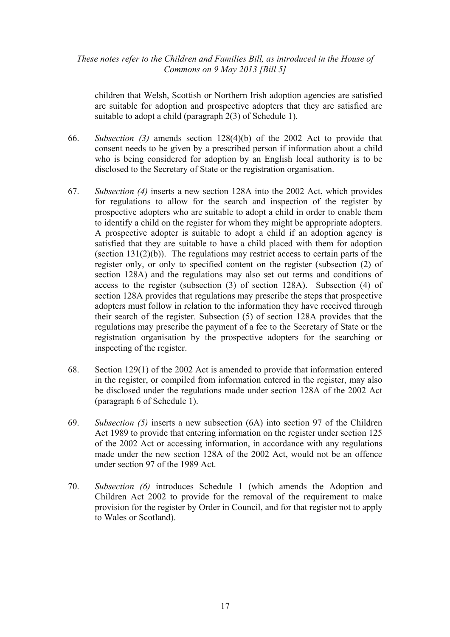children that Welsh, Scottish or Northern Irish adoption agencies are satisfied are suitable for adoption and prospective adopters that they are satisfied are suitable to adopt a child (paragraph 2(3) of Schedule 1).

- 66. *Subsection (3)* amends section 128(4)(b) of the 2002 Act to provide that consent needs to be given by a prescribed person if information about a child who is being considered for adoption by an English local authority is to be disclosed to the Secretary of State or the registration organisation.
- 67. *Subsection (4)* inserts a new section 128A into the 2002 Act, which provides for regulations to allow for the search and inspection of the register by prospective adopters who are suitable to adopt a child in order to enable them to identify a child on the register for whom they might be appropriate adopters. A prospective adopter is suitable to adopt a child if an adoption agency is satisfied that they are suitable to have a child placed with them for adoption (section  $131(2)(b)$ ). The regulations may restrict access to certain parts of the register only, or only to specified content on the register (subsection (2) of section 128A) and the regulations may also set out terms and conditions of access to the register (subsection (3) of section 128A). Subsection (4) of section 128A provides that regulations may prescribe the steps that prospective adopters must follow in relation to the information they have received through their search of the register. Subsection (5) of section 128A provides that the regulations may prescribe the payment of a fee to the Secretary of State or the registration organisation by the prospective adopters for the searching or inspecting of the register.
- 68. Section 129(1) of the 2002 Act is amended to provide that information entered in the register, or compiled from information entered in the register, may also be disclosed under the regulations made under section 128A of the 2002 Act (paragraph 6 of Schedule 1).
- 69. *Subsection (5)* inserts a new subsection (6A) into section 97 of the Children Act 1989 to provide that entering information on the register under section 125 of the 2002 Act or accessing information, in accordance with any regulations made under the new section 128A of the 2002 Act, would not be an offence under section 97 of the 1989 Act.
- 70. *Subsection (6)* introduces Schedule 1 (which amends the Adoption and Children Act 2002 to provide for the removal of the requirement to make provision for the register by Order in Council, and for that register not to apply to Wales or Scotland).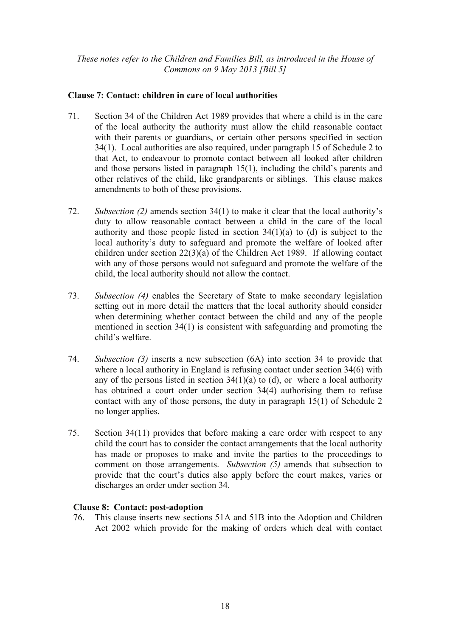# **Clause 7: Contact: children in care of local authorities**

- 71. Section 34 of the Children Act 1989 provides that where a child is in the care of the local authority the authority must allow the child reasonable contact with their parents or guardians, or certain other persons specified in section 34(1). Local authorities are also required, under paragraph 15 of Schedule 2 to that Act, to endeavour to promote contact between all looked after children and those persons listed in paragraph 15(1), including the child's parents and other relatives of the child, like grandparents or siblings. This clause makes amendments to both of these provisions.
- 72. *Subsection (2)* amends section 34(1) to make it clear that the local authority's duty to allow reasonable contact between a child in the care of the local authority and those people listed in section  $34(1)(a)$  to (d) is subject to the local authority's duty to safeguard and promote the welfare of looked after children under section 22(3)(a) of the Children Act 1989. If allowing contact with any of those persons would not safeguard and promote the welfare of the child, the local authority should not allow the contact.
- 73. *Subsection (4)* enables the Secretary of State to make secondary legislation setting out in more detail the matters that the local authority should consider when determining whether contact between the child and any of the people mentioned in section 34(1) is consistent with safeguarding and promoting the child's welfare.
- 74. *Subsection (3)* inserts a new subsection (6A) into section 34 to provide that where a local authority in England is refusing contact under section 34(6) with any of the persons listed in section  $34(1)(a)$  to (d), or where a local authority has obtained a court order under section 34(4) authorising them to refuse contact with any of those persons, the duty in paragraph 15(1) of Schedule 2 no longer applies.
- 75. Section 34(11) provides that before making a care order with respect to any child the court has to consider the contact arrangements that the local authority has made or proposes to make and invite the parties to the proceedings to comment on those arrangements. *Subsection (5)* amends that subsection to provide that the court's duties also apply before the court makes, varies or discharges an order under section 34.

# **Clause 8: Contact: post-adoption**

76. This clause inserts new sections 51A and 51B into the Adoption and Children Act 2002 which provide for the making of orders which deal with contact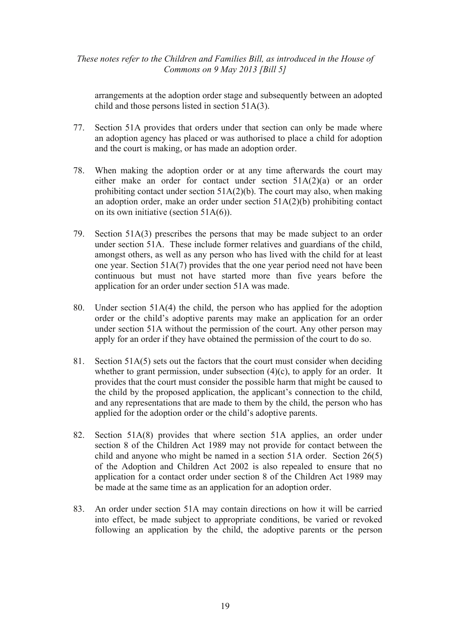arrangements at the adoption order stage and subsequently between an adopted child and those persons listed in section 51A(3).

- 77. Section 51A provides that orders under that section can only be made where an adoption agency has placed or was authorised to place a child for adoption and the court is making, or has made an adoption order.
- 78. When making the adoption order or at any time afterwards the court may either make an order for contact under section 51A(2)(a) or an order prohibiting contact under section  $51A(2)(b)$ . The court may also, when making an adoption order, make an order under section 51A(2)(b) prohibiting contact on its own initiative (section 51A(6)).
- 79. Section 51A(3) prescribes the persons that may be made subject to an order under section 51A. These include former relatives and guardians of the child, amongst others, as well as any person who has lived with the child for at least one year. Section 51A(7) provides that the one year period need not have been continuous but must not have started more than five years before the application for an order under section 51A was made.
- 80. Under section 51A(4) the child, the person who has applied for the adoption order or the child's adoptive parents may make an application for an order under section 51A without the permission of the court. Any other person may apply for an order if they have obtained the permission of the court to do so.
- 81. Section 51A(5) sets out the factors that the court must consider when deciding whether to grant permission, under subsection  $(4)(c)$ , to apply for an order. It provides that the court must consider the possible harm that might be caused to the child by the proposed application, the applicant's connection to the child, and any representations that are made to them by the child, the person who has applied for the adoption order or the child's adoptive parents.
- 82. Section 51A(8) provides that where section 51A applies, an order under section 8 of the Children Act 1989 may not provide for contact between the child and anyone who might be named in a section 51A order. Section 26(5) of the Adoption and Children Act 2002 is also repealed to ensure that no application for a contact order under section 8 of the Children Act 1989 may be made at the same time as an application for an adoption order.
- 83. An order under section 51A may contain directions on how it will be carried into effect, be made subject to appropriate conditions, be varied or revoked following an application by the child, the adoptive parents or the person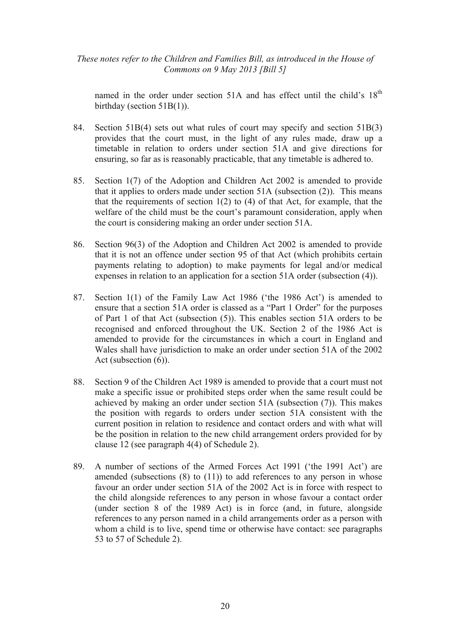named in the order under section 51A and has effect until the child's 18<sup>th</sup> birthday (section 51B(1)).

- 84. Section 51B(4) sets out what rules of court may specify and section 51B(3) provides that the court must, in the light of any rules made, draw up a timetable in relation to orders under section 51A and give directions for ensuring, so far as is reasonably practicable, that any timetable is adhered to.
- 85. Section 1(7) of the Adoption and Children Act 2002 is amended to provide that it applies to orders made under section  $51A$  (subsection  $(2)$ ). This means that the requirements of section 1(2) to (4) of that Act, for example, that the welfare of the child must be the court's paramount consideration, apply when the court is considering making an order under section 51A.
- 86. Section 96(3) of the Adoption and Children Act 2002 is amended to provide that it is not an offence under section 95 of that Act (which prohibits certain payments relating to adoption) to make payments for legal and/or medical expenses in relation to an application for a section 51A order (subsection (4)).
- 87. Section 1(1) of the Family Law Act 1986 ('the 1986 Act') is amended to ensure that a section 51A order is classed as a "Part 1 Order" for the purposes of Part 1 of that Act (subsection (5)). This enables section 51A orders to be recognised and enforced throughout the UK. Section 2 of the 1986 Act is amended to provide for the circumstances in which a court in England and Wales shall have jurisdiction to make an order under section 51A of the 2002 Act (subsection (6)).
- 88. Section 9 of the Children Act 1989 is amended to provide that a court must not make a specific issue or prohibited steps order when the same result could be achieved by making an order under section 51A (subsection (7)). This makes the position with regards to orders under section 51A consistent with the current position in relation to residence and contact orders and with what will be the position in relation to the new child arrangement orders provided for by clause 12 (see paragraph 4(4) of Schedule 2).
- 89. A number of sections of the Armed Forces Act 1991 ('the 1991 Act') are amended (subsections  $(8)$  to  $(11)$ ) to add references to any person in whose favour an order under section 51A of the 2002 Act is in force with respect to the child alongside references to any person in whose favour a contact order (under section 8 of the 1989 Act) is in force (and, in future, alongside references to any person named in a child arrangements order as a person with whom a child is to live, spend time or otherwise have contact: see paragraphs 53 to 57 of Schedule 2).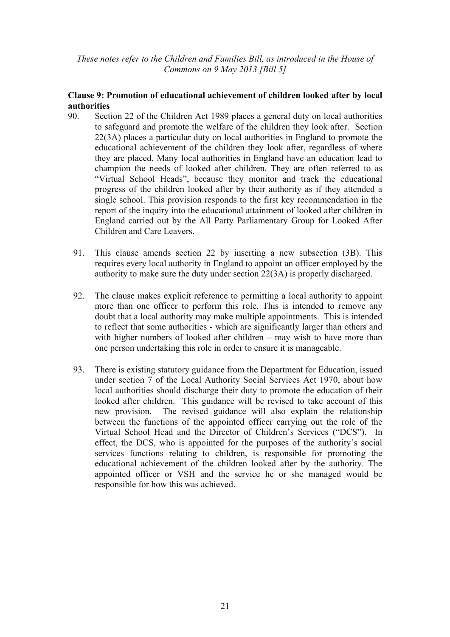## **Clause 9: Promotion of educational achievement of children looked after by local authorities**

- 90. Section 22 of the Children Act 1989 places a general duty on local authorities to safeguard and promote the welfare of the children they look after. Section 22(3A) places a particular duty on local authorities in England to promote the educational achievement of the children they look after, regardless of where they are placed. Many local authorities in England have an education lead to champion the needs of looked after children. They are often referred to as "Virtual School Heads", because they monitor and track the educational progress of the children looked after by their authority as if they attended a single school. This provision responds to the first key recommendation in the report of the inquiry into the educational attainment of looked after children in England carried out by the All Party Parliamentary Group for Looked After Children and Care Leavers.
	- 91. This clause amends section 22 by inserting a new subsection (3B). This requires every local authority in England to appoint an officer employed by the authority to make sure the duty under section 22(3A) is properly discharged.
	- 92. The clause makes explicit reference to permitting a local authority to appoint more than one officer to perform this role. This is intended to remove any doubt that a local authority may make multiple appointments. This is intended to reflect that some authorities - which are significantly larger than others and with higher numbers of looked after children – may wish to have more than one person undertaking this role in order to ensure it is manageable.
	- 93. There is existing statutory guidance from the Department for Education, issued under section 7 of the Local Authority Social Services Act 1970, about how local authorities should discharge their duty to promote the education of their looked after children. This guidance will be revised to take account of this new provision. The revised guidance will also explain the relationship between the functions of the appointed officer carrying out the role of the Virtual School Head and the Director of Children's Services ("DCS"). In effect, the DCS, who is appointed for the purposes of the authority's social services functions relating to children, is responsible for promoting the educational achievement of the children looked after by the authority. The appointed officer or VSH and the service he or she managed would be responsible for how this was achieved.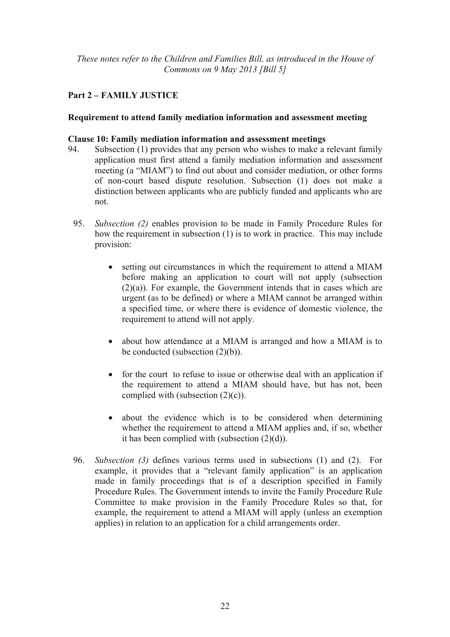# **Part 2 – FAMILY JUSTICE**

## **Requirement to attend family mediation information and assessment meeting**

## **Clause 10: Family mediation information and assessment meetings**

- 94. Subsection (1) provides that any person who wishes to make a relevant family application must first attend a family mediation information and assessment meeting (a "MIAM") to find out about and consider mediation, or other forms of non-court based dispute resolution. Subsection (1) does not make a distinction between applicants who are publicly funded and applicants who are not.
	- 95. *Subsection (2)* enables provision to be made in Family Procedure Rules for how the requirement in subsection (1) is to work in practice. This may include provision:
		- setting out circumstances in which the requirement to attend a MIAM before making an application to court will not apply (subsection (2)(a)). For example, the Government intends that in cases which are urgent (as to be defined) or where a MIAM cannot be arranged within a specified time, or where there is evidence of domestic violence, the requirement to attend will not apply.
		- about how attendance at a MIAM is arranged and how a MIAM is to be conducted (subsection (2)(b)).
		- for the court to refuse to issue or otherwise deal with an application if the requirement to attend a MIAM should have, but has not, been complied with (subsection (2)(c)).
		- about the evidence which is to be considered when determining whether the requirement to attend a MIAM applies and, if so, whether it has been complied with (subsection (2)(d)).
	- 96. *Subsection (3)* defines various terms used in subsections (1) and (2). For example, it provides that a "relevant family application" is an application made in family proceedings that is of a description specified in Family Procedure Rules. The Government intends to invite the Family Procedure Rule Committee to make provision in the Family Procedure Rules so that, for example, the requirement to attend a MIAM will apply (unless an exemption applies) in relation to an application for a child arrangements order.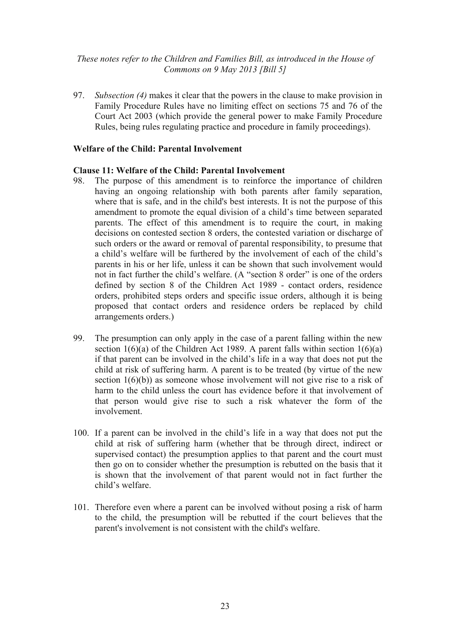97. *Subsection (4)* makes it clear that the powers in the clause to make provision in Family Procedure Rules have no limiting effect on sections 75 and 76 of the Court Act 2003 (which provide the general power to make Family Procedure Rules, being rules regulating practice and procedure in family proceedings).

#### **Welfare of the Child: Parental Involvement**

#### **Clause 11: Welfare of the Child: Parental Involvement**

- 98. The purpose of this amendment is to reinforce the importance of children having an ongoing relationship with both parents after family separation, where that is safe, and in the child's best interests. It is not the purpose of this amendment to promote the equal division of a child's time between separated parents. The effect of this amendment is to require the court, in making decisions on contested section 8 orders, the contested variation or discharge of such orders or the award or removal of parental responsibility, to presume that a child's welfare will be furthered by the involvement of each of the child's parents in his or her life, unless it can be shown that such involvement would not in fact further the child's welfare. (A "section 8 order" is one of the orders defined by section 8 of the Children Act 1989 - contact orders, residence orders, prohibited steps orders and specific issue orders, although it is being proposed that contact orders and residence orders be replaced by child arrangements orders.)
- 99. The presumption can only apply in the case of a parent falling within the new section  $1(6)(a)$  of the Children Act 1989. A parent falls within section  $1(6)(a)$ if that parent can be involved in the child's life in a way that does not put the child at risk of suffering harm. A parent is to be treated (by virtue of the new section 1(6)(b)) as someone whose involvement will not give rise to a risk of harm to the child unless the court has evidence before it that involvement of that person would give rise to such a risk whatever the form of the involvement.
- 100. If a parent can be involved in the child's life in a way that does not put the child at risk of suffering harm (whether that be through direct, indirect or supervised contact) the presumption applies to that parent and the court must then go on to consider whether the presumption is rebutted on the basis that it is shown that the involvement of that parent would not in fact further the child's welfare.
- 101. Therefore even where a parent can be involved without posing a risk of harm to the child, the presumption will be rebutted if the court believes that the parent's involvement is not consistent with the child's welfare.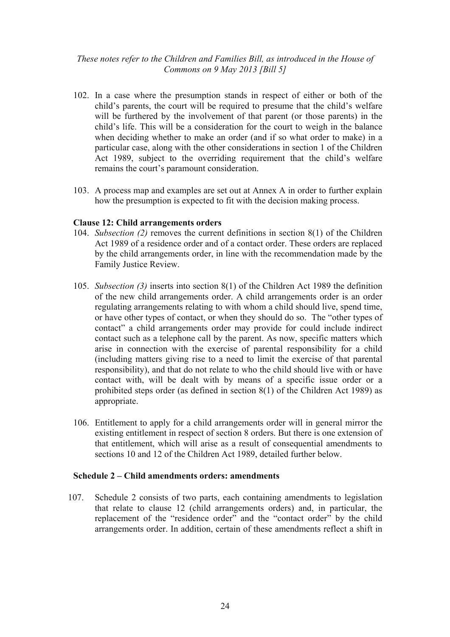- 102. In a case where the presumption stands in respect of either or both of the child's parents, the court will be required to presume that the child's welfare will be furthered by the involvement of that parent (or those parents) in the child's life. This will be a consideration for the court to weigh in the balance when deciding whether to make an order (and if so what order to make) in a particular case, along with the other considerations in section 1 of the Children Act 1989, subject to the overriding requirement that the child's welfare remains the court's paramount consideration.
- 103. A process map and examples are set out at Annex A in order to further explain how the presumption is expected to fit with the decision making process.

#### **Clause 12: Child arrangements orders**

- 104. *Subsection (2)* removes the current definitions in section 8(1) of the Children Act 1989 of a residence order and of a contact order. These orders are replaced by the child arrangements order, in line with the recommendation made by the Family Justice Review.
- 105. *Subsection (3)* inserts into section 8(1) of the Children Act 1989 the definition of the new child arrangements order. A child arrangements order is an order regulating arrangements relating to with whom a child should live, spend time, or have other types of contact, or when they should do so. The "other types of contact" a child arrangements order may provide for could include indirect contact such as a telephone call by the parent. As now, specific matters which arise in connection with the exercise of parental responsibility for a child (including matters giving rise to a need to limit the exercise of that parental responsibility), and that do not relate to who the child should live with or have contact with, will be dealt with by means of a specific issue order or a prohibited steps order (as defined in section 8(1) of the Children Act 1989) as appropriate.
- 106. Entitlement to apply for a child arrangements order will in general mirror the existing entitlement in respect of section 8 orders. But there is one extension of that entitlement, which will arise as a result of consequential amendments to sections 10 and 12 of the Children Act 1989, detailed further below.

#### **Schedule 2 – Child amendments orders: amendments**

107. Schedule 2 consists of two parts, each containing amendments to legislation that relate to clause 12 (child arrangements orders) and, in particular, the replacement of the "residence order" and the "contact order" by the child arrangements order. In addition, certain of these amendments reflect a shift in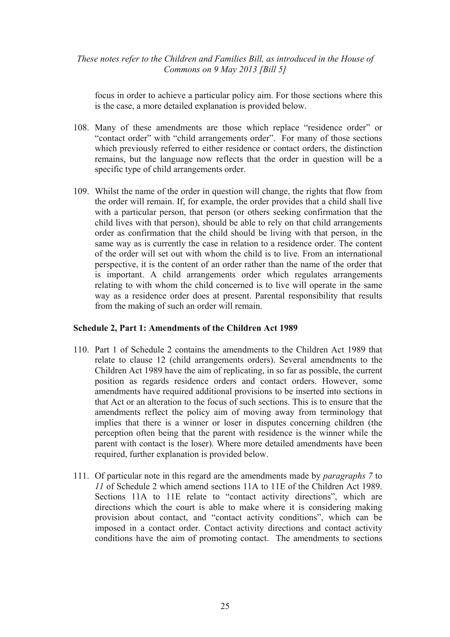focus in order to achieve a particular policy aim. For those sections where this is the case, a more detailed explanation is provided below.

- 108. Many of these amendments are those which replace "residence order" or "contact order" with "child arrangements order". For many of those sections which previously referred to either residence or contact orders, the distinction remains, but the language now reflects that the order in question will be a specific type of child arrangements order.
- 109. Whilst the name of the order in question will change, the rights that flow from the order will remain. If, for example, the order provides that a child shall live with a particular person, that person (or others seeking confirmation that the child lives with that person), should be able to rely on that child arrangements order as confirmation that the child should be living with that person, in the same way as is currently the case in relation to a residence order. The content of the order will set out with whom the child is to live. From an international perspective, it is the content of an order rather than the name of the order that is important. A child arrangements order which regulates arrangements relating to with whom the child concerned is to live will operate in the same way as a residence order does at present. Parental responsibility that results from the making of such an order will remain.

# **Schedule 2, Part 1: Amendments of the Children Act 1989**

- 110. Part 1 of Schedule 2 contains the amendments to the Children Act 1989 that relate to clause 12 (child arrangements orders). Several amendments to the Children Act 1989 have the aim of replicating, in so far as possible, the current position as regards residence orders and contact orders. However, some amendments have required additional provisions to be inserted into sections in that Act or an alteration to the focus of such sections. This is to ensure that the amendments reflect the policy aim of moving away from terminology that implies that there is a winner or loser in disputes concerning children (the perception often being that the parent with residence is the winner while the parent with contact is the loser). Where more detailed amendments have been required, further explanation is provided below.
- 111. Of particular note in this regard are the amendments made by *paragraphs 7* to *11* of Schedule 2 which amend sections 11A to 11E of the Children Act 1989. Sections 11A to 11E relate to "contact activity directions", which are directions which the court is able to make where it is considering making provision about contact, and "contact activity conditions", which can be imposed in a contact order. Contact activity directions and contact activity conditions have the aim of promoting contact. The amendments to sections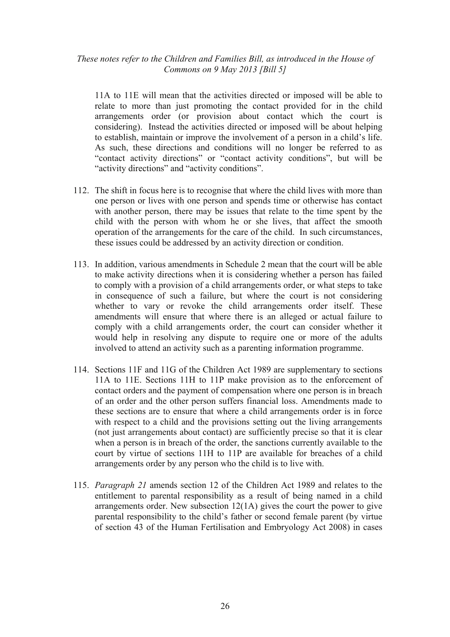11A to 11E will mean that the activities directed or imposed will be able to relate to more than just promoting the contact provided for in the child arrangements order (or provision about contact which the court is considering). Instead the activities directed or imposed will be about helping to establish, maintain or improve the involvement of a person in a child's life. As such, these directions and conditions will no longer be referred to as "contact activity directions" or "contact activity conditions", but will be "activity directions" and "activity conditions".

- 112. The shift in focus here is to recognise that where the child lives with more than one person or lives with one person and spends time or otherwise has contact with another person, there may be issues that relate to the time spent by the child with the person with whom he or she lives, that affect the smooth operation of the arrangements for the care of the child. In such circumstances, these issues could be addressed by an activity direction or condition.
- 113. In addition, various amendments in Schedule 2 mean that the court will be able to make activity directions when it is considering whether a person has failed to comply with a provision of a child arrangements order, or what steps to take in consequence of such a failure, but where the court is not considering whether to vary or revoke the child arrangements order itself. These amendments will ensure that where there is an alleged or actual failure to comply with a child arrangements order, the court can consider whether it would help in resolving any dispute to require one or more of the adults involved to attend an activity such as a parenting information programme.
- 114. Sections 11F and 11G of the Children Act 1989 are supplementary to sections 11A to 11E. Sections 11H to 11P make provision as to the enforcement of contact orders and the payment of compensation where one person is in breach of an order and the other person suffers financial loss. Amendments made to these sections are to ensure that where a child arrangements order is in force with respect to a child and the provisions setting out the living arrangements (not just arrangements about contact) are sufficiently precise so that it is clear when a person is in breach of the order, the sanctions currently available to the court by virtue of sections 11H to 11P are available for breaches of a child arrangements order by any person who the child is to live with.
- 115. *Paragraph 21* amends section 12 of the Children Act 1989 and relates to the entitlement to parental responsibility as a result of being named in a child arrangements order. New subsection 12(1A) gives the court the power to give parental responsibility to the child's father or second female parent (by virtue of section 43 of the Human Fertilisation and Embryology Act 2008) in cases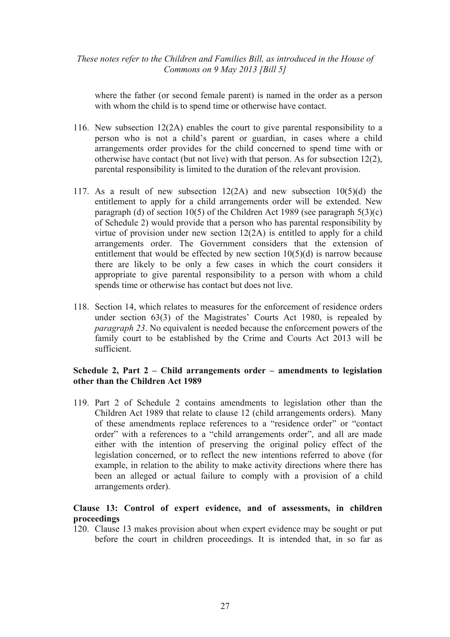where the father (or second female parent) is named in the order as a person with whom the child is to spend time or otherwise have contact.

- 116. New subsection 12(2A) enables the court to give parental responsibility to a person who is not a child's parent or guardian, in cases where a child arrangements order provides for the child concerned to spend time with or otherwise have contact (but not live) with that person. As for subsection 12(2), parental responsibility is limited to the duration of the relevant provision.
- 117. As a result of new subsection  $12(2A)$  and new subsection  $10(5)(d)$  the entitlement to apply for a child arrangements order will be extended. New paragraph (d) of section 10(5) of the Children Act 1989 (see paragraph  $5(3)(c)$ of Schedule 2) would provide that a person who has parental responsibility by virtue of provision under new section 12(2A) is entitled to apply for a child arrangements order. The Government considers that the extension of entitlement that would be effected by new section  $10(5)(d)$  is narrow because there are likely to be only a few cases in which the court considers it appropriate to give parental responsibility to a person with whom a child spends time or otherwise has contact but does not live.
- 118. Section 14, which relates to measures for the enforcement of residence orders under section 63(3) of the Magistrates' Courts Act 1980, is repealed by *paragraph 23*. No equivalent is needed because the enforcement powers of the family court to be established by the Crime and Courts Act 2013 will be sufficient.

## **Schedule 2, Part 2 – Child arrangements order – amendments to legislation other than the Children Act 1989**

119. Part 2 of Schedule 2 contains amendments to legislation other than the Children Act 1989 that relate to clause 12 (child arrangements orders). Many of these amendments replace references to a "residence order" or "contact order" with a references to a "child arrangements order", and all are made either with the intention of preserving the original policy effect of the legislation concerned, or to reflect the new intentions referred to above (for example, in relation to the ability to make activity directions where there has been an alleged or actual failure to comply with a provision of a child arrangements order).

## **Clause 13: Control of expert evidence, and of assessments, in children proceedings**

120. Clause 13 makes provision about when expert evidence may be sought or put before the court in children proceedings. It is intended that, in so far as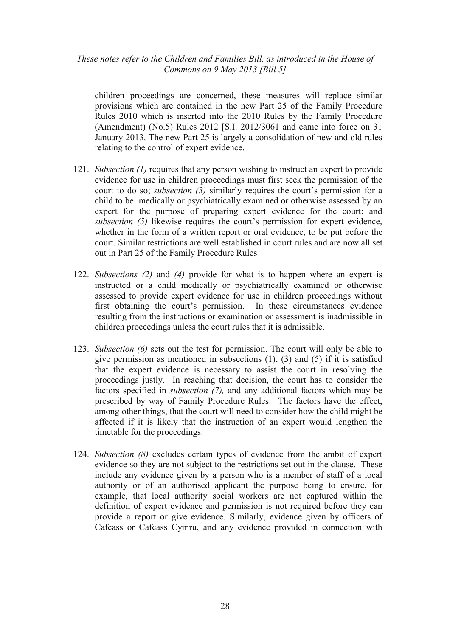children proceedings are concerned, these measures will replace similar provisions which are contained in the new Part 25 of the Family Procedure Rules 2010 which is inserted into the 2010 Rules by the Family Procedure (Amendment) (No.5) Rules 2012 [S.I. 2012/3061 and came into force on 31 January 2013. The new Part 25 is largely a consolidation of new and old rules relating to the control of expert evidence.

- 121. *Subsection (1)* requires that any person wishing to instruct an expert to provide evidence for use in children proceedings must first seek the permission of the court to do so; *subsection (3)* similarly requires the court's permission for a child to be medically or psychiatrically examined or otherwise assessed by an expert for the purpose of preparing expert evidence for the court; and *subsection (5)* likewise requires the court's permission for expert evidence, whether in the form of a written report or oral evidence, to be put before the court. Similar restrictions are well established in court rules and are now all set out in Part 25 of the Family Procedure Rules
- 122. *Subsections (2)* and *(4)* provide for what is to happen where an expert is instructed or a child medically or psychiatrically examined or otherwise assessed to provide expert evidence for use in children proceedings without first obtaining the court's permission. In these circumstances evidence resulting from the instructions or examination or assessment is inadmissible in children proceedings unless the court rules that it is admissible.
- 123. *Subsection (6)* sets out the test for permission. The court will only be able to give permission as mentioned in subsections  $(1)$ ,  $(3)$  and  $(5)$  if it is satisfied that the expert evidence is necessary to assist the court in resolving the proceedings justly. In reaching that decision, the court has to consider the factors specified in *subsection (7),* and any additional factors which may be prescribed by way of Family Procedure Rules. The factors have the effect, among other things, that the court will need to consider how the child might be affected if it is likely that the instruction of an expert would lengthen the timetable for the proceedings.
- 124. *Subsection (8)* excludes certain types of evidence from the ambit of expert evidence so they are not subject to the restrictions set out in the clause. These include any evidence given by a person who is a member of staff of a local authority or of an authorised applicant the purpose being to ensure, for example, that local authority social workers are not captured within the definition of expert evidence and permission is not required before they can provide a report or give evidence. Similarly, evidence given by officers of Cafcass or Cafcass Cymru, and any evidence provided in connection with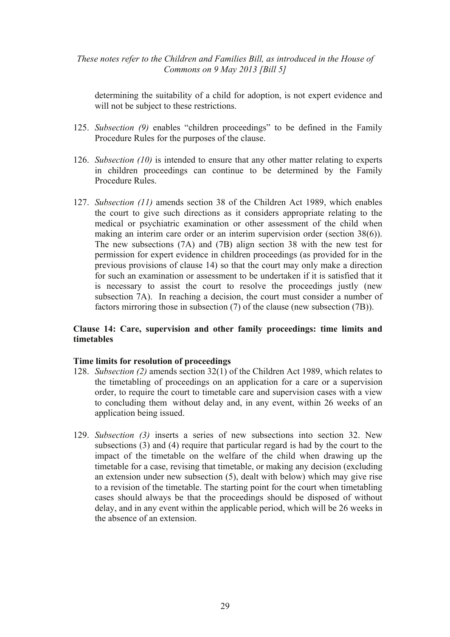determining the suitability of a child for adoption, is not expert evidence and will not be subject to these restrictions.

- 125. *Subsection (9)* enables "children proceedings" to be defined in the Family Procedure Rules for the purposes of the clause.
- 126. *Subsection (10)* is intended to ensure that any other matter relating to experts in children proceedings can continue to be determined by the Family Procedure Rules.
- 127. *Subsection (11)* amends section 38 of the Children Act 1989, which enables the court to give such directions as it considers appropriate relating to the medical or psychiatric examination or other assessment of the child when making an interim care order or an interim supervision order (section 38(6)). The new subsections (7A) and (7B) align section 38 with the new test for permission for expert evidence in children proceedings (as provided for in the previous provisions of clause 14) so that the court may only make a direction for such an examination or assessment to be undertaken if it is satisfied that it is necessary to assist the court to resolve the proceedings justly (new subsection 7A). In reaching a decision, the court must consider a number of factors mirroring those in subsection (7) of the clause (new subsection (7B)).

#### **Clause 14: Care, supervision and other family proceedings: time limits and timetables**

#### **Time limits for resolution of proceedings**

- 128. *Subsection (2)* amends section 32(1) of the Children Act 1989, which relates to the timetabling of proceedings on an application for a care or a supervision order, to require the court to timetable care and supervision cases with a view to concluding them without delay and, in any event, within 26 weeks of an application being issued.
- 129. *Subsection (3)* inserts a series of new subsections into section 32. New subsections (3) and (4) require that particular regard is had by the court to the impact of the timetable on the welfare of the child when drawing up the timetable for a case, revising that timetable, or making any decision (excluding an extension under new subsection (5), dealt with below) which may give rise to a revision of the timetable. The starting point for the court when timetabling cases should always be that the proceedings should be disposed of without delay, and in any event within the applicable period, which will be 26 weeks in the absence of an extension.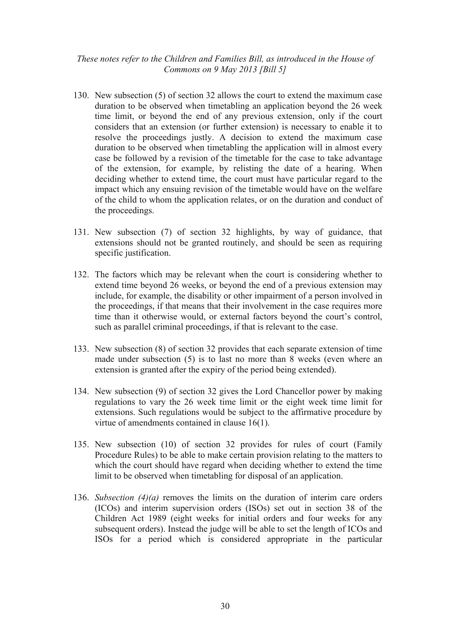- 130. New subsection (5) of section 32 allows the court to extend the maximum case duration to be observed when timetabling an application beyond the 26 week time limit, or beyond the end of any previous extension, only if the court considers that an extension (or further extension) is necessary to enable it to resolve the proceedings justly. A decision to extend the maximum case duration to be observed when timetabling the application will in almost every case be followed by a revision of the timetable for the case to take advantage of the extension, for example, by relisting the date of a hearing. When deciding whether to extend time, the court must have particular regard to the impact which any ensuing revision of the timetable would have on the welfare of the child to whom the application relates, or on the duration and conduct of the proceedings.
- 131. New subsection (7) of section 32 highlights, by way of guidance, that extensions should not be granted routinely, and should be seen as requiring specific justification.
- 132. The factors which may be relevant when the court is considering whether to extend time beyond 26 weeks, or beyond the end of a previous extension may include, for example, the disability or other impairment of a person involved in the proceedings, if that means that their involvement in the case requires more time than it otherwise would, or external factors beyond the court's control, such as parallel criminal proceedings, if that is relevant to the case.
- 133. New subsection (8) of section 32 provides that each separate extension of time made under subsection (5) is to last no more than 8 weeks (even where an extension is granted after the expiry of the period being extended).
- 134. New subsection (9) of section 32 gives the Lord Chancellor power by making regulations to vary the 26 week time limit or the eight week time limit for extensions. Such regulations would be subject to the affirmative procedure by virtue of amendments contained in clause 16(1).
- 135. New subsection (10) of section 32 provides for rules of court (Family Procedure Rules) to be able to make certain provision relating to the matters to which the court should have regard when deciding whether to extend the time limit to be observed when timetabling for disposal of an application.
- 136. *Subsection (4)(a)* removes the limits on the duration of interim care orders (ICOs) and interim supervision orders (ISOs) set out in section 38 of the Children Act 1989 (eight weeks for initial orders and four weeks for any subsequent orders). Instead the judge will be able to set the length of ICOs and ISOs for a period which is considered appropriate in the particular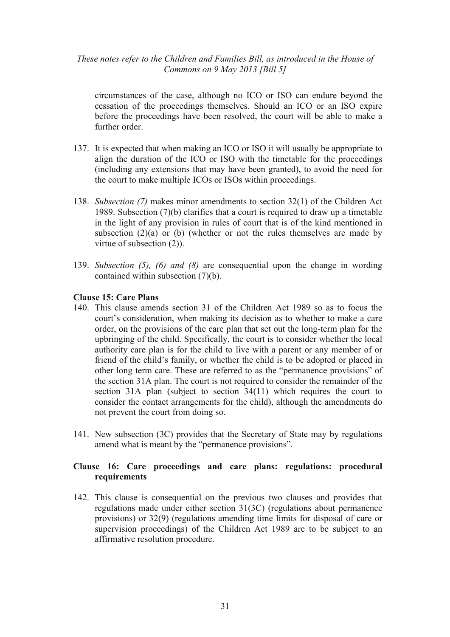circumstances of the case, although no ICO or ISO can endure beyond the cessation of the proceedings themselves. Should an ICO or an ISO expire before the proceedings have been resolved, the court will be able to make a further order.

- 137. It is expected that when making an ICO or ISO it will usually be appropriate to align the duration of the ICO or ISO with the timetable for the proceedings (including any extensions that may have been granted), to avoid the need for the court to make multiple ICOs or ISOs within proceedings.
- 138. *Subsection (7)* makes minor amendments to section 32(1) of the Children Act 1989. Subsection (7)(b) clarifies that a court is required to draw up a timetable in the light of any provision in rules of court that is of the kind mentioned in subsection  $(2)(a)$  or  $(b)$  (whether or not the rules themselves are made by virtue of subsection (2)).
- 139. *Subsection (5), (6) and (8)* are consequential upon the change in wording contained within subsection (7)(b).

#### **Clause 15: Care Plans**

- 140. This clause amends section 31 of the Children Act 1989 so as to focus the court's consideration, when making its decision as to whether to make a care order, on the provisions of the care plan that set out the long-term plan for the upbringing of the child. Specifically, the court is to consider whether the local authority care plan is for the child to live with a parent or any member of or friend of the child's family, or whether the child is to be adopted or placed in other long term care. These are referred to as the "permanence provisions" of the section 31A plan. The court is not required to consider the remainder of the section 31A plan (subject to section 34(11) which requires the court to consider the contact arrangements for the child), although the amendments do not prevent the court from doing so.
- 141. New subsection (3C) provides that the Secretary of State may by regulations amend what is meant by the "permanence provisions".

# **Clause 16: Care proceedings and care plans: regulations: procedural requirements**

142. This clause is consequential on the previous two clauses and provides that regulations made under either section 31(3C) (regulations about permanence provisions) or 32(9) (regulations amending time limits for disposal of care or supervision proceedings) of the Children Act 1989 are to be subject to an affirmative resolution procedure.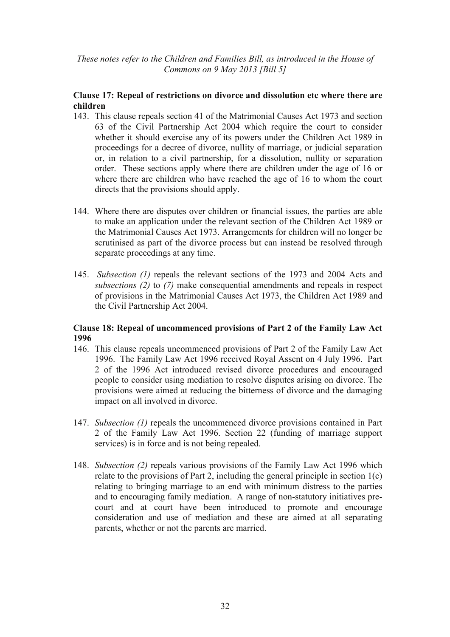## **Clause 17: Repeal of restrictions on divorce and dissolution etc where there are children**

- 143. This clause repeals section 41 of the Matrimonial Causes Act 1973 and section 63 of the Civil Partnership Act 2004 which require the court to consider whether it should exercise any of its powers under the Children Act 1989 in proceedings for a decree of divorce, nullity of marriage, or judicial separation or, in relation to a civil partnership, for a dissolution, nullity or separation order. These sections apply where there are children under the age of 16 or where there are children who have reached the age of 16 to whom the court directs that the provisions should apply.
- 144. Where there are disputes over children or financial issues, the parties are able to make an application under the relevant section of the Children Act 1989 or the Matrimonial Causes Act 1973. Arrangements for children will no longer be scrutinised as part of the divorce process but can instead be resolved through separate proceedings at any time.
- 145. *Subsection (1)* repeals the relevant sections of the 1973 and 2004 Acts and *subsections (2)* to *(7)* make consequential amendments and repeals in respect of provisions in the Matrimonial Causes Act 1973, the Children Act 1989 and the Civil Partnership Act 2004.

## **Clause 18: Repeal of uncommenced provisions of Part 2 of the Family Law Act 1996**

- 146. This clause repeals uncommenced provisions of Part 2 of the Family Law Act 1996. The Family Law Act 1996 received Royal Assent on 4 July 1996. Part 2 of the 1996 Act introduced revised divorce procedures and encouraged people to consider using mediation to resolve disputes arising on divorce. The provisions were aimed at reducing the bitterness of divorce and the damaging impact on all involved in divorce.
- 147. *Subsection (1)* repeals the uncommenced divorce provisions contained in Part 2 of the Family Law Act 1996. Section 22 (funding of marriage support services) is in force and is not being repealed.
- 148. *Subsection (2)* repeals various provisions of the Family Law Act 1996 which relate to the provisions of Part 2, including the general principle in section 1(c) relating to bringing marriage to an end with minimum distress to the parties and to encouraging family mediation. A range of non-statutory initiatives precourt and at court have been introduced to promote and encourage consideration and use of mediation and these are aimed at all separating parents, whether or not the parents are married.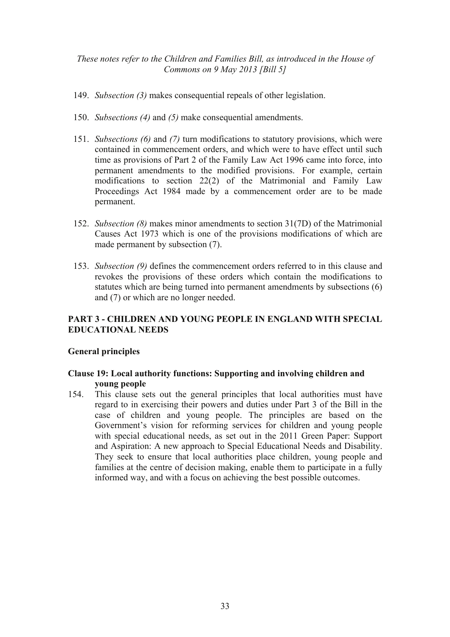- 149. *Subsection (3)* makes consequential repeals of other legislation.
- 150. *Subsections (4)* and *(5)* make consequential amendments.
- 151. *Subsections (6)* and *(7)* turn modifications to statutory provisions, which were contained in commencement orders, and which were to have effect until such time as provisions of Part 2 of the Family Law Act 1996 came into force, into permanent amendments to the modified provisions. For example, certain modifications to section 22(2) of the Matrimonial and Family Law Proceedings Act 1984 made by a commencement order are to be made permanent.
- 152. *Subsection (8)* makes minor amendments to section 31(7D) of the Matrimonial Causes Act 1973 which is one of the provisions modifications of which are made permanent by subsection (7).
- 153. *Subsection (9)* defines the commencement orders referred to in this clause and revokes the provisions of these orders which contain the modifications to statutes which are being turned into permanent amendments by subsections (6) and (7) or which are no longer needed.

# **PART 3 - CHILDREN AND YOUNG PEOPLE IN ENGLAND WITH SPECIAL EDUCATIONAL NEEDS**

#### **General principles**

## **Clause 19: Local authority functions: Supporting and involving children and young people**

154. This clause sets out the general principles that local authorities must have regard to in exercising their powers and duties under Part 3 of the Bill in the case of children and young people. The principles are based on the Government's vision for reforming services for children and young people with special educational needs, as set out in the 2011 Green Paper: Support and Aspiration: A new approach to Special Educational Needs and Disability. They seek to ensure that local authorities place children, young people and families at the centre of decision making, enable them to participate in a fully informed way, and with a focus on achieving the best possible outcomes.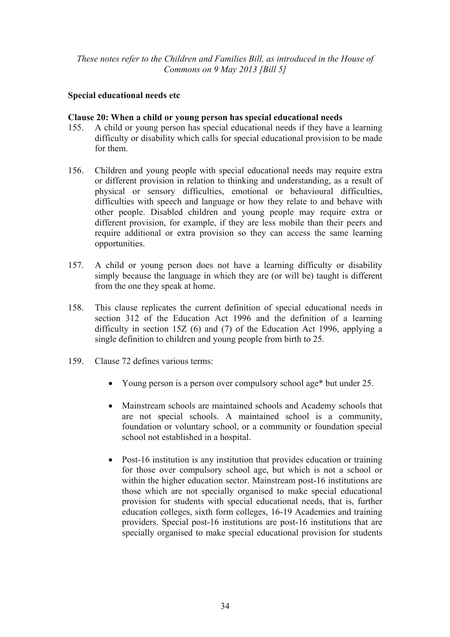## **Special educational needs etc**

#### **Clause 20: When a child or young person has special educational needs**

- 155. A child or young person has special educational needs if they have a learning difficulty or disability which calls for special educational provision to be made for them.
- 156. Children and young people with special educational needs may require extra or different provision in relation to thinking and understanding, as a result of physical or sensory difficulties, emotional or behavioural difficulties, difficulties with speech and language or how they relate to and behave with other people. Disabled children and young people may require extra or different provision, for example, if they are less mobile than their peers and require additional or extra provision so they can access the same learning opportunities.
- 157. A child or young person does not have a learning difficulty or disability simply because the language in which they are (or will be) taught is different from the one they speak at home.
- 158. This clause replicates the current definition of special educational needs in section 312 of the Education Act 1996 and the definition of a learning difficulty in section 15Z (6) and (7) of the Education Act 1996, applying a single definition to children and young people from birth to 25.
- 159. Clause 72 defines various terms:
	- Young person is a person over compulsory school age\* but under 25.
	- Mainstream schools are maintained schools and Academy schools that are not special schools. A maintained school is a community, foundation or voluntary school, or a community or foundation special school not established in a hospital.
	- Post-16 institution is any institution that provides education or training for those over compulsory school age, but which is not a school or within the higher education sector. Mainstream post-16 institutions are those which are not specially organised to make special educational provision for students with special educational needs, that is, further education colleges, sixth form colleges, 16-19 Academies and training providers. Special post-16 institutions are post-16 institutions that are specially organised to make special educational provision for students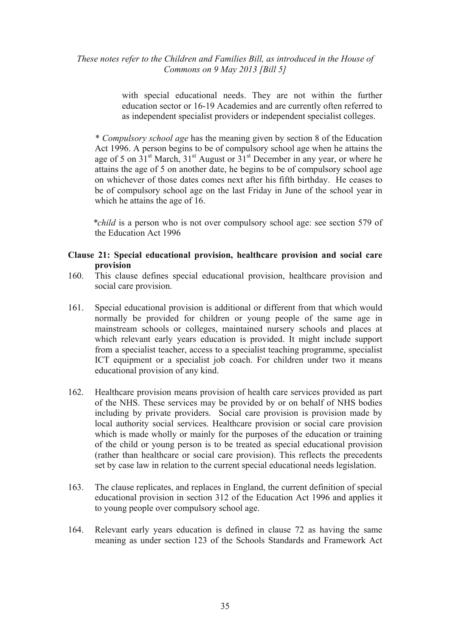with special educational needs. They are not within the further education sector or 16-19 Academies and are currently often referred to as independent specialist providers or independent specialist colleges.

 \* *Compulsory school age* has the meaning given by section 8 of the Education Act 1996. A person begins to be of compulsory school age when he attains the age of 5 on  $31<sup>st</sup>$  March,  $31<sup>st</sup>$  August or  $31<sup>st</sup>$  December in any year, or where he attains the age of 5 on another date, he begins to be of compulsory school age on whichever of those dates comes next after his fifth birthday. He ceases to be of compulsory school age on the last Friday in June of the school year in which he attains the age of 16.

 *\*child* is a person who is not over compulsory school age: see section 579 of the Education Act 1996

#### **Clause 21: Special educational provision, healthcare provision and social care provision**

- 160. This clause defines special educational provision, healthcare provision and social care provision.
- 161. Special educational provision is additional or different from that which would normally be provided for children or young people of the same age in mainstream schools or colleges, maintained nursery schools and places at which relevant early years education is provided. It might include support from a specialist teacher, access to a specialist teaching programme, specialist ICT equipment or a specialist job coach. For children under two it means educational provision of any kind.
- 162. Healthcare provision means provision of health care services provided as part of the NHS. These services may be provided by or on behalf of NHS bodies including by private providers. Social care provision is provision made by local authority social services. Healthcare provision or social care provision which is made wholly or mainly for the purposes of the education or training of the child or young person is to be treated as special educational provision (rather than healthcare or social care provision). This reflects the precedents set by case law in relation to the current special educational needs legislation.
- 163. The clause replicates, and replaces in England, the current definition of special educational provision in section 312 of the Education Act 1996 and applies it to young people over compulsory school age.
- 164. Relevant early years education is defined in clause 72 as having the same meaning as under section 123 of the Schools Standards and Framework Act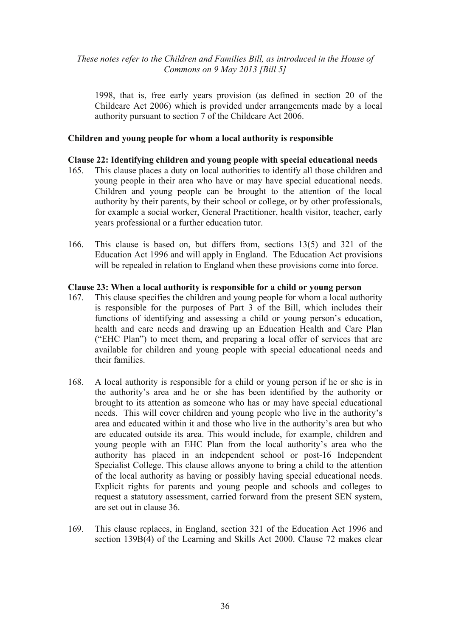1998, that is, free early years provision (as defined in section 20 of the Childcare Act 2006) which is provided under arrangements made by a local authority pursuant to section 7 of the Childcare Act 2006.

#### **Children and young people for whom a local authority is responsible**

#### **Clause 22: Identifying children and young people with special educational needs**

- 165. This clause places a duty on local authorities to identify all those children and young people in their area who have or may have special educational needs. Children and young people can be brought to the attention of the local authority by their parents, by their school or college, or by other professionals, for example a social worker, General Practitioner, health visitor, teacher, early years professional or a further education tutor.
- 166. This clause is based on, but differs from, sections 13(5) and 321 of the Education Act 1996 and will apply in England. The Education Act provisions will be repealed in relation to England when these provisions come into force.

#### **Clause 23: When a local authority is responsible for a child or young person**

- 167. This clause specifies the children and young people for whom a local authority is responsible for the purposes of Part 3 of the Bill, which includes their functions of identifying and assessing a child or young person's education, health and care needs and drawing up an Education Health and Care Plan ("EHC Plan") to meet them, and preparing a local offer of services that are available for children and young people with special educational needs and their families.
- 168. A local authority is responsible for a child or young person if he or she is in the authority's area and he or she has been identified by the authority or brought to its attention as someone who has or may have special educational needs. This will cover children and young people who live in the authority's area and educated within it and those who live in the authority's area but who are educated outside its area. This would include, for example, children and young people with an EHC Plan from the local authority's area who the authority has placed in an independent school or post-16 Independent Specialist College. This clause allows anyone to bring a child to the attention of the local authority as having or possibly having special educational needs. Explicit rights for parents and young people and schools and colleges to request a statutory assessment, carried forward from the present SEN system, are set out in clause 36.
- 169. This clause replaces, in England, section 321 of the Education Act 1996 and section 139B(4) of the Learning and Skills Act 2000. Clause 72 makes clear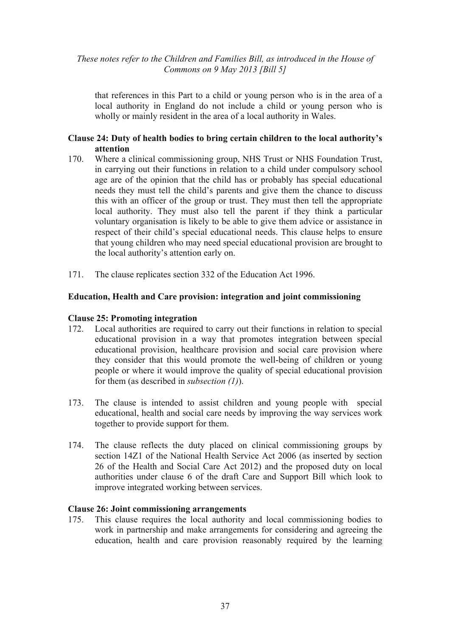that references in this Part to a child or young person who is in the area of a local authority in England do not include a child or young person who is wholly or mainly resident in the area of a local authority in Wales.

### **Clause 24: Duty of health bodies to bring certain children to the local authority's attention**

- 170. Where a clinical commissioning group, NHS Trust or NHS Foundation Trust, in carrying out their functions in relation to a child under compulsory school age are of the opinion that the child has or probably has special educational needs they must tell the child's parents and give them the chance to discuss this with an officer of the group or trust. They must then tell the appropriate local authority. They must also tell the parent if they think a particular voluntary organisation is likely to be able to give them advice or assistance in respect of their child's special educational needs. This clause helps to ensure that young children who may need special educational provision are brought to the local authority's attention early on.
- 171. The clause replicates section 332 of the Education Act 1996.

#### **Education, Health and Care provision: integration and joint commissioning**

#### **Clause 25: Promoting integration**

- 172. Local authorities are required to carry out their functions in relation to special educational provision in a way that promotes integration between special educational provision, healthcare provision and social care provision where they consider that this would promote the well-being of children or young people or where it would improve the quality of special educational provision for them (as described in *subsection (1)*).
- 173. The clause is intended to assist children and young people with special educational, health and social care needs by improving the way services work together to provide support for them.
- 174. The clause reflects the duty placed on clinical commissioning groups by section 14Z1 of the National Health Service Act 2006 (as inserted by section 26 of the Health and Social Care Act 2012) and the proposed duty on local authorities under clause 6 of the draft Care and Support Bill which look to improve integrated working between services.

#### **Clause 26: Joint commissioning arrangements**

175. This clause requires the local authority and local commissioning bodies to work in partnership and make arrangements for considering and agreeing the education, health and care provision reasonably required by the learning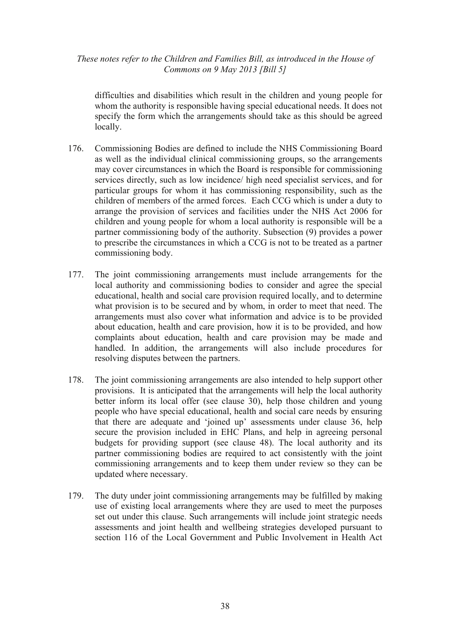difficulties and disabilities which result in the children and young people for whom the authority is responsible having special educational needs. It does not specify the form which the arrangements should take as this should be agreed locally.

- 176. Commissioning Bodies are defined to include the NHS Commissioning Board as well as the individual clinical commissioning groups, so the arrangements may cover circumstances in which the Board is responsible for commissioning services directly, such as low incidence/ high need specialist services, and for particular groups for whom it has commissioning responsibility, such as the children of members of the armed forces. Each CCG which is under a duty to arrange the provision of services and facilities under the NHS Act 2006 for children and young people for whom a local authority is responsible will be a partner commissioning body of the authority. Subsection (9) provides a power to prescribe the circumstances in which a CCG is not to be treated as a partner commissioning body.
- 177. The joint commissioning arrangements must include arrangements for the local authority and commissioning bodies to consider and agree the special educational, health and social care provision required locally, and to determine what provision is to be secured and by whom, in order to meet that need. The arrangements must also cover what information and advice is to be provided about education, health and care provision, how it is to be provided, and how complaints about education, health and care provision may be made and handled. In addition, the arrangements will also include procedures for resolving disputes between the partners.
- 178. The joint commissioning arrangements are also intended to help support other provisions. It is anticipated that the arrangements will help the local authority better inform its local offer (see clause 30), help those children and young people who have special educational, health and social care needs by ensuring that there are adequate and 'joined up' assessments under clause 36, help secure the provision included in EHC Plans, and help in agreeing personal budgets for providing support (see clause 48). The local authority and its partner commissioning bodies are required to act consistently with the joint commissioning arrangements and to keep them under review so they can be updated where necessary.
- 179. The duty under joint commissioning arrangements may be fulfilled by making use of existing local arrangements where they are used to meet the purposes set out under this clause. Such arrangements will include joint strategic needs assessments and joint health and wellbeing strategies developed pursuant to section 116 of the Local Government and Public Involvement in Health Act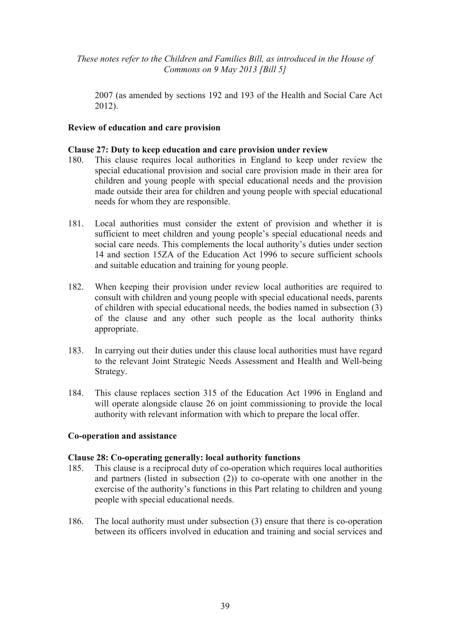2007 (as amended by sections 192 and 193 of the Health and Social Care Act 2012).

### **Review of education and care provision**

#### **Clause 27: Duty to keep education and care provision under review**

- 180. This clause requires local authorities in England to keep under review the special educational provision and social care provision made in their area for children and young people with special educational needs and the provision made outside their area for children and young people with special educational needs for whom they are responsible.
- 181. Local authorities must consider the extent of provision and whether it is sufficient to meet children and young people's special educational needs and social care needs. This complements the local authority's duties under section 14 and section 15ZA of the Education Act 1996 to secure sufficient schools and suitable education and training for young people.
- 182. When keeping their provision under review local authorities are required to consult with children and young people with special educational needs, parents of children with special educational needs, the bodies named in subsection (3) of the clause and any other such people as the local authority thinks appropriate.
- 183. In carrying out their duties under this clause local authorities must have regard to the relevant Joint Strategic Needs Assessment and Health and Well-being Strategy.
- 184. This clause replaces section 315 of the Education Act 1996 in England and will operate alongside clause 26 on joint commissioning to provide the local authority with relevant information with which to prepare the local offer.

#### **Co-operation and assistance**

#### **Clause 28: Co-operating generally: local authority functions**

- 185. This clause is a reciprocal duty of co-operation which requires local authorities and partners (listed in subsection (2)) to co-operate with one another in the exercise of the authority's functions in this Part relating to children and young people with special educational needs.
- 186. The local authority must under subsection (3) ensure that there is co-operation between its officers involved in education and training and social services and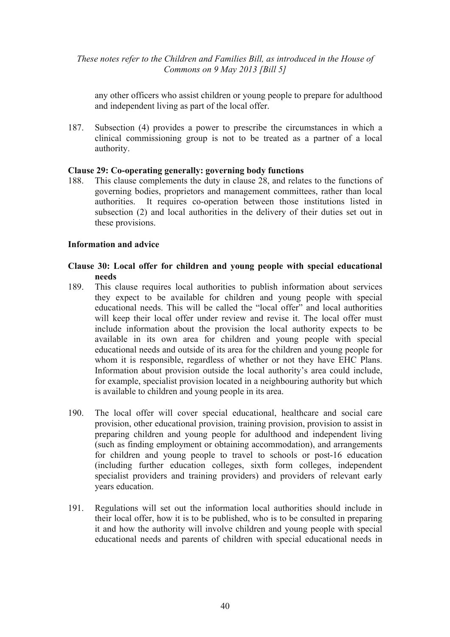any other officers who assist children or young people to prepare for adulthood and independent living as part of the local offer.

187. Subsection (4) provides a power to prescribe the circumstances in which a clinical commissioning group is not to be treated as a partner of a local authority.

### **Clause 29: Co-operating generally: governing body functions**

188. This clause complements the duty in clause 28, and relates to the functions of governing bodies, proprietors and management committees, rather than local authorities. It requires co-operation between those institutions listed in subsection (2) and local authorities in the delivery of their duties set out in these provisions.

#### **Information and advice**

### **Clause 30: Local offer for children and young people with special educational needs**

- 189. This clause requires local authorities to publish information about services they expect to be available for children and young people with special educational needs. This will be called the "local offer" and local authorities will keep their local offer under review and revise it. The local offer must include information about the provision the local authority expects to be available in its own area for children and young people with special educational needs and outside of its area for the children and young people for whom it is responsible, regardless of whether or not they have EHC Plans. Information about provision outside the local authority's area could include, for example, specialist provision located in a neighbouring authority but which is available to children and young people in its area.
- 190. The local offer will cover special educational, healthcare and social care provision, other educational provision, training provision, provision to assist in preparing children and young people for adulthood and independent living (such as finding employment or obtaining accommodation), and arrangements for children and young people to travel to schools or post-16 education (including further education colleges, sixth form colleges, independent specialist providers and training providers) and providers of relevant early years education.
- 191. Regulations will set out the information local authorities should include in their local offer, how it is to be published, who is to be consulted in preparing it and how the authority will involve children and young people with special educational needs and parents of children with special educational needs in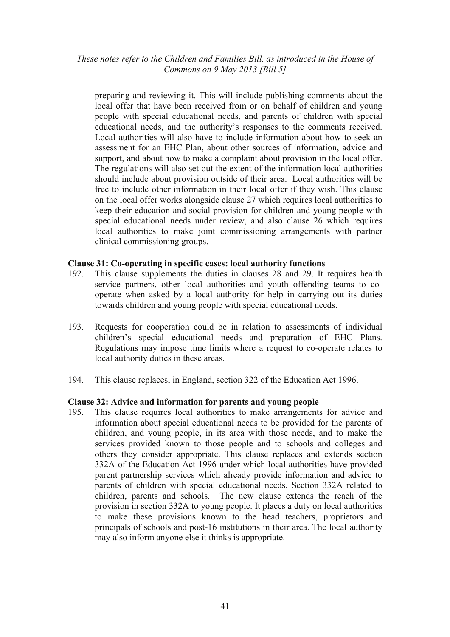preparing and reviewing it. This will include publishing comments about the local offer that have been received from or on behalf of children and young people with special educational needs, and parents of children with special educational needs, and the authority's responses to the comments received. Local authorities will also have to include information about how to seek an assessment for an EHC Plan, about other sources of information, advice and support, and about how to make a complaint about provision in the local offer. The regulations will also set out the extent of the information local authorities should include about provision outside of their area. Local authorities will be free to include other information in their local offer if they wish. This clause on the local offer works alongside clause 27 which requires local authorities to keep their education and social provision for children and young people with special educational needs under review, and also clause 26 which requires local authorities to make joint commissioning arrangements with partner clinical commissioning groups.

### **Clause 31: Co-operating in specific cases: local authority functions**

- 192. This clause supplements the duties in clauses 28 and 29. It requires health service partners, other local authorities and youth offending teams to cooperate when asked by a local authority for help in carrying out its duties towards children and young people with special educational needs.
- 193. Requests for cooperation could be in relation to assessments of individual children's special educational needs and preparation of EHC Plans. Regulations may impose time limits where a request to co-operate relates to local authority duties in these areas.
- 194. This clause replaces, in England, section 322 of the Education Act 1996.

### **Clause 32: Advice and information for parents and young people**

195. This clause requires local authorities to make arrangements for advice and information about special educational needs to be provided for the parents of children, and young people, in its area with those needs, and to make the services provided known to those people and to schools and colleges and others they consider appropriate. This clause replaces and extends section 332A of the Education Act 1996 under which local authorities have provided parent partnership services which already provide information and advice to parents of children with special educational needs. Section 332A related to children, parents and schools. The new clause extends the reach of the provision in section 332A to young people. It places a duty on local authorities to make these provisions known to the head teachers, proprietors and principals of schools and post-16 institutions in their area. The local authority may also inform anyone else it thinks is appropriate.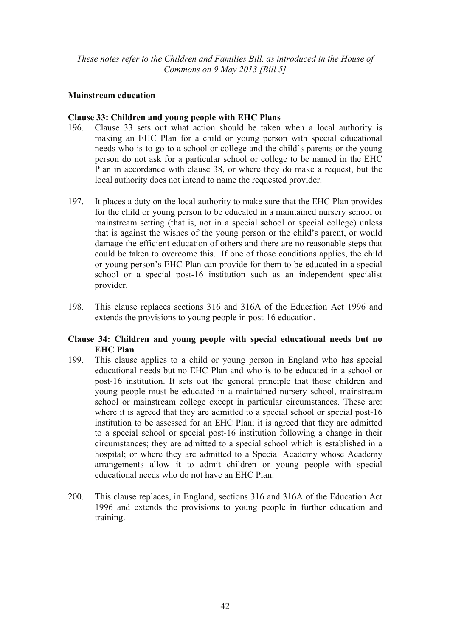## **Mainstream education**

### **Clause 33: Children and young people with EHC Plans**

- 196. Clause 33 sets out what action should be taken when a local authority is making an EHC Plan for a child or young person with special educational needs who is to go to a school or college and the child's parents or the young person do not ask for a particular school or college to be named in the EHC Plan in accordance with clause 38, or where they do make a request, but the local authority does not intend to name the requested provider.
- 197. It places a duty on the local authority to make sure that the EHC Plan provides for the child or young person to be educated in a maintained nursery school or mainstream setting (that is, not in a special school or special college) unless that is against the wishes of the young person or the child's parent, or would damage the efficient education of others and there are no reasonable steps that could be taken to overcome this. If one of those conditions applies, the child or young person's EHC Plan can provide for them to be educated in a special school or a special post-16 institution such as an independent specialist provider.
- 198. This clause replaces sections 316 and 316A of the Education Act 1996 and extends the provisions to young people in post-16 education.

### **Clause 34: Children and young people with special educational needs but no EHC Plan**

- 199. This clause applies to a child or young person in England who has special educational needs but no EHC Plan and who is to be educated in a school or post-16 institution. It sets out the general principle that those children and young people must be educated in a maintained nursery school, mainstream school or mainstream college except in particular circumstances. These are: where it is agreed that they are admitted to a special school or special post-16 institution to be assessed for an EHC Plan; it is agreed that they are admitted to a special school or special post-16 institution following a change in their circumstances; they are admitted to a special school which is established in a hospital; or where they are admitted to a Special Academy whose Academy arrangements allow it to admit children or young people with special educational needs who do not have an EHC Plan.
- 200. This clause replaces, in England, sections 316 and 316A of the Education Act 1996 and extends the provisions to young people in further education and training.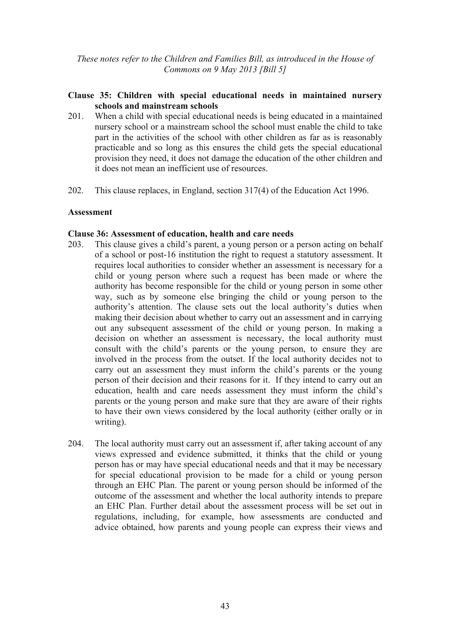## **Clause 35: Children with special educational needs in maintained nursery schools and mainstream schools**

- 201. When a child with special educational needs is being educated in a maintained nursery school or a mainstream school the school must enable the child to take part in the activities of the school with other children as far as is reasonably practicable and so long as this ensures the child gets the special educational provision they need, it does not damage the education of the other children and it does not mean an inefficient use of resources.
- 202. This clause replaces, in England, section 317(4) of the Education Act 1996.

### **Assessment**

### **Clause 36: Assessment of education, health and care needs**

- 203. This clause gives a child's parent, a young person or a person acting on behalf of a school or post-16 institution the right to request a statutory assessment. It requires local authorities to consider whether an assessment is necessary for a child or young person where such a request has been made or where the authority has become responsible for the child or young person in some other way, such as by someone else bringing the child or young person to the authority's attention. The clause sets out the local authority's duties when making their decision about whether to carry out an assessment and in carrying out any subsequent assessment of the child or young person. In making a decision on whether an assessment is necessary, the local authority must consult with the child's parents or the young person, to ensure they are involved in the process from the outset. If the local authority decides not to carry out an assessment they must inform the child's parents or the young person of their decision and their reasons for it. If they intend to carry out an education, health and care needs assessment they must inform the child's parents or the young person and make sure that they are aware of their rights to have their own views considered by the local authority (either orally or in writing).
- 204. The local authority must carry out an assessment if, after taking account of any views expressed and evidence submitted, it thinks that the child or young person has or may have special educational needs and that it may be necessary for special educational provision to be made for a child or young person through an EHC Plan. The parent or young person should be informed of the outcome of the assessment and whether the local authority intends to prepare an EHC Plan. Further detail about the assessment process will be set out in regulations, including, for example, how assessments are conducted and advice obtained, how parents and young people can express their views and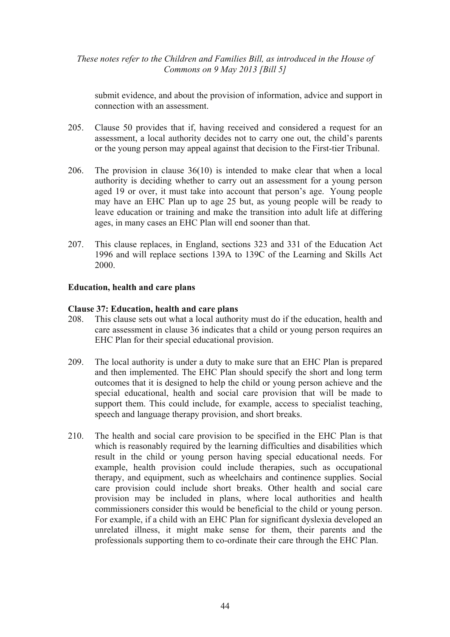submit evidence, and about the provision of information, advice and support in connection with an assessment.

- 205. Clause 50 provides that if, having received and considered a request for an assessment, a local authority decides not to carry one out, the child's parents or the young person may appeal against that decision to the First-tier Tribunal.
- 206. The provision in clause 36(10) is intended to make clear that when a local authority is deciding whether to carry out an assessment for a young person aged 19 or over, it must take into account that person's age. Young people may have an EHC Plan up to age 25 but, as young people will be ready to leave education or training and make the transition into adult life at differing ages, in many cases an EHC Plan will end sooner than that.
- 207. This clause replaces, in England, sections 323 and 331 of the Education Act 1996 and will replace sections 139A to 139C of the Learning and Skills Act 2000.

### **Education, health and care plans**

### **Clause 37: Education, health and care plans**

- 208. This clause sets out what a local authority must do if the education, health and care assessment in clause 36 indicates that a child or young person requires an EHC Plan for their special educational provision.
- 209. The local authority is under a duty to make sure that an EHC Plan is prepared and then implemented. The EHC Plan should specify the short and long term outcomes that it is designed to help the child or young person achieve and the special educational, health and social care provision that will be made to support them. This could include, for example, access to specialist teaching, speech and language therapy provision, and short breaks.
- 210. The health and social care provision to be specified in the EHC Plan is that which is reasonably required by the learning difficulties and disabilities which result in the child or young person having special educational needs. For example, health provision could include therapies, such as occupational therapy, and equipment, such as wheelchairs and continence supplies. Social care provision could include short breaks. Other health and social care provision may be included in plans, where local authorities and health commissioners consider this would be beneficial to the child or young person. For example, if a child with an EHC Plan for significant dyslexia developed an unrelated illness, it might make sense for them, their parents and the professionals supporting them to co-ordinate their care through the EHC Plan.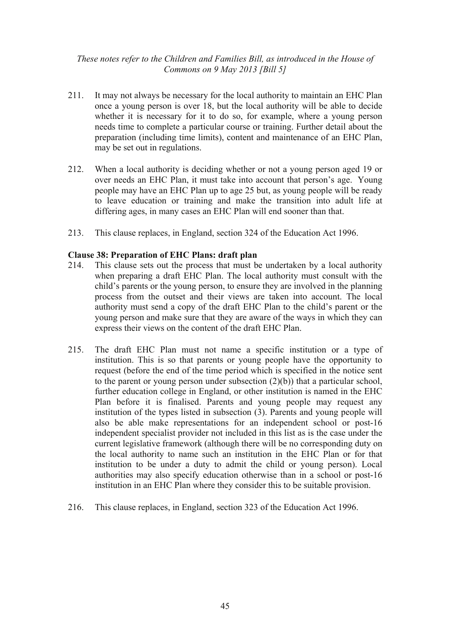- 211. It may not always be necessary for the local authority to maintain an EHC Plan once a young person is over 18, but the local authority will be able to decide whether it is necessary for it to do so, for example, where a young person needs time to complete a particular course or training. Further detail about the preparation (including time limits), content and maintenance of an EHC Plan, may be set out in regulations.
- 212. When a local authority is deciding whether or not a young person aged 19 or over needs an EHC Plan, it must take into account that person's age. Young people may have an EHC Plan up to age 25 but, as young people will be ready to leave education or training and make the transition into adult life at differing ages, in many cases an EHC Plan will end sooner than that.
- 213. This clause replaces, in England, section 324 of the Education Act 1996.

### **Clause 38: Preparation of EHC Plans: draft plan**

- 214. This clause sets out the process that must be undertaken by a local authority when preparing a draft EHC Plan. The local authority must consult with the child's parents or the young person, to ensure they are involved in the planning process from the outset and their views are taken into account. The local authority must send a copy of the draft EHC Plan to the child's parent or the young person and make sure that they are aware of the ways in which they can express their views on the content of the draft EHC Plan.
- 215. The draft EHC Plan must not name a specific institution or a type of institution. This is so that parents or young people have the opportunity to request (before the end of the time period which is specified in the notice sent to the parent or young person under subsection  $(2)(b)$ ) that a particular school, further education college in England, or other institution is named in the EHC Plan before it is finalised. Parents and young people may request any institution of the types listed in subsection (3). Parents and young people will also be able make representations for an independent school or post-16 independent specialist provider not included in this list as is the case under the current legislative framework (although there will be no corresponding duty on the local authority to name such an institution in the EHC Plan or for that institution to be under a duty to admit the child or young person). Local authorities may also specify education otherwise than in a school or post-16 institution in an EHC Plan where they consider this to be suitable provision.
- 216. This clause replaces, in England, section 323 of the Education Act 1996.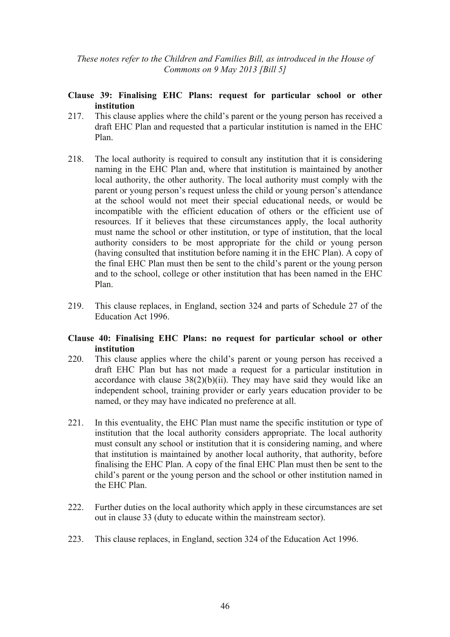### **Clause 39: Finalising EHC Plans: request for particular school or other institution**

- 217. This clause applies where the child's parent or the young person has received a draft EHC Plan and requested that a particular institution is named in the EHC Plan.
- 218. The local authority is required to consult any institution that it is considering naming in the EHC Plan and, where that institution is maintained by another local authority, the other authority. The local authority must comply with the parent or young person's request unless the child or young person's attendance at the school would not meet their special educational needs, or would be incompatible with the efficient education of others or the efficient use of resources. If it believes that these circumstances apply, the local authority must name the school or other institution, or type of institution, that the local authority considers to be most appropriate for the child or young person (having consulted that institution before naming it in the EHC Plan). A copy of the final EHC Plan must then be sent to the child's parent or the young person and to the school, college or other institution that has been named in the EHC Plan.
- 219. This clause replaces, in England, section 324 and parts of Schedule 27 of the Education Act 1996.

#### **Clause 40: Finalising EHC Plans: no request for particular school or other institution**

- 220. This clause applies where the child's parent or young person has received a draft EHC Plan but has not made a request for a particular institution in accordance with clause  $38(2)(b)(ii)$ . They may have said they would like an independent school, training provider or early years education provider to be named, or they may have indicated no preference at all.
- 221. In this eventuality, the EHC Plan must name the specific institution or type of institution that the local authority considers appropriate. The local authority must consult any school or institution that it is considering naming, and where that institution is maintained by another local authority, that authority, before finalising the EHC Plan. A copy of the final EHC Plan must then be sent to the child's parent or the young person and the school or other institution named in the EHC Plan.
- 222. Further duties on the local authority which apply in these circumstances are set out in clause 33 (duty to educate within the mainstream sector).
- 223. This clause replaces, in England, section 324 of the Education Act 1996.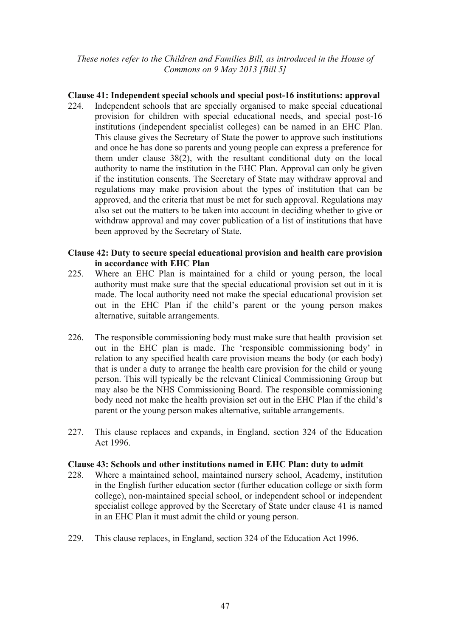## **Clause 41: Independent special schools and special post-16 institutions: approval**

224. Independent schools that are specially organised to make special educational provision for children with special educational needs, and special post-16 institutions (independent specialist colleges) can be named in an EHC Plan. This clause gives the Secretary of State the power to approve such institutions and once he has done so parents and young people can express a preference for them under clause 38(2), with the resultant conditional duty on the local authority to name the institution in the EHC Plan. Approval can only be given if the institution consents. The Secretary of State may withdraw approval and regulations may make provision about the types of institution that can be approved, and the criteria that must be met for such approval. Regulations may also set out the matters to be taken into account in deciding whether to give or withdraw approval and may cover publication of a list of institutions that have been approved by the Secretary of State.

### **Clause 42: Duty to secure special educational provision and health care provision in accordance with EHC Plan**

- 225. Where an EHC Plan is maintained for a child or young person, the local authority must make sure that the special educational provision set out in it is made. The local authority need not make the special educational provision set out in the EHC Plan if the child's parent or the young person makes alternative, suitable arrangements.
- 226. The responsible commissioning body must make sure that health provision set out in the EHC plan is made. The 'responsible commissioning body' in relation to any specified health care provision means the body (or each body) that is under a duty to arrange the health care provision for the child or young person. This will typically be the relevant Clinical Commissioning Group but may also be the NHS Commissioning Board. The responsible commissioning body need not make the health provision set out in the EHC Plan if the child's parent or the young person makes alternative, suitable arrangements.
- 227. This clause replaces and expands, in England, section 324 of the Education Act 1996.

### **Clause 43: Schools and other institutions named in EHC Plan: duty to admit**

- 228. Where a maintained school, maintained nursery school, Academy, institution in the English further education sector (further education college or sixth form college), non-maintained special school, or independent school or independent specialist college approved by the Secretary of State under clause 41 is named in an EHC Plan it must admit the child or young person.
- 229. This clause replaces, in England, section 324 of the Education Act 1996.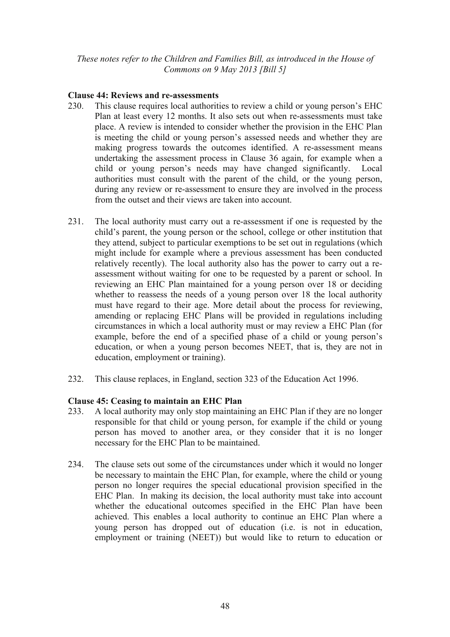### **Clause 44: Reviews and re-assessments**

- 230. This clause requires local authorities to review a child or young person's EHC Plan at least every 12 months. It also sets out when re-assessments must take place. A review is intended to consider whether the provision in the EHC Plan is meeting the child or young person's assessed needs and whether they are making progress towards the outcomes identified. A re-assessment means undertaking the assessment process in Clause 36 again, for example when a child or young person's needs may have changed significantly. Local authorities must consult with the parent of the child, or the young person, during any review or re-assessment to ensure they are involved in the process from the outset and their views are taken into account.
- 231. The local authority must carry out a re-assessment if one is requested by the child's parent, the young person or the school, college or other institution that they attend, subject to particular exemptions to be set out in regulations (which might include for example where a previous assessment has been conducted relatively recently). The local authority also has the power to carry out a reassessment without waiting for one to be requested by a parent or school. In reviewing an EHC Plan maintained for a young person over 18 or deciding whether to reassess the needs of a young person over 18 the local authority must have regard to their age. More detail about the process for reviewing, amending or replacing EHC Plans will be provided in regulations including circumstances in which a local authority must or may review a EHC Plan (for example, before the end of a specified phase of a child or young person's education, or when a young person becomes NEET, that is, they are not in education, employment or training).
- 232. This clause replaces, in England, section 323 of the Education Act 1996.

# **Clause 45: Ceasing to maintain an EHC Plan**

- 233. A local authority may only stop maintaining an EHC Plan if they are no longer responsible for that child or young person, for example if the child or young person has moved to another area, or they consider that it is no longer necessary for the EHC Plan to be maintained.
- 234. The clause sets out some of the circumstances under which it would no longer be necessary to maintain the EHC Plan, for example, where the child or young person no longer requires the special educational provision specified in the EHC Plan. In making its decision, the local authority must take into account whether the educational outcomes specified in the EHC Plan have been achieved. This enables a local authority to continue an EHC Plan where a young person has dropped out of education (i.e. is not in education, employment or training (NEET)) but would like to return to education or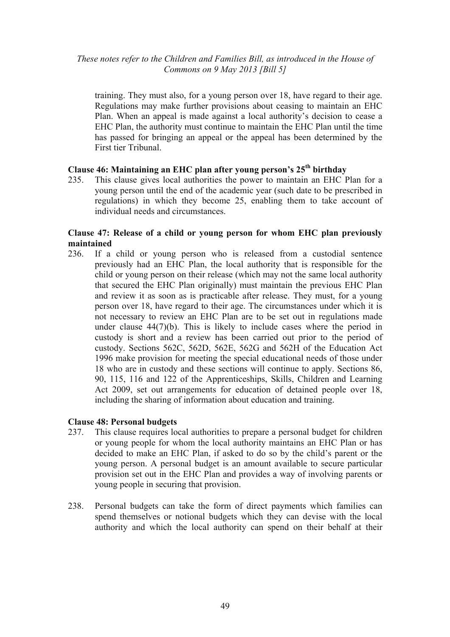training. They must also, for a young person over 18, have regard to their age. Regulations may make further provisions about ceasing to maintain an EHC Plan. When an appeal is made against a local authority's decision to cease a EHC Plan, the authority must continue to maintain the EHC Plan until the time has passed for bringing an appeal or the appeal has been determined by the First tier Tribunal.

# **Clause 46: Maintaining an EHC plan after young person's 25th birthday**

235. This clause gives local authorities the power to maintain an EHC Plan for a young person until the end of the academic year (such date to be prescribed in regulations) in which they become 25, enabling them to take account of individual needs and circumstances.

## **Clause 47: Release of a child or young person for whom EHC plan previously maintained**

236. If a child or young person who is released from a custodial sentence previously had an EHC Plan, the local authority that is responsible for the child or young person on their release (which may not the same local authority that secured the EHC Plan originally) must maintain the previous EHC Plan and review it as soon as is practicable after release. They must, for a young person over 18, have regard to their age. The circumstances under which it is not necessary to review an EHC Plan are to be set out in regulations made under clause 44(7)(b). This is likely to include cases where the period in custody is short and a review has been carried out prior to the period of custody. Sections 562C, 562D, 562E, 562G and 562H of the Education Act 1996 make provision for meeting the special educational needs of those under 18 who are in custody and these sections will continue to apply. Sections 86, 90, 115, 116 and 122 of the Apprenticeships, Skills, Children and Learning Act 2009, set out arrangements for education of detained people over 18, including the sharing of information about education and training.

### **Clause 48: Personal budgets**

- 237. This clause requires local authorities to prepare a personal budget for children or young people for whom the local authority maintains an EHC Plan or has decided to make an EHC Plan, if asked to do so by the child's parent or the young person. A personal budget is an amount available to secure particular provision set out in the EHC Plan and provides a way of involving parents or young people in securing that provision.
- 238. Personal budgets can take the form of direct payments which families can spend themselves or notional budgets which they can devise with the local authority and which the local authority can spend on their behalf at their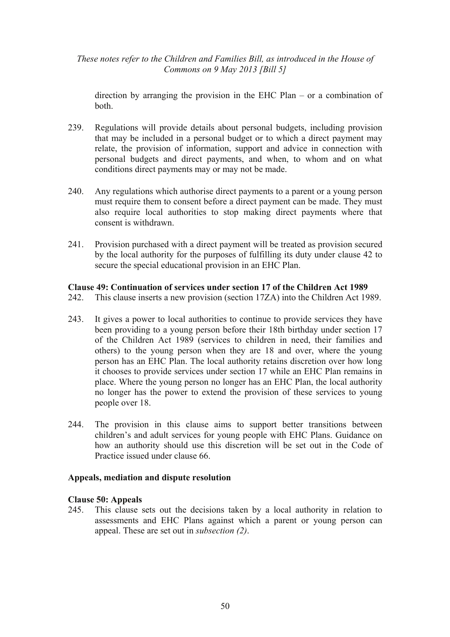direction by arranging the provision in the EHC Plan – or a combination of both.

- 239. Regulations will provide details about personal budgets, including provision that may be included in a personal budget or to which a direct payment may relate, the provision of information, support and advice in connection with personal budgets and direct payments, and when, to whom and on what conditions direct payments may or may not be made.
- 240. Any regulations which authorise direct payments to a parent or a young person must require them to consent before a direct payment can be made. They must also require local authorities to stop making direct payments where that consent is withdrawn.
- 241. Provision purchased with a direct payment will be treated as provision secured by the local authority for the purposes of fulfilling its duty under clause 42 to secure the special educational provision in an EHC Plan.

### **Clause 49: Continuation of services under section 17 of the Children Act 1989**

- 242. This clause inserts a new provision (section 17ZA) into the Children Act 1989.
- 243. It gives a power to local authorities to continue to provide services they have been providing to a young person before their 18th birthday under section 17 of the Children Act 1989 (services to children in need, their families and others) to the young person when they are 18 and over, where the young person has an EHC Plan. The local authority retains discretion over how long it chooses to provide services under section 17 while an EHC Plan remains in place. Where the young person no longer has an EHC Plan, the local authority no longer has the power to extend the provision of these services to young people over 18.
- 244. The provision in this clause aims to support better transitions between children's and adult services for young people with EHC Plans. Guidance on how an authority should use this discretion will be set out in the Code of Practice issued under clause 66.

### **Appeals, mediation and dispute resolution**

### **Clause 50: Appeals**

245. This clause sets out the decisions taken by a local authority in relation to assessments and EHC Plans against which a parent or young person can appeal. These are set out in *subsection (2)*.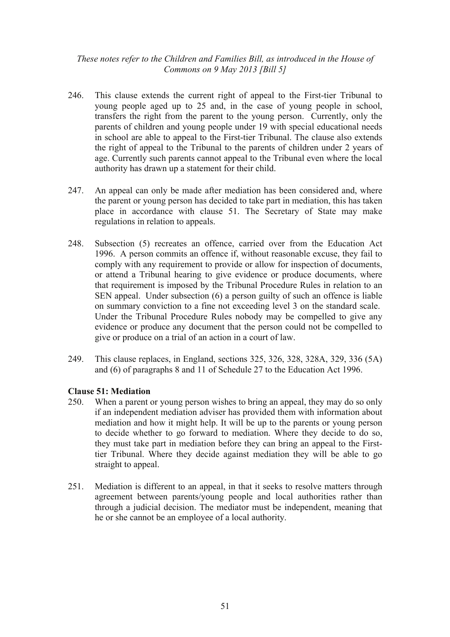- 246. This clause extends the current right of appeal to the First-tier Tribunal to young people aged up to 25 and, in the case of young people in school, transfers the right from the parent to the young person. Currently, only the parents of children and young people under 19 with special educational needs in school are able to appeal to the First-tier Tribunal. The clause also extends the right of appeal to the Tribunal to the parents of children under 2 years of age. Currently such parents cannot appeal to the Tribunal even where the local authority has drawn up a statement for their child.
- 247. An appeal can only be made after mediation has been considered and, where the parent or young person has decided to take part in mediation, this has taken place in accordance with clause 51. The Secretary of State may make regulations in relation to appeals.
- 248. Subsection (5) recreates an offence, carried over from the Education Act 1996. A person commits an offence if, without reasonable excuse, they fail to comply with any requirement to provide or allow for inspection of documents, or attend a Tribunal hearing to give evidence or produce documents, where that requirement is imposed by the Tribunal Procedure Rules in relation to an SEN appeal. Under subsection (6) a person guilty of such an offence is liable on summary conviction to a fine not exceeding level 3 on the standard scale. Under the Tribunal Procedure Rules nobody may be compelled to give any evidence or produce any document that the person could not be compelled to give or produce on a trial of an action in a court of law.
- 249. This clause replaces, in England, sections 325, 326, 328, 328A, 329, 336 (5A) and (6) of paragraphs 8 and 11 of Schedule 27 to the Education Act 1996.

# **Clause 51: Mediation**

- 250. When a parent or young person wishes to bring an appeal, they may do so only if an independent mediation adviser has provided them with information about mediation and how it might help. It will be up to the parents or young person to decide whether to go forward to mediation. Where they decide to do so, they must take part in mediation before they can bring an appeal to the Firsttier Tribunal. Where they decide against mediation they will be able to go straight to appeal.
- 251. Mediation is different to an appeal, in that it seeks to resolve matters through agreement between parents/young people and local authorities rather than through a judicial decision. The mediator must be independent, meaning that he or she cannot be an employee of a local authority.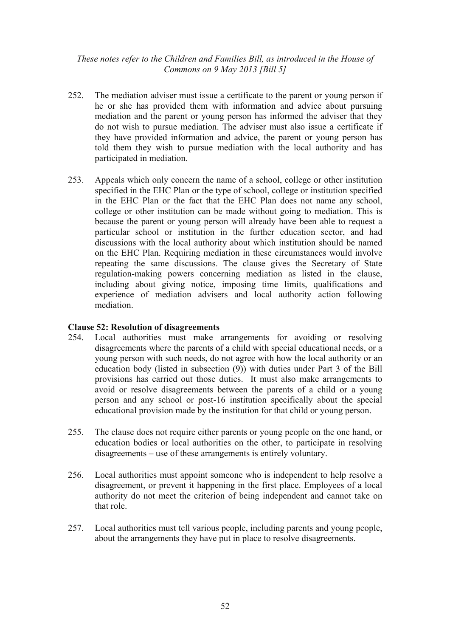- 252. The mediation adviser must issue a certificate to the parent or young person if he or she has provided them with information and advice about pursuing mediation and the parent or young person has informed the adviser that they do not wish to pursue mediation. The adviser must also issue a certificate if they have provided information and advice, the parent or young person has told them they wish to pursue mediation with the local authority and has participated in mediation.
- 253. Appeals which only concern the name of a school, college or other institution specified in the EHC Plan or the type of school, college or institution specified in the EHC Plan or the fact that the EHC Plan does not name any school, college or other institution can be made without going to mediation. This is because the parent or young person will already have been able to request a particular school or institution in the further education sector, and had discussions with the local authority about which institution should be named on the EHC Plan. Requiring mediation in these circumstances would involve repeating the same discussions. The clause gives the Secretary of State regulation-making powers concerning mediation as listed in the clause, including about giving notice, imposing time limits, qualifications and experience of mediation advisers and local authority action following mediation.

### **Clause 52: Resolution of disagreements**

- 254. Local authorities must make arrangements for avoiding or resolving disagreements where the parents of a child with special educational needs, or a young person with such needs, do not agree with how the local authority or an education body (listed in subsection (9)) with duties under Part 3 of the Bill provisions has carried out those duties. It must also make arrangements to avoid or resolve disagreements between the parents of a child or a young person and any school or post-16 institution specifically about the special educational provision made by the institution for that child or young person.
- 255. The clause does not require either parents or young people on the one hand, or education bodies or local authorities on the other, to participate in resolving disagreements – use of these arrangements is entirely voluntary.
- 256. Local authorities must appoint someone who is independent to help resolve a disagreement, or prevent it happening in the first place. Employees of a local authority do not meet the criterion of being independent and cannot take on that role.
- 257. Local authorities must tell various people, including parents and young people, about the arrangements they have put in place to resolve disagreements.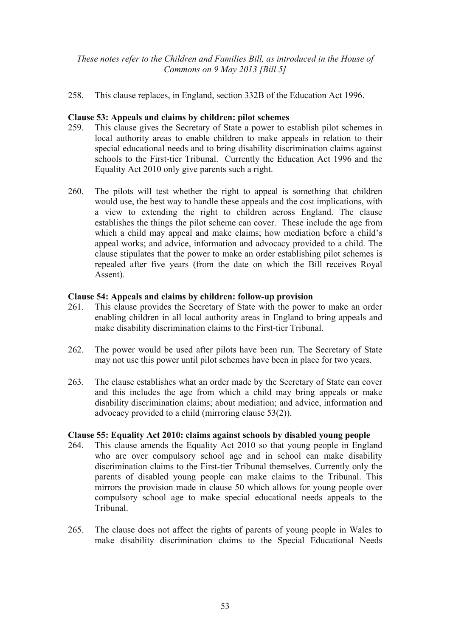258. This clause replaces, in England, section 332B of the Education Act 1996.

### **Clause 53: Appeals and claims by children: pilot schemes**

- 259. This clause gives the Secretary of State a power to establish pilot schemes in local authority areas to enable children to make appeals in relation to their special educational needs and to bring disability discrimination claims against schools to the First-tier Tribunal. Currently the Education Act 1996 and the Equality Act 2010 only give parents such a right.
- 260. The pilots will test whether the right to appeal is something that children would use, the best way to handle these appeals and the cost implications, with a view to extending the right to children across England. The clause establishes the things the pilot scheme can cover. These include the age from which a child may appeal and make claims; how mediation before a child's appeal works; and advice, information and advocacy provided to a child. The clause stipulates that the power to make an order establishing pilot schemes is repealed after five years (from the date on which the Bill receives Royal Assent).

### **Clause 54: Appeals and claims by children: follow-up provision**

- 261. This clause provides the Secretary of State with the power to make an order enabling children in all local authority areas in England to bring appeals and make disability discrimination claims to the First-tier Tribunal.
- 262. The power would be used after pilots have been run. The Secretary of State may not use this power until pilot schemes have been in place for two years.
- 263. The clause establishes what an order made by the Secretary of State can cover and this includes the age from which a child may bring appeals or make disability discrimination claims; about mediation; and advice, information and advocacy provided to a child (mirroring clause 53(2)).

### **Clause 55: Equality Act 2010: claims against schools by disabled young people**

- 264. This clause amends the Equality Act 2010 so that young people in England who are over compulsory school age and in school can make disability discrimination claims to the First-tier Tribunal themselves. Currently only the parents of disabled young people can make claims to the Tribunal. This mirrors the provision made in clause 50 which allows for young people over compulsory school age to make special educational needs appeals to the Tribunal.
- 265. The clause does not affect the rights of parents of young people in Wales to make disability discrimination claims to the Special Educational Needs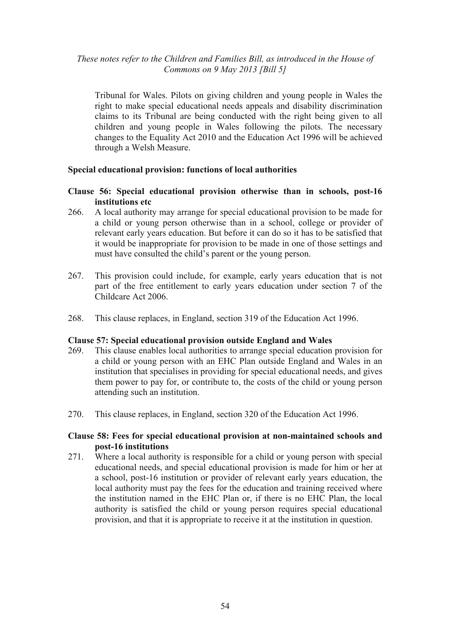Tribunal for Wales. Pilots on giving children and young people in Wales the right to make special educational needs appeals and disability discrimination claims to its Tribunal are being conducted with the right being given to all children and young people in Wales following the pilots. The necessary changes to the Equality Act 2010 and the Education Act 1996 will be achieved through a Welsh Measure.

### **Special educational provision: functions of local authorities**

### **Clause 56: Special educational provision otherwise than in schools, post-16 institutions etc**

- 266. A local authority may arrange for special educational provision to be made for a child or young person otherwise than in a school, college or provider of relevant early years education. But before it can do so it has to be satisfied that it would be inappropriate for provision to be made in one of those settings and must have consulted the child's parent or the young person.
- 267. This provision could include, for example, early years education that is not part of the free entitlement to early years education under section 7 of the Childcare Act 2006.
- 268. This clause replaces, in England, section 319 of the Education Act 1996.

### **Clause 57: Special educational provision outside England and Wales**

- 269. This clause enables local authorities to arrange special education provision for a child or young person with an EHC Plan outside England and Wales in an institution that specialises in providing for special educational needs, and gives them power to pay for, or contribute to, the costs of the child or young person attending such an institution.
- 270. This clause replaces, in England, section 320 of the Education Act 1996.

### **Clause 58: Fees for special educational provision at non-maintained schools and post-16 institutions**

271. Where a local authority is responsible for a child or young person with special educational needs, and special educational provision is made for him or her at a school, post-16 institution or provider of relevant early years education, the local authority must pay the fees for the education and training received where the institution named in the EHC Plan or, if there is no EHC Plan, the local authority is satisfied the child or young person requires special educational provision, and that it is appropriate to receive it at the institution in question.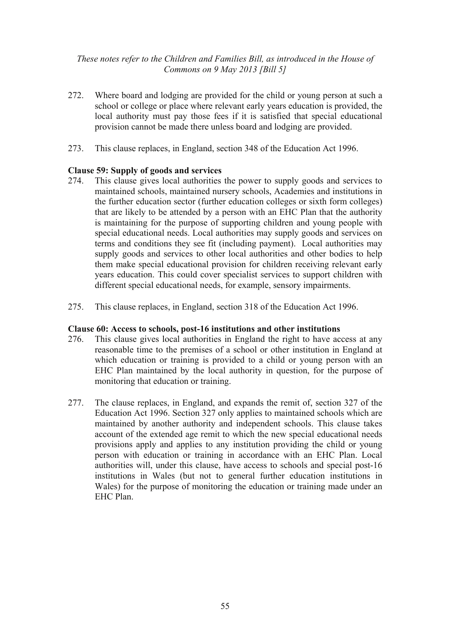- 272. Where board and lodging are provided for the child or young person at such a school or college or place where relevant early years education is provided, the local authority must pay those fees if it is satisfied that special educational provision cannot be made there unless board and lodging are provided.
- 273. This clause replaces, in England, section 348 of the Education Act 1996.

### **Clause 59: Supply of goods and services**

- 274. This clause gives local authorities the power to supply goods and services to maintained schools, maintained nursery schools, Academies and institutions in the further education sector (further education colleges or sixth form colleges) that are likely to be attended by a person with an EHC Plan that the authority is maintaining for the purpose of supporting children and young people with special educational needs. Local authorities may supply goods and services on terms and conditions they see fit (including payment). Local authorities may supply goods and services to other local authorities and other bodies to help them make special educational provision for children receiving relevant early years education. This could cover specialist services to support children with different special educational needs, for example, sensory impairments.
- 275. This clause replaces, in England, section 318 of the Education Act 1996.

### **Clause 60: Access to schools, post-16 institutions and other institutions**

- 276. This clause gives local authorities in England the right to have access at any reasonable time to the premises of a school or other institution in England at which education or training is provided to a child or young person with an EHC Plan maintained by the local authority in question, for the purpose of monitoring that education or training.
- 277. The clause replaces, in England, and expands the remit of, section 327 of the Education Act 1996. Section 327 only applies to maintained schools which are maintained by another authority and independent schools. This clause takes account of the extended age remit to which the new special educational needs provisions apply and applies to any institution providing the child or young person with education or training in accordance with an EHC Plan. Local authorities will, under this clause, have access to schools and special post-16 institutions in Wales (but not to general further education institutions in Wales) for the purpose of monitoring the education or training made under an EHC Plan.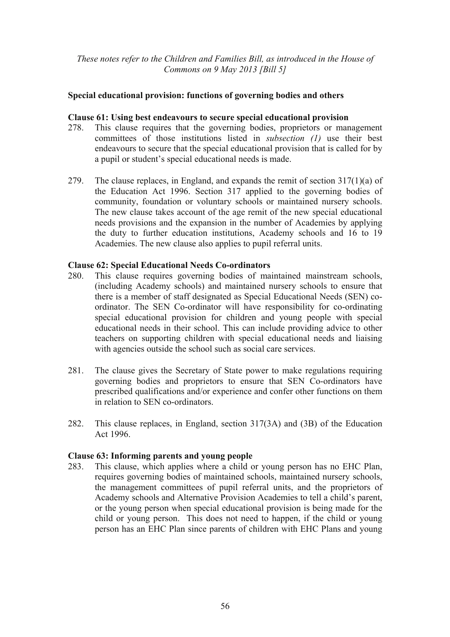### **Special educational provision: functions of governing bodies and others**

### **Clause 61: Using best endeavours to secure special educational provision**

- 278. This clause requires that the governing bodies, proprietors or management committees of those institutions listed in *subsection (1)* use their best endeavours to secure that the special educational provision that is called for by a pupil or student's special educational needs is made.
- 279. The clause replaces, in England, and expands the remit of section 317(1)(a) of the Education Act 1996. Section 317 applied to the governing bodies of community, foundation or voluntary schools or maintained nursery schools. The new clause takes account of the age remit of the new special educational needs provisions and the expansion in the number of Academies by applying the duty to further education institutions, Academy schools and 16 to 19 Academies. The new clause also applies to pupil referral units.

### **Clause 62: Special Educational Needs Co-ordinators**

- 280. This clause requires governing bodies of maintained mainstream schools, (including Academy schools) and maintained nursery schools to ensure that there is a member of staff designated as Special Educational Needs (SEN) coordinator. The SEN Co-ordinator will have responsibility for co-ordinating special educational provision for children and young people with special educational needs in their school. This can include providing advice to other teachers on supporting children with special educational needs and liaising with agencies outside the school such as social care services.
- 281. The clause gives the Secretary of State power to make regulations requiring governing bodies and proprietors to ensure that SEN Co-ordinators have prescribed qualifications and/or experience and confer other functions on them in relation to SEN co-ordinators.
- 282. This clause replaces, in England, section 317(3A) and (3B) of the Education Act 1996.

### **Clause 63: Informing parents and young people**

283. This clause, which applies where a child or young person has no EHC Plan, requires governing bodies of maintained schools, maintained nursery schools, the management committees of pupil referral units, and the proprietors of Academy schools and Alternative Provision Academies to tell a child's parent, or the young person when special educational provision is being made for the child or young person. This does not need to happen, if the child or young person has an EHC Plan since parents of children with EHC Plans and young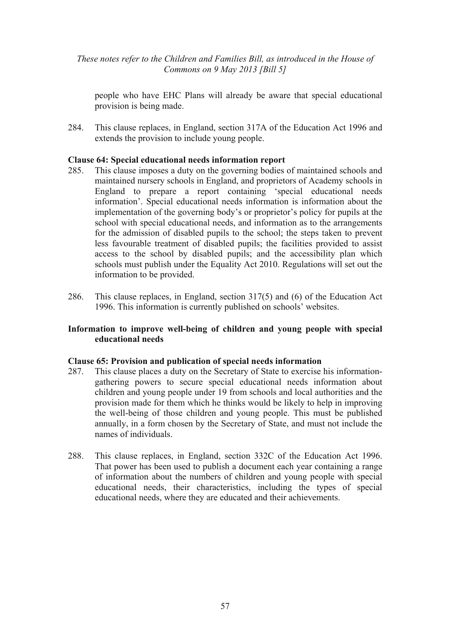people who have EHC Plans will already be aware that special educational provision is being made.

284. This clause replaces, in England, section 317A of the Education Act 1996 and extends the provision to include young people.

### **Clause 64: Special educational needs information report**

- 285. This clause imposes a duty on the governing bodies of maintained schools and maintained nursery schools in England, and proprietors of Academy schools in England to prepare a report containing 'special educational needs information'. Special educational needs information is information about the implementation of the governing body's or proprietor's policy for pupils at the school with special educational needs, and information as to the arrangements for the admission of disabled pupils to the school; the steps taken to prevent less favourable treatment of disabled pupils; the facilities provided to assist access to the school by disabled pupils; and the accessibility plan which schools must publish under the Equality Act 2010. Regulations will set out the information to be provided.
- 286. This clause replaces, in England, section 317(5) and (6) of the Education Act 1996. This information is currently published on schools' websites.

### **Information to improve well-being of children and young people with special educational needs**

### **Clause 65: Provision and publication of special needs information**

- 287. This clause places a duty on the Secretary of State to exercise his informationgathering powers to secure special educational needs information about children and young people under 19 from schools and local authorities and the provision made for them which he thinks would be likely to help in improving the well-being of those children and young people. This must be published annually, in a form chosen by the Secretary of State, and must not include the names of individuals.
- 288. This clause replaces, in England, section 332C of the Education Act 1996. That power has been used to publish a document each year containing a range of information about the numbers of children and young people with special educational needs, their characteristics, including the types of special educational needs, where they are educated and their achievements.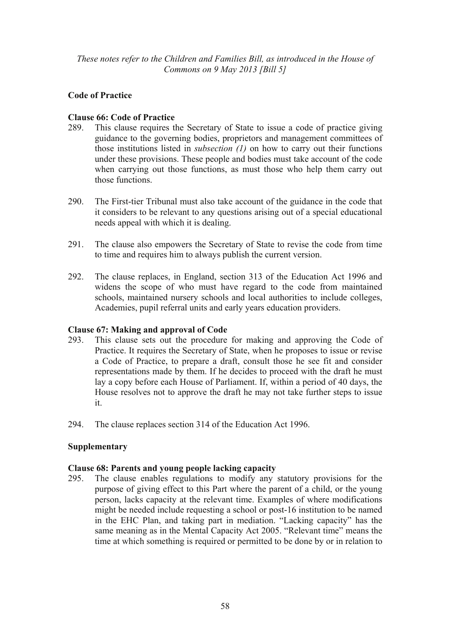# **Code of Practice**

# **Clause 66: Code of Practice**

- 289. This clause requires the Secretary of State to issue a code of practice giving guidance to the governing bodies, proprietors and management committees of those institutions listed in *subsection (1)* on how to carry out their functions under these provisions. These people and bodies must take account of the code when carrying out those functions, as must those who help them carry out those functions.
- 290. The First-tier Tribunal must also take account of the guidance in the code that it considers to be relevant to any questions arising out of a special educational needs appeal with which it is dealing.
- 291. The clause also empowers the Secretary of State to revise the code from time to time and requires him to always publish the current version.
- 292. The clause replaces, in England, section 313 of the Education Act 1996 and widens the scope of who must have regard to the code from maintained schools, maintained nursery schools and local authorities to include colleges, Academies, pupil referral units and early years education providers.

# **Clause 67: Making and approval of Code**

- 293. This clause sets out the procedure for making and approving the Code of Practice. It requires the Secretary of State, when he proposes to issue or revise a Code of Practice, to prepare a draft, consult those he see fit and consider representations made by them. If he decides to proceed with the draft he must lay a copy before each House of Parliament. If, within a period of 40 days, the House resolves not to approve the draft he may not take further steps to issue it.
- 294. The clause replaces section 314 of the Education Act 1996.

# **Supplementary**

# **Clause 68: Parents and young people lacking capacity**

295. The clause enables regulations to modify any statutory provisions for the purpose of giving effect to this Part where the parent of a child, or the young person, lacks capacity at the relevant time. Examples of where modifications might be needed include requesting a school or post-16 institution to be named in the EHC Plan, and taking part in mediation. "Lacking capacity" has the same meaning as in the Mental Capacity Act 2005. "Relevant time" means the time at which something is required or permitted to be done by or in relation to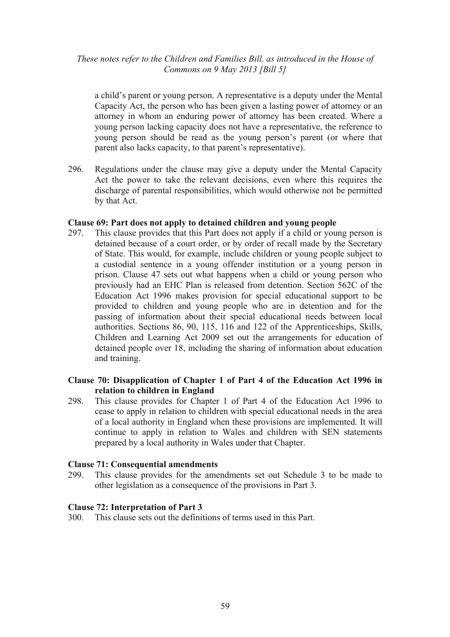a child's parent or young person. A representative is a deputy under the Mental Capacity Act, the person who has been given a lasting power of attorney or an attorney in whom an enduring power of attorney has been created. Where a young person lacking capacity does not have a representative, the reference to young person should be read as the young person's parent (or where that parent also lacks capacity, to that parent's representative).

296. Regulations under the clause may give a deputy under the Mental Capacity Act the power to take the relevant decisions, even where this requires the discharge of parental responsibilities, which would otherwise not be permitted by that Act.

### **Clause 69: Part does not apply to detained children and young people**

297. This clause provides that this Part does not apply if a child or young person is detained because of a court order, or by order of recall made by the Secretary of State. This would, for example, include children or young people subject to a custodial sentence in a young offender institution or a young person in prison. Clause 47 sets out what happens when a child or young person who previously had an EHC Plan is released from detention. Section 562C of the Education Act 1996 makes provision for special educational support to be provided to children and young people who are in detention and for the passing of information about their special educational needs between local authorities. Sections 86, 90, 115, 116 and 122 of the Apprenticeships, Skills, Children and Learning Act 2009 set out the arrangements for education of detained people over 18, including the sharing of information about education and training.

# **Clause 70: Disapplication of Chapter 1 of Part 4 of the Education Act 1996 in relation to children in England**

298. This clause provides for Chapter 1 of Part 4 of the Education Act 1996 to cease to apply in relation to children with special educational needs in the area of a local authority in England when these provisions are implemented. It will continue to apply in relation to Wales and children with SEN statements prepared by a local authority in Wales under that Chapter.

### **Clause 71: Consequential amendments**

299. This clause provides for the amendments set out Schedule 3 to be made to other legislation as a consequence of the provisions in Part 3.

# **Clause 72: Interpretation of Part 3**

300. This clause sets out the definitions of terms used in this Part.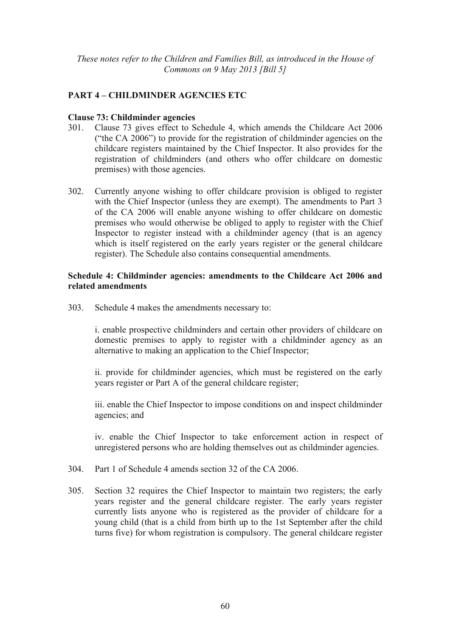# **PART 4 – CHILDMINDER AGENCIES ETC**

### **Clause 73: Childminder agencies**

- 301. Clause 73 gives effect to Schedule 4, which amends the Childcare Act 2006 ("the CA 2006") to provide for the registration of childminder agencies on the childcare registers maintained by the Chief Inspector. It also provides for the registration of childminders (and others who offer childcare on domestic premises) with those agencies.
- 302. Currently anyone wishing to offer childcare provision is obliged to register with the Chief Inspector (unless they are exempt). The amendments to Part 3 of the CA 2006 will enable anyone wishing to offer childcare on domestic premises who would otherwise be obliged to apply to register with the Chief Inspector to register instead with a childminder agency (that is an agency which is itself registered on the early years register or the general childcare register). The Schedule also contains consequential amendments.

## **Schedule 4: Childminder agencies: amendments to the Childcare Act 2006 and related amendments**

303. Schedule 4 makes the amendments necessary to:

i. enable prospective childminders and certain other providers of childcare on domestic premises to apply to register with a childminder agency as an alternative to making an application to the Chief Inspector;

ii. provide for childminder agencies, which must be registered on the early years register or Part A of the general childcare register;

iii. enable the Chief Inspector to impose conditions on and inspect childminder agencies; and

iv. enable the Chief Inspector to take enforcement action in respect of unregistered persons who are holding themselves out as childminder agencies.

- 304. Part 1 of Schedule 4 amends section 32 of the CA 2006.
- 305. Section 32 requires the Chief Inspector to maintain two registers; the early years register and the general childcare register. The early years register currently lists anyone who is registered as the provider of childcare for a young child (that is a child from birth up to the 1st September after the child turns five) for whom registration is compulsory. The general childcare register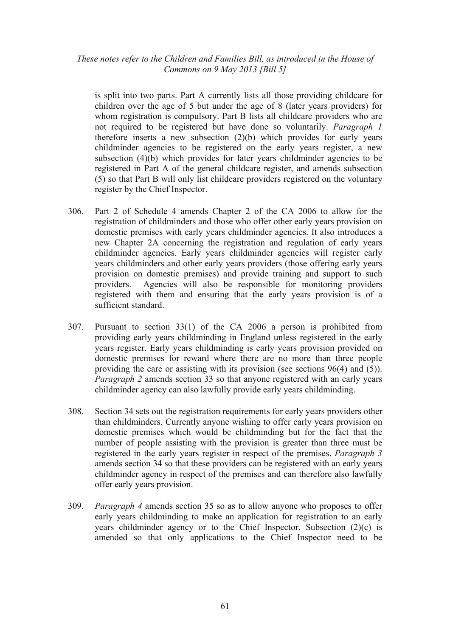is split into two parts. Part A currently lists all those providing childcare for children over the age of 5 but under the age of 8 (later years providers) for whom registration is compulsory. Part B lists all childcare providers who are not required to be registered but have done so voluntarily. *Paragraph 1* therefore inserts a new subsection (2)(b) which provides for early years childminder agencies to be registered on the early years register, a new subsection (4)(b) which provides for later years childminder agencies to be registered in Part A of the general childcare register, and amends subsection (5) so that Part B will only list childcare providers registered on the voluntary register by the Chief Inspector.

- 306. Part 2 of Schedule 4 amends Chapter 2 of the CA 2006 to allow for the registration of childminders and those who offer other early years provision on domestic premises with early years childminder agencies. It also introduces a new Chapter 2A concerning the registration and regulation of early years childminder agencies. Early years childminder agencies will register early years childminders and other early years providers (those offering early years provision on domestic premises) and provide training and support to such providers. Agencies will also be responsible for monitoring providers registered with them and ensuring that the early years provision is of a sufficient standard.
- 307. Pursuant to section 33(1) of the CA 2006 a person is prohibited from providing early years childminding in England unless registered in the early years register. Early years childminding is early years provision provided on domestic premises for reward where there are no more than three people providing the care or assisting with its provision (see sections 96(4) and (5)). *Paragraph 2* amends section 33 so that anyone registered with an early years childminder agency can also lawfully provide early years childminding.
- 308. Section 34 sets out the registration requirements for early years providers other than childminders. Currently anyone wishing to offer early years provision on domestic premises which would be childminding but for the fact that the number of people assisting with the provision is greater than three must be registered in the early years register in respect of the premises. *Paragraph 3* amends section 34 so that these providers can be registered with an early years childminder agency in respect of the premises and can therefore also lawfully offer early years provision.
- 309. *Paragraph 4* amends section 35 so as to allow anyone who proposes to offer early years childminding to make an application for registration to an early years childminder agency or to the Chief Inspector. Subsection (2)(c) is amended so that only applications to the Chief Inspector need to be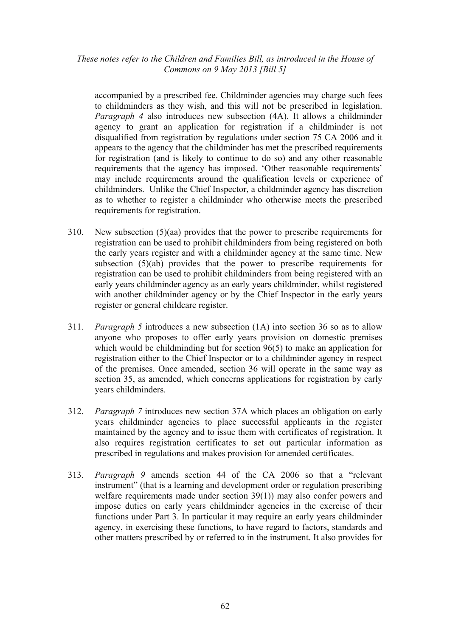accompanied by a prescribed fee. Childminder agencies may charge such fees to childminders as they wish, and this will not be prescribed in legislation. *Paragraph 4* also introduces new subsection (4A). It allows a childminder agency to grant an application for registration if a childminder is not disqualified from registration by regulations under section 75 CA 2006 and it appears to the agency that the childminder has met the prescribed requirements for registration (and is likely to continue to do so) and any other reasonable requirements that the agency has imposed. 'Other reasonable requirements' may include requirements around the qualification levels or experience of childminders. Unlike the Chief Inspector, a childminder agency has discretion as to whether to register a childminder who otherwise meets the prescribed requirements for registration.

- 310. New subsection (5)(aa) provides that the power to prescribe requirements for registration can be used to prohibit childminders from being registered on both the early years register and with a childminder agency at the same time. New subsection (5)(ab) provides that the power to prescribe requirements for registration can be used to prohibit childminders from being registered with an early years childminder agency as an early years childminder, whilst registered with another childminder agency or by the Chief Inspector in the early years register or general childcare register.
- 311. *Paragraph 5* introduces a new subsection (1A) into section 36 so as to allow anyone who proposes to offer early years provision on domestic premises which would be childminding but for section 96(5) to make an application for registration either to the Chief Inspector or to a childminder agency in respect of the premises. Once amended, section 36 will operate in the same way as section 35, as amended, which concerns applications for registration by early years childminders.
- 312. *Paragraph 7* introduces new section 37A which places an obligation on early years childminder agencies to place successful applicants in the register maintained by the agency and to issue them with certificates of registration. It also requires registration certificates to set out particular information as prescribed in regulations and makes provision for amended certificates.
- 313. *Paragraph 9* amends section 44 of the CA 2006 so that a "relevant instrument" (that is a learning and development order or regulation prescribing welfare requirements made under section 39(1)) may also confer powers and impose duties on early years childminder agencies in the exercise of their functions under Part 3. In particular it may require an early years childminder agency, in exercising these functions, to have regard to factors, standards and other matters prescribed by or referred to in the instrument. It also provides for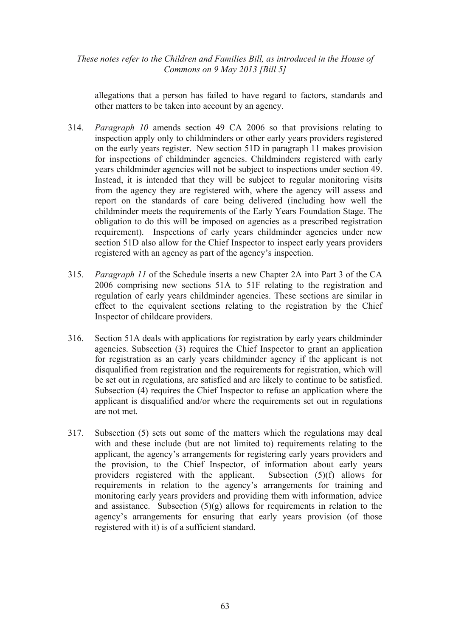allegations that a person has failed to have regard to factors, standards and other matters to be taken into account by an agency.

- 314. *Paragraph 10* amends section 49 CA 2006 so that provisions relating to inspection apply only to childminders or other early years providers registered on the early years register. New section 51D in paragraph 11 makes provision for inspections of childminder agencies. Childminders registered with early years childminder agencies will not be subject to inspections under section 49. Instead, it is intended that they will be subject to regular monitoring visits from the agency they are registered with, where the agency will assess and report on the standards of care being delivered (including how well the childminder meets the requirements of the Early Years Foundation Stage. The obligation to do this will be imposed on agencies as a prescribed registration requirement). Inspections of early years childminder agencies under new section 51D also allow for the Chief Inspector to inspect early years providers registered with an agency as part of the agency's inspection.
- 315. *Paragraph 11* of the Schedule inserts a new Chapter 2A into Part 3 of the CA 2006 comprising new sections 51A to 51F relating to the registration and regulation of early years childminder agencies. These sections are similar in effect to the equivalent sections relating to the registration by the Chief Inspector of childcare providers.
- 316. Section 51A deals with applications for registration by early years childminder agencies. Subsection (3) requires the Chief Inspector to grant an application for registration as an early years childminder agency if the applicant is not disqualified from registration and the requirements for registration, which will be set out in regulations, are satisfied and are likely to continue to be satisfied. Subsection (4) requires the Chief Inspector to refuse an application where the applicant is disqualified and/or where the requirements set out in regulations are not met.
- 317. Subsection (5) sets out some of the matters which the regulations may deal with and these include (but are not limited to) requirements relating to the applicant, the agency's arrangements for registering early years providers and the provision, to the Chief Inspector, of information about early years providers registered with the applicant. Subsection (5)(f) allows for requirements in relation to the agency's arrangements for training and monitoring early years providers and providing them with information, advice and assistance. Subsection  $(5)(g)$  allows for requirements in relation to the agency's arrangements for ensuring that early years provision (of those registered with it) is of a sufficient standard.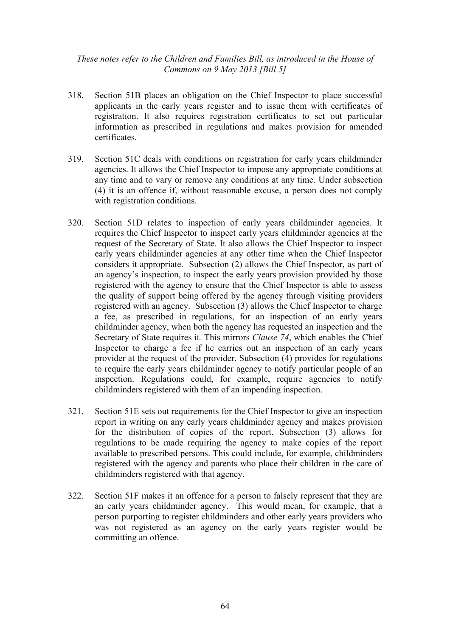- 318. Section 51B places an obligation on the Chief Inspector to place successful applicants in the early years register and to issue them with certificates of registration. It also requires registration certificates to set out particular information as prescribed in regulations and makes provision for amended certificates.
- 319. Section 51C deals with conditions on registration for early years childminder agencies. It allows the Chief Inspector to impose any appropriate conditions at any time and to vary or remove any conditions at any time. Under subsection (4) it is an offence if, without reasonable excuse, a person does not comply with registration conditions.
- 320. Section 51D relates to inspection of early years childminder agencies. It requires the Chief Inspector to inspect early years childminder agencies at the request of the Secretary of State. It also allows the Chief Inspector to inspect early years childminder agencies at any other time when the Chief Inspector considers it appropriate. Subsection (2) allows the Chief Inspector, as part of an agency's inspection, to inspect the early years provision provided by those registered with the agency to ensure that the Chief Inspector is able to assess the quality of support being offered by the agency through visiting providers registered with an agency. Subsection (3) allows the Chief Inspector to charge a fee, as prescribed in regulations, for an inspection of an early years childminder agency, when both the agency has requested an inspection and the Secretary of State requires it*.* This mirrors *Clause 74*, which enables the Chief Inspector to charge a fee if he carries out an inspection of an early years provider at the request of the provider. Subsection (4) provides for regulations to require the early years childminder agency to notify particular people of an inspection. Regulations could, for example, require agencies to notify childminders registered with them of an impending inspection.
- 321. Section 51E sets out requirements for the Chief Inspector to give an inspection report in writing on any early years childminder agency and makes provision for the distribution of copies of the report. Subsection (3) allows for regulations to be made requiring the agency to make copies of the report available to prescribed persons. This could include, for example, childminders registered with the agency and parents who place their children in the care of childminders registered with that agency.
- 322. Section 51F makes it an offence for a person to falsely represent that they are an early years childminder agency. This would mean, for example, that a person purporting to register childminders and other early years providers who was not registered as an agency on the early years register would be committing an offence.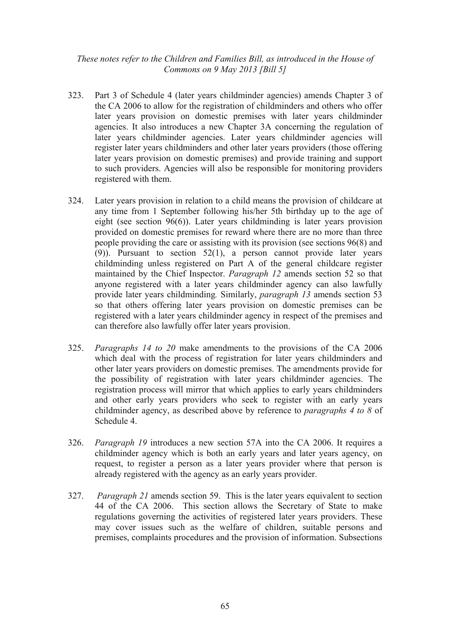- 323. Part 3 of Schedule 4 (later years childminder agencies) amends Chapter 3 of the CA 2006 to allow for the registration of childminders and others who offer later years provision on domestic premises with later years childminder agencies. It also introduces a new Chapter 3A concerning the regulation of later years childminder agencies. Later years childminder agencies will register later years childminders and other later years providers (those offering later years provision on domestic premises) and provide training and support to such providers. Agencies will also be responsible for monitoring providers registered with them.
- 324. Later years provision in relation to a child means the provision of childcare at any time from 1 September following his/her 5th birthday up to the age of eight (see section 96(6)). Later years childminding is later years provision provided on domestic premises for reward where there are no more than three people providing the care or assisting with its provision (see sections 96(8) and (9)). Pursuant to section 52(1), a person cannot provide later years childminding unless registered on Part A of the general childcare register maintained by the Chief Inspector. *Paragraph 12* amends section 52 so that anyone registered with a later years childminder agency can also lawfully provide later years childminding*.* Similarly, *paragraph 13* amends section 53 so that others offering later years provision on domestic premises can be registered with a later years childminder agency in respect of the premises and can therefore also lawfully offer later years provision.
- 325. *Paragraphs 14 to 20* make amendments to the provisions of the CA 2006 which deal with the process of registration for later years childminders and other later years providers on domestic premises. The amendments provide for the possibility of registration with later years childminder agencies. The registration process will mirror that which applies to early years childminders and other early years providers who seek to register with an early years childminder agency, as described above by reference to *paragraphs 4 to 8* of Schedule 4.
- 326. *Paragraph 19* introduces a new section 57A into the CA 2006. It requires a childminder agency which is both an early years and later years agency, on request, to register a person as a later years provider where that person is already registered with the agency as an early years provider.
- 327. *Paragraph 21* amends section 59. This is the later years equivalent to section 44 of the CA 2006. This section allows the Secretary of State to make regulations governing the activities of registered later years providers. These may cover issues such as the welfare of children, suitable persons and premises, complaints procedures and the provision of information. Subsections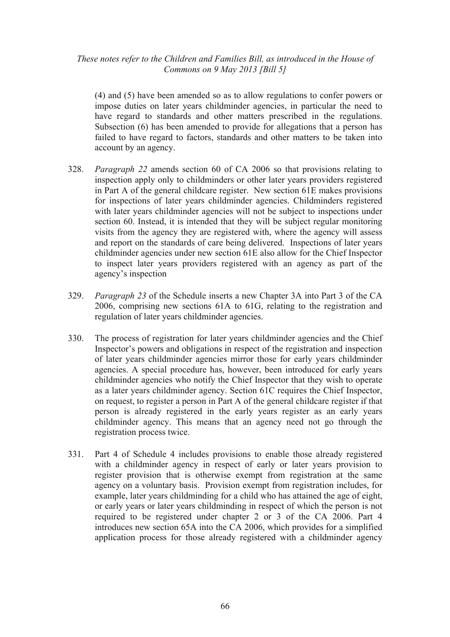(4) and (5) have been amended so as to allow regulations to confer powers or impose duties on later years childminder agencies, in particular the need to have regard to standards and other matters prescribed in the regulations. Subsection (6) has been amended to provide for allegations that a person has failed to have regard to factors, standards and other matters to be taken into account by an agency.

- 328. *Paragraph 22* amends section 60 of CA 2006 so that provisions relating to inspection apply only to childminders or other later years providers registered in Part A of the general childcare register. New section 61E makes provisions for inspections of later years childminder agencies. Childminders registered with later years childminder agencies will not be subject to inspections under section 60. Instead, it is intended that they will be subject regular monitoring visits from the agency they are registered with, where the agency will assess and report on the standards of care being delivered. Inspections of later years childminder agencies under new section 61E also allow for the Chief Inspector to inspect later years providers registered with an agency as part of the agency's inspection
- 329. *Paragraph 23* of the Schedule inserts a new Chapter 3A into Part 3 of the CA 2006, comprising new sections 61A to 61G, relating to the registration and regulation of later years childminder agencies.
- 330. The process of registration for later years childminder agencies and the Chief Inspector's powers and obligations in respect of the registration and inspection of later years childminder agencies mirror those for early years childminder agencies. A special procedure has, however, been introduced for early years childminder agencies who notify the Chief Inspector that they wish to operate as a later years childminder agency. Section 61C requires the Chief Inspector, on request, to register a person in Part A of the general childcare register if that person is already registered in the early years register as an early years childminder agency. This means that an agency need not go through the registration process twice.
- 331. Part 4 of Schedule 4 includes provisions to enable those already registered with a childminder agency in respect of early or later years provision to register provision that is otherwise exempt from registration at the same agency on a voluntary basis. Provision exempt from registration includes, for example, later years childminding for a child who has attained the age of eight, or early years or later years childminding in respect of which the person is not required to be registered under chapter 2 or 3 of the CA 2006. Part 4 introduces new section 65A into the CA 2006, which provides for a simplified application process for those already registered with a childminder agency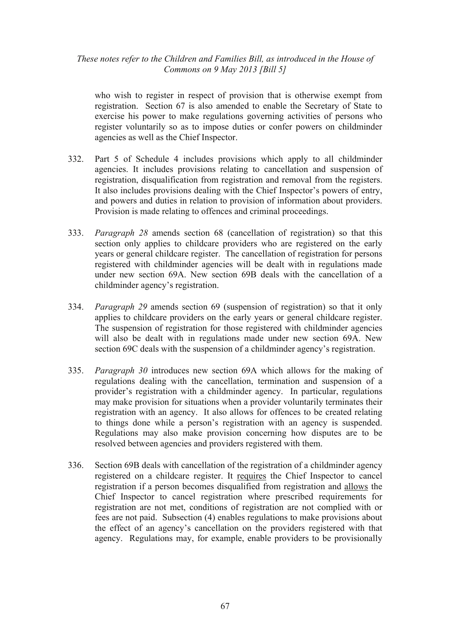who wish to register in respect of provision that is otherwise exempt from registration. Section 67 is also amended to enable the Secretary of State to exercise his power to make regulations governing activities of persons who register voluntarily so as to impose duties or confer powers on childminder agencies as well as the Chief Inspector.

- 332. Part 5 of Schedule 4 includes provisions which apply to all childminder agencies. It includes provisions relating to cancellation and suspension of registration, disqualification from registration and removal from the registers. It also includes provisions dealing with the Chief Inspector's powers of entry, and powers and duties in relation to provision of information about providers. Provision is made relating to offences and criminal proceedings.
- 333. *Paragraph 28* amends section 68 (cancellation of registration) so that this section only applies to childcare providers who are registered on the early years or general childcare register. The cancellation of registration for persons registered with childminder agencies will be dealt with in regulations made under new section 69A. New section 69B deals with the cancellation of a childminder agency's registration.
- 334. *Paragraph 29* amends section 69 (suspension of registration) so that it only applies to childcare providers on the early years or general childcare register. The suspension of registration for those registered with childminder agencies will also be dealt with in regulations made under new section 69A. New section 69C deals with the suspension of a childminder agency's registration.
- 335. *Paragraph 30* introduces new section 69A which allows for the making of regulations dealing with the cancellation, termination and suspension of a provider's registration with a childminder agency. In particular, regulations may make provision for situations when a provider voluntarily terminates their registration with an agency. It also allows for offences to be created relating to things done while a person's registration with an agency is suspended. Regulations may also make provision concerning how disputes are to be resolved between agencies and providers registered with them.
- 336. Section 69B deals with cancellation of the registration of a childminder agency registered on a childcare register. It requires the Chief Inspector to cancel registration if a person becomes disqualified from registration and allows the Chief Inspector to cancel registration where prescribed requirements for registration are not met, conditions of registration are not complied with or fees are not paid. Subsection (4) enables regulations to make provisions about the effect of an agency's cancellation on the providers registered with that agency. Regulations may, for example, enable providers to be provisionally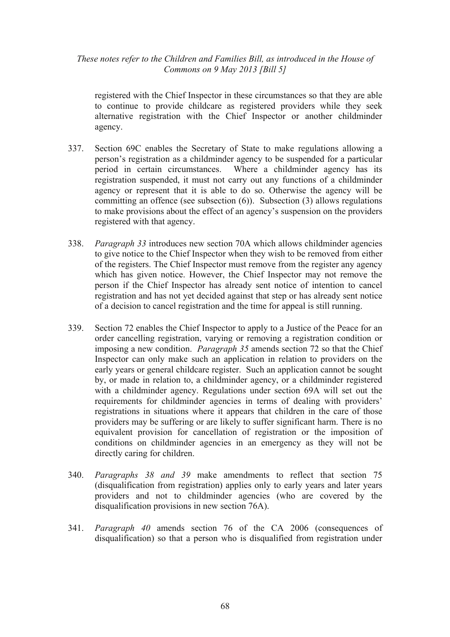registered with the Chief Inspector in these circumstances so that they are able to continue to provide childcare as registered providers while they seek alternative registration with the Chief Inspector or another childminder agency.

- 337. Section 69C enables the Secretary of State to make regulations allowing a person's registration as a childminder agency to be suspended for a particular period in certain circumstances. Where a childminder agency has its registration suspended, it must not carry out any functions of a childminder agency or represent that it is able to do so. Otherwise the agency will be committing an offence (see subsection (6)). Subsection (3) allows regulations to make provisions about the effect of an agency's suspension on the providers registered with that agency.
- 338. *Paragraph 33* introduces new section 70A which allows childminder agencies to give notice to the Chief Inspector when they wish to be removed from either of the registers. The Chief Inspector must remove from the register any agency which has given notice. However, the Chief Inspector may not remove the person if the Chief Inspector has already sent notice of intention to cancel registration and has not yet decided against that step or has already sent notice of a decision to cancel registration and the time for appeal is still running.
- 339. Section 72 enables the Chief Inspector to apply to a Justice of the Peace for an order cancelling registration, varying or removing a registration condition or imposing a new condition. *Paragraph 35* amends section 72 so that the Chief Inspector can only make such an application in relation to providers on the early years or general childcare register. Such an application cannot be sought by, or made in relation to, a childminder agency, or a childminder registered with a childminder agency. Regulations under section 69A will set out the requirements for childminder agencies in terms of dealing with providers' registrations in situations where it appears that children in the care of those providers may be suffering or are likely to suffer significant harm. There is no equivalent provision for cancellation of registration or the imposition of conditions on childminder agencies in an emergency as they will not be directly caring for children.
- 340. *Paragraphs 38 and 39* make amendments to reflect that section 75 (disqualification from registration) applies only to early years and later years providers and not to childminder agencies (who are covered by the disqualification provisions in new section 76A).
- 341. *Paragraph 40* amends section 76 of the CA 2006 (consequences of disqualification) so that a person who is disqualified from registration under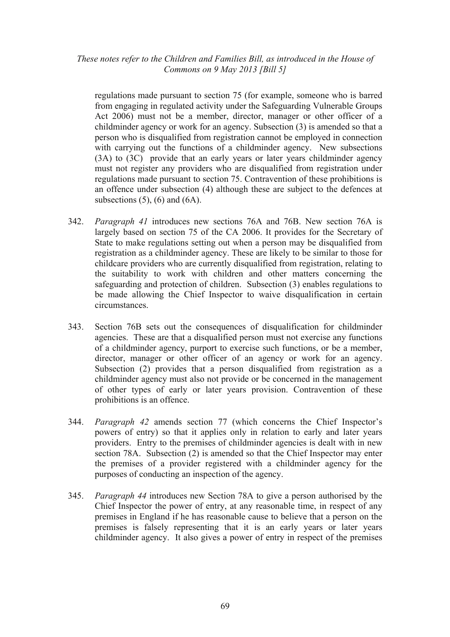regulations made pursuant to section 75 (for example, someone who is barred from engaging in regulated activity under the Safeguarding Vulnerable Groups Act 2006) must not be a member, director, manager or other officer of a childminder agency or work for an agency. Subsection (3) is amended so that a person who is disqualified from registration cannot be employed in connection with carrying out the functions of a childminder agency. New subsections (3A) to (3C) provide that an early years or later years childminder agency must not register any providers who are disqualified from registration under regulations made pursuant to section 75. Contravention of these prohibitions is an offence under subsection (4) although these are subject to the defences at subsections  $(5)$ ,  $(6)$  and  $(6A)$ .

- 342. *Paragraph 41* introduces new sections 76A and 76B. New section 76A is largely based on section 75 of the CA 2006. It provides for the Secretary of State to make regulations setting out when a person may be disqualified from registration as a childminder agency. These are likely to be similar to those for childcare providers who are currently disqualified from registration, relating to the suitability to work with children and other matters concerning the safeguarding and protection of children. Subsection (3) enables regulations to be made allowing the Chief Inspector to waive disqualification in certain circumstances.
- 343. Section 76B sets out the consequences of disqualification for childminder agencies. These are that a disqualified person must not exercise any functions of a childminder agency, purport to exercise such functions, or be a member, director, manager or other officer of an agency or work for an agency. Subsection (2) provides that a person disqualified from registration as a childminder agency must also not provide or be concerned in the management of other types of early or later years provision. Contravention of these prohibitions is an offence.
- 344. *Paragraph 42* amends section 77 (which concerns the Chief Inspector's powers of entry) so that it applies only in relation to early and later years providers. Entry to the premises of childminder agencies is dealt with in new section 78A. Subsection (2) is amended so that the Chief Inspector may enter the premises of a provider registered with a childminder agency for the purposes of conducting an inspection of the agency.
- 345. *Paragraph 44* introduces new Section 78A to give a person authorised by the Chief Inspector the power of entry, at any reasonable time, in respect of any premises in England if he has reasonable cause to believe that a person on the premises is falsely representing that it is an early years or later years childminder agency. It also gives a power of entry in respect of the premises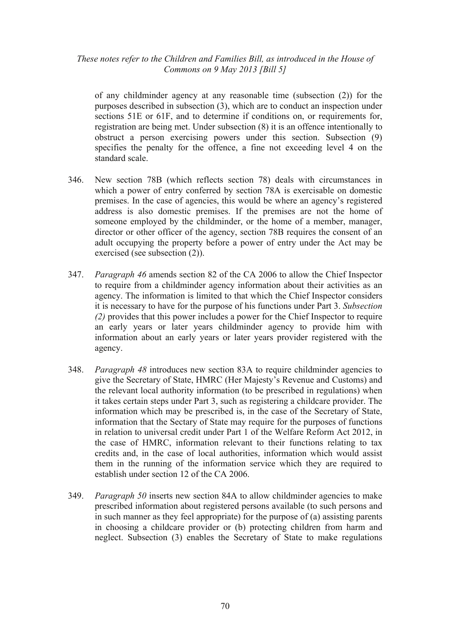of any childminder agency at any reasonable time (subsection (2)) for the purposes described in subsection (3), which are to conduct an inspection under sections 51E or 61F, and to determine if conditions on, or requirements for, registration are being met. Under subsection (8) it is an offence intentionally to obstruct a person exercising powers under this section. Subsection (9) specifies the penalty for the offence, a fine not exceeding level 4 on the standard scale.

- 346. New section 78B (which reflects section 78) deals with circumstances in which a power of entry conferred by section 78A is exercisable on domestic premises. In the case of agencies, this would be where an agency's registered address is also domestic premises. If the premises are not the home of someone employed by the childminder, or the home of a member, manager, director or other officer of the agency, section 78B requires the consent of an adult occupying the property before a power of entry under the Act may be exercised (see subsection (2)).
- 347. *Paragraph 46* amends section 82 of the CA 2006 to allow the Chief Inspector to require from a childminder agency information about their activities as an agency. The information is limited to that which the Chief Inspector considers it is necessary to have for the purpose of his functions under Part 3. *Subsection (2)* provides that this power includes a power for the Chief Inspector to require an early years or later years childminder agency to provide him with information about an early years or later years provider registered with the agency.
- 348. *Paragraph 48* introduces new section 83A to require childminder agencies to give the Secretary of State, HMRC (Her Majesty's Revenue and Customs) and the relevant local authority information (to be prescribed in regulations) when it takes certain steps under Part 3, such as registering a childcare provider. The information which may be prescribed is, in the case of the Secretary of State, information that the Sectary of State may require for the purposes of functions in relation to universal credit under Part 1 of the Welfare Reform Act 2012, in the case of HMRC, information relevant to their functions relating to tax credits and, in the case of local authorities, information which would assist them in the running of the information service which they are required to establish under section 12 of the CA 2006.
- 349. *Paragraph 50* inserts new section 84A to allow childminder agencies to make prescribed information about registered persons available (to such persons and in such manner as they feel appropriate) for the purpose of (a) assisting parents in choosing a childcare provider or (b) protecting children from harm and neglect. Subsection (3) enables the Secretary of State to make regulations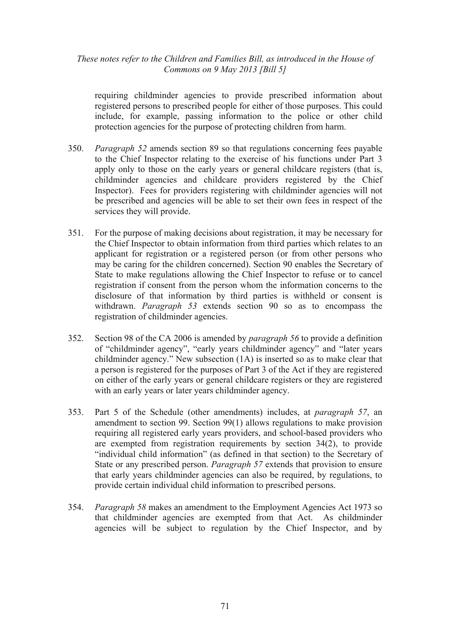requiring childminder agencies to provide prescribed information about registered persons to prescribed people for either of those purposes. This could include, for example, passing information to the police or other child protection agencies for the purpose of protecting children from harm.

- 350. *Paragraph 52* amends section 89 so that regulations concerning fees payable to the Chief Inspector relating to the exercise of his functions under Part 3 apply only to those on the early years or general childcare registers (that is, childminder agencies and childcare providers registered by the Chief Inspector). Fees for providers registering with childminder agencies will not be prescribed and agencies will be able to set their own fees in respect of the services they will provide.
- 351. For the purpose of making decisions about registration, it may be necessary for the Chief Inspector to obtain information from third parties which relates to an applicant for registration or a registered person (or from other persons who may be caring for the children concerned). Section 90 enables the Secretary of State to make regulations allowing the Chief Inspector to refuse or to cancel registration if consent from the person whom the information concerns to the disclosure of that information by third parties is withheld or consent is withdrawn. *Paragraph 53* extends section 90 so as to encompass the registration of childminder agencies.
- 352. Section 98 of the CA 2006 is amended by *paragraph 56* to provide a definition of "childminder agency", "early years childminder agency" and "later years childminder agency." New subsection (1A) is inserted so as to make clear that a person is registered for the purposes of Part 3 of the Act if they are registered on either of the early years or general childcare registers or they are registered with an early years or later years childminder agency.
- 353. Part 5 of the Schedule (other amendments) includes, at *paragraph 57*, an amendment to section 99. Section 99(1) allows regulations to make provision requiring all registered early years providers, and school-based providers who are exempted from registration requirements by section 34(2), to provide "individual child information" (as defined in that section) to the Secretary of State or any prescribed person. *Paragraph 57* extends that provision to ensure that early years childminder agencies can also be required, by regulations, to provide certain individual child information to prescribed persons.
- 354. *Paragraph 58* makes an amendment to the Employment Agencies Act 1973 so that childminder agencies are exempted from that Act. As childminder agencies will be subject to regulation by the Chief Inspector, and by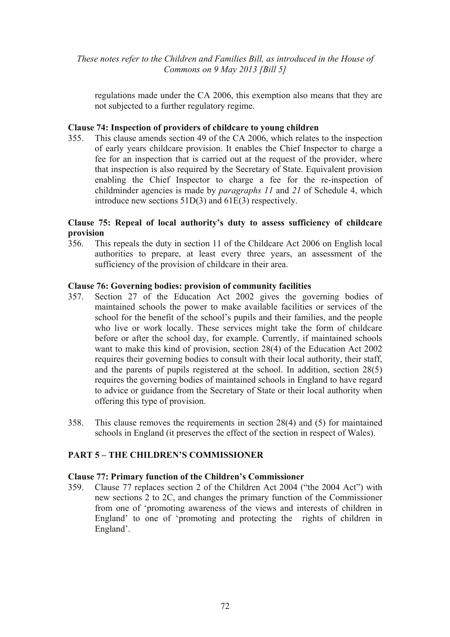regulations made under the CA 2006, this exemption also means that they are not subjected to a further regulatory regime.

### **Clause 74: Inspection of providers of childcare to young children**

355. This clause amends section 49 of the CA 2006, which relates to the inspection of early years childcare provision. It enables the Chief Inspector to charge a fee for an inspection that is carried out at the request of the provider, where that inspection is also required by the Secretary of State. Equivalent provision enabling the Chief Inspector to charge a fee for the re-inspection of childminder agencies is made by *paragraphs 11* and *21* of Schedule 4, which introduce new sections 51D(3) and 61E(3) respectively.

### **Clause 75: Repeal of local authority's duty to assess sufficiency of childcare provision**

356. This repeals the duty in section 11 of the Childcare Act 2006 on English local authorities to prepare, at least every three years, an assessment of the sufficiency of the provision of childcare in their area.

### **Clause 76: Governing bodies: provision of community facilities**

- 357. Section 27 of the Education Act 2002 gives the governing bodies of maintained schools the power to make available facilities or services of the school for the benefit of the school's pupils and their families, and the people who live or work locally. These services might take the form of childcare before or after the school day, for example. Currently, if maintained schools want to make this kind of provision, section 28(4) of the Education Act 2002 requires their governing bodies to consult with their local authority, their staff, and the parents of pupils registered at the school. In addition, section 28(5) requires the governing bodies of maintained schools in England to have regard to advice or guidance from the Secretary of State or their local authority when offering this type of provision.
- 358. This clause removes the requirements in section 28(4) and (5) for maintained schools in England (it preserves the effect of the section in respect of Wales).

# **PART 5 – THE CHILDREN'S COMMISSIONER**

### **Clause 77: Primary function of the Children's Commissioner**

359. Clause 77 replaces section 2 of the Children Act 2004 ("the 2004 Act") with new sections 2 to 2C, and changes the primary function of the Commissioner from one of 'promoting awareness of the views and interests of children in England' to one of 'promoting and protecting the rights of children in England'.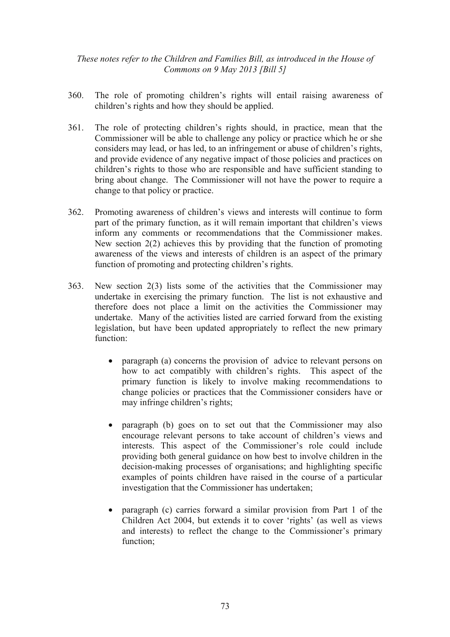- 360. The role of promoting children's rights will entail raising awareness of children's rights and how they should be applied.
- 361. The role of protecting children's rights should, in practice, mean that the Commissioner will be able to challenge any policy or practice which he or she considers may lead, or has led, to an infringement or abuse of children's rights, and provide evidence of any negative impact of those policies and practices on children's rights to those who are responsible and have sufficient standing to bring about change. The Commissioner will not have the power to require a change to that policy or practice.
- 362. Promoting awareness of children's views and interests will continue to form part of the primary function, as it will remain important that children's views inform any comments or recommendations that the Commissioner makes. New section 2(2) achieves this by providing that the function of promoting awareness of the views and interests of children is an aspect of the primary function of promoting and protecting children's rights.
- 363. New section 2(3) lists some of the activities that the Commissioner may undertake in exercising the primary function. The list is not exhaustive and therefore does not place a limit on the activities the Commissioner may undertake. Many of the activities listed are carried forward from the existing legislation, but have been updated appropriately to reflect the new primary function:
	- paragraph (a) concerns the provision of advice to relevant persons on how to act compatibly with children's rights. This aspect of the primary function is likely to involve making recommendations to change policies or practices that the Commissioner considers have or may infringe children's rights;
	- paragraph (b) goes on to set out that the Commissioner may also encourage relevant persons to take account of children's views and interests. This aspect of the Commissioner's role could include providing both general guidance on how best to involve children in the decision-making processes of organisations; and highlighting specific examples of points children have raised in the course of a particular investigation that the Commissioner has undertaken;
	- paragraph (c) carries forward a similar provision from Part 1 of the Children Act 2004, but extends it to cover 'rights' (as well as views and interests) to reflect the change to the Commissioner's primary function;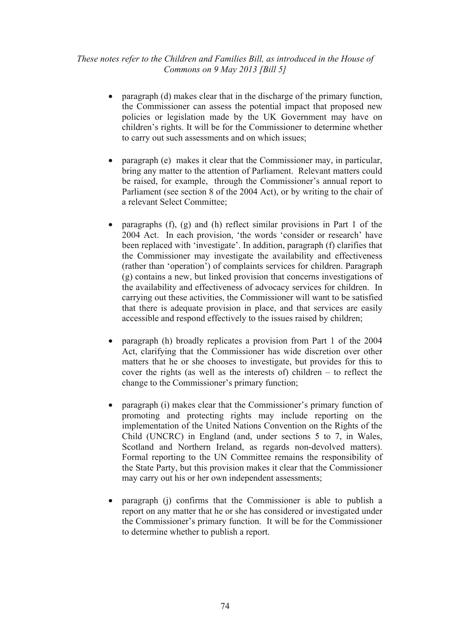- paragraph (d) makes clear that in the discharge of the primary function, the Commissioner can assess the potential impact that proposed new policies or legislation made by the UK Government may have on children's rights. It will be for the Commissioner to determine whether to carry out such assessments and on which issues;
- paragraph (e) makes it clear that the Commissioner may, in particular, bring any matter to the attention of Parliament. Relevant matters could be raised, for example, through the Commissioner's annual report to Parliament (see section 8 of the 2004 Act), or by writing to the chair of a relevant Select Committee;
- paragraphs (f), (g) and (h) reflect similar provisions in Part 1 of the 2004 Act. In each provision, 'the words 'consider or research' have been replaced with 'investigate'. In addition, paragraph (f) clarifies that the Commissioner may investigate the availability and effectiveness (rather than 'operation') of complaints services for children. Paragraph (g) contains a new, but linked provision that concerns investigations of the availability and effectiveness of advocacy services for children. In carrying out these activities, the Commissioner will want to be satisfied that there is adequate provision in place, and that services are easily accessible and respond effectively to the issues raised by children;
- paragraph (h) broadly replicates a provision from Part 1 of the 2004 Act, clarifying that the Commissioner has wide discretion over other matters that he or she chooses to investigate, but provides for this to cover the rights (as well as the interests of) children – to reflect the change to the Commissioner's primary function;
- paragraph (i) makes clear that the Commissioner's primary function of promoting and protecting rights may include reporting on the implementation of the United Nations Convention on the Rights of the Child (UNCRC) in England (and, under sections 5 to 7, in Wales, Scotland and Northern Ireland, as regards non-devolved matters). Formal reporting to the UN Committee remains the responsibility of the State Party, but this provision makes it clear that the Commissioner may carry out his or her own independent assessments;
- paragraph (j) confirms that the Commissioner is able to publish a report on any matter that he or she has considered or investigated under the Commissioner's primary function. It will be for the Commissioner to determine whether to publish a report.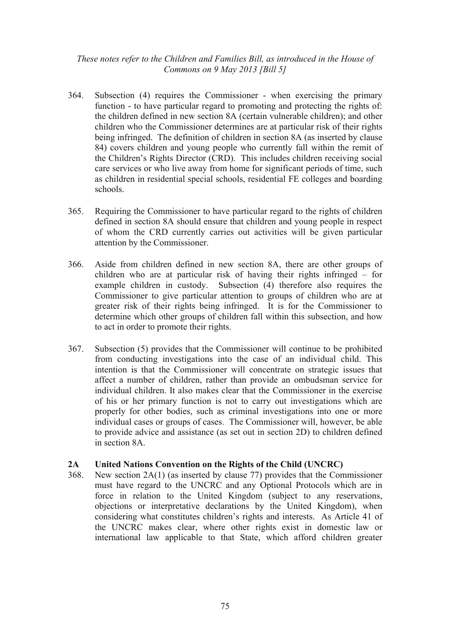- 364. Subsection (4) requires the Commissioner when exercising the primary function - to have particular regard to promoting and protecting the rights of: the children defined in new section 8A (certain vulnerable children); and other children who the Commissioner determines are at particular risk of their rights being infringed. The definition of children in section 8A (as inserted by clause 84) covers children and young people who currently fall within the remit of the Children's Rights Director (CRD). This includes children receiving social care services or who live away from home for significant periods of time, such as children in residential special schools, residential FE colleges and boarding schools.
- 365. Requiring the Commissioner to have particular regard to the rights of children defined in section 8A should ensure that children and young people in respect of whom the CRD currently carries out activities will be given particular attention by the Commissioner.
- 366. Aside from children defined in new section 8A, there are other groups of children who are at particular risk of having their rights infringed – for example children in custody. Subsection (4) therefore also requires the Commissioner to give particular attention to groups of children who are at greater risk of their rights being infringed. It is for the Commissioner to determine which other groups of children fall within this subsection, and how to act in order to promote their rights.
- 367. Subsection (5) provides that the Commissioner will continue to be prohibited from conducting investigations into the case of an individual child. This intention is that the Commissioner will concentrate on strategic issues that affect a number of children, rather than provide an ombudsman service for individual children. It also makes clear that the Commissioner in the exercise of his or her primary function is not to carry out investigations which are properly for other bodies, such as criminal investigations into one or more individual cases or groups of cases. The Commissioner will, however, be able to provide advice and assistance (as set out in section 2D) to children defined in section 8A.

### **2A United Nations Convention on the Rights of the Child (UNCRC)**

368. New section 2A(1) (as inserted by clause 77) provides that the Commissioner must have regard to the UNCRC and any Optional Protocols which are in force in relation to the United Kingdom (subject to any reservations, objections or interpretative declarations by the United Kingdom), when considering what constitutes children's rights and interests. As Article 41 of the UNCRC makes clear, where other rights exist in domestic law or international law applicable to that State, which afford children greater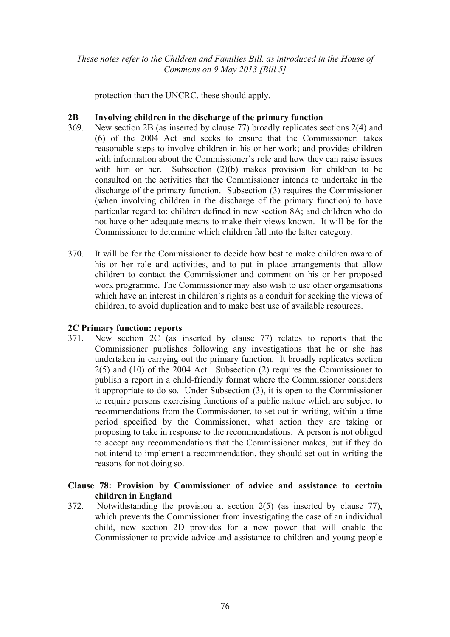protection than the UNCRC, these should apply.

# **2B Involving children in the discharge of the primary function**

- 369. New section 2B (as inserted by clause 77) broadly replicates sections 2(4) and (6) of the 2004 Act and seeks to ensure that the Commissioner: takes reasonable steps to involve children in his or her work; and provides children with information about the Commissioner's role and how they can raise issues with him or her. Subsection (2)(b) makes provision for children to be consulted on the activities that the Commissioner intends to undertake in the discharge of the primary function. Subsection (3) requires the Commissioner (when involving children in the discharge of the primary function) to have particular regard to: children defined in new section 8A; and children who do not have other adequate means to make their views known. It will be for the Commissioner to determine which children fall into the latter category.
- 370. It will be for the Commissioner to decide how best to make children aware of his or her role and activities, and to put in place arrangements that allow children to contact the Commissioner and comment on his or her proposed work programme. The Commissioner may also wish to use other organisations which have an interest in children's rights as a conduit for seeking the views of children, to avoid duplication and to make best use of available resources.

# **2C Primary function: reports**

371. New section 2C (as inserted by clause 77) relates to reports that the Commissioner publishes following any investigations that he or she has undertaken in carrying out the primary function. It broadly replicates section 2(5) and (10) of the 2004 Act. Subsection (2) requires the Commissioner to publish a report in a child-friendly format where the Commissioner considers it appropriate to do so. Under Subsection (3), it is open to the Commissioner to require persons exercising functions of a public nature which are subject to recommendations from the Commissioner, to set out in writing, within a time period specified by the Commissioner, what action they are taking or proposing to take in response to the recommendations. A person is not obliged to accept any recommendations that the Commissioner makes, but if they do not intend to implement a recommendation, they should set out in writing the reasons for not doing so.

# **Clause 78: Provision by Commissioner of advice and assistance to certain children in England**

372. Notwithstanding the provision at section 2(5) (as inserted by clause 77), which prevents the Commissioner from investigating the case of an individual child, new section 2D provides for a new power that will enable the Commissioner to provide advice and assistance to children and young people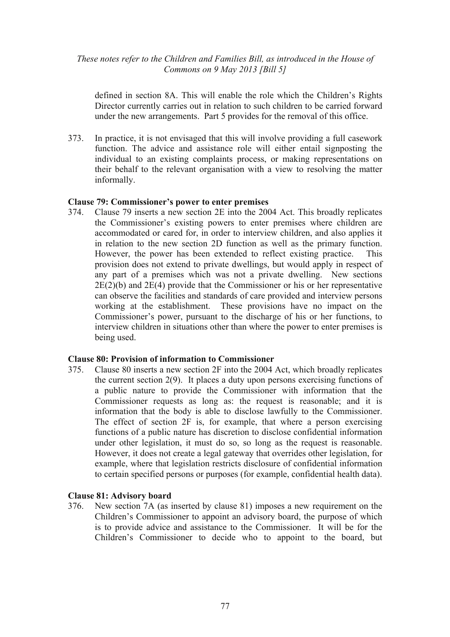defined in section 8A. This will enable the role which the Children's Rights Director currently carries out in relation to such children to be carried forward under the new arrangements. Part 5 provides for the removal of this office.

373. In practice, it is not envisaged that this will involve providing a full casework function. The advice and assistance role will either entail signposting the individual to an existing complaints process, or making representations on their behalf to the relevant organisation with a view to resolving the matter informally.

#### **Clause 79: Commissioner's power to enter premises**

374. Clause 79 inserts a new section 2E into the 2004 Act. This broadly replicates the Commissioner's existing powers to enter premises where children are accommodated or cared for, in order to interview children, and also applies it in relation to the new section 2D function as well as the primary function. However, the power has been extended to reflect existing practice. This provision does not extend to private dwellings, but would apply in respect of any part of a premises which was not a private dwelling. New sections  $2E(2)(b)$  and  $2E(4)$  provide that the Commissioner or his or her representative can observe the facilities and standards of care provided and interview persons working at the establishment. These provisions have no impact on the Commissioner's power, pursuant to the discharge of his or her functions, to interview children in situations other than where the power to enter premises is being used.

#### **Clause 80: Provision of information to Commissioner**

375. Clause 80 inserts a new section 2F into the 2004 Act, which broadly replicates the current section 2(9). It places a duty upon persons exercising functions of a public nature to provide the Commissioner with information that the Commissioner requests as long as: the request is reasonable; and it is information that the body is able to disclose lawfully to the Commissioner. The effect of section 2F is, for example, that where a person exercising functions of a public nature has discretion to disclose confidential information under other legislation, it must do so, so long as the request is reasonable. However, it does not create a legal gateway that overrides other legislation, for example, where that legislation restricts disclosure of confidential information to certain specified persons or purposes (for example, confidential health data).

### **Clause 81: Advisory board**

376. New section 7A (as inserted by clause 81) imposes a new requirement on the Children's Commissioner to appoint an advisory board, the purpose of which is to provide advice and assistance to the Commissioner. It will be for the Children's Commissioner to decide who to appoint to the board, but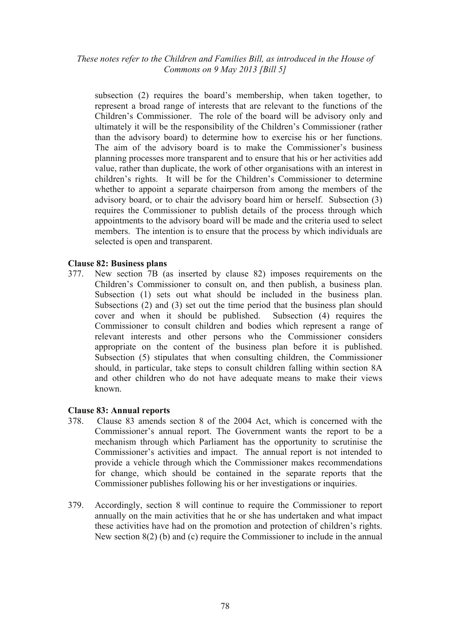subsection (2) requires the board's membership, when taken together, to represent a broad range of interests that are relevant to the functions of the Children's Commissioner. The role of the board will be advisory only and ultimately it will be the responsibility of the Children's Commissioner (rather than the advisory board) to determine how to exercise his or her functions. The aim of the advisory board is to make the Commissioner's business planning processes more transparent and to ensure that his or her activities add value, rather than duplicate, the work of other organisations with an interest in children's rights. It will be for the Children's Commissioner to determine whether to appoint a separate chairperson from among the members of the advisory board, or to chair the advisory board him or herself. Subsection (3) requires the Commissioner to publish details of the process through which appointments to the advisory board will be made and the criteria used to select members. The intention is to ensure that the process by which individuals are selected is open and transparent.

## **Clause 82: Business plans**

377. New section 7B (as inserted by clause 82) imposes requirements on the Children's Commissioner to consult on, and then publish, a business plan. Subsection (1) sets out what should be included in the business plan. Subsections (2) and (3) set out the time period that the business plan should cover and when it should be published. Subsection (4) requires the Commissioner to consult children and bodies which represent a range of relevant interests and other persons who the Commissioner considers appropriate on the content of the business plan before it is published. Subsection (5) stipulates that when consulting children, the Commissioner should, in particular, take steps to consult children falling within section 8A and other children who do not have adequate means to make their views known.

### **Clause 83: Annual reports**

- 378. Clause 83 amends section 8 of the 2004 Act, which is concerned with the Commissioner's annual report. The Government wants the report to be a mechanism through which Parliament has the opportunity to scrutinise the Commissioner's activities and impact. The annual report is not intended to provide a vehicle through which the Commissioner makes recommendations for change, which should be contained in the separate reports that the Commissioner publishes following his or her investigations or inquiries.
- 379. Accordingly, section 8 will continue to require the Commissioner to report annually on the main activities that he or she has undertaken and what impact these activities have had on the promotion and protection of children's rights. New section 8(2) (b) and (c) require the Commissioner to include in the annual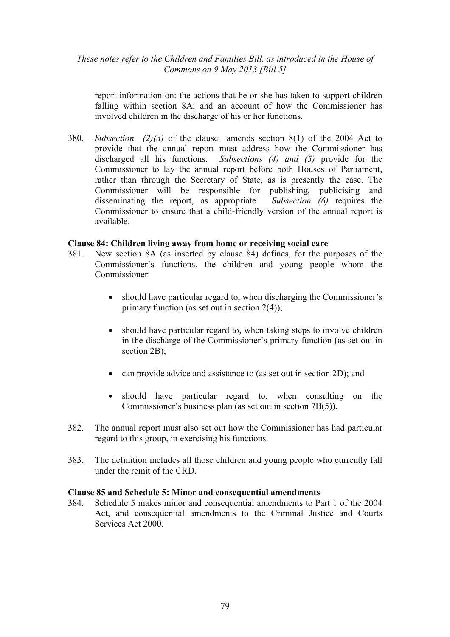report information on: the actions that he or she has taken to support children falling within section 8A; and an account of how the Commissioner has involved children in the discharge of his or her functions.

380. *Subsection (2)(a)* of the clause amends section 8(1) of the 2004 Act to provide that the annual report must address how the Commissioner has discharged all his functions. *Subsections (4) and (5)* provide for the Commissioner to lay the annual report before both Houses of Parliament, rather than through the Secretary of State, as is presently the case. The Commissioner will be responsible for publishing, publicising and disseminating the report, as appropriate. *Subsection (6)* requires the Commissioner to ensure that a child-friendly version of the annual report is available.

### **Clause 84: Children living away from home or receiving social care**

- 381. New section 8A (as inserted by clause 84) defines, for the purposes of the Commissioner's functions, the children and young people whom the Commissioner:
	- should have particular regard to, when discharging the Commissioner's primary function (as set out in section 2(4));
	- should have particular regard to, when taking steps to involve children in the discharge of the Commissioner's primary function (as set out in section 2B);
	- can provide advice and assistance to (as set out in section 2D); and
	- should have particular regard to, when consulting on the Commissioner's business plan (as set out in section 7B(5)).
- 382. The annual report must also set out how the Commissioner has had particular regard to this group, in exercising his functions.
- 383. The definition includes all those children and young people who currently fall under the remit of the CRD.

### **Clause 85 and Schedule 5: Minor and consequential amendments**

384. Schedule 5 makes minor and consequential amendments to Part 1 of the 2004 Act, and consequential amendments to the Criminal Justice and Courts Services Act 2000.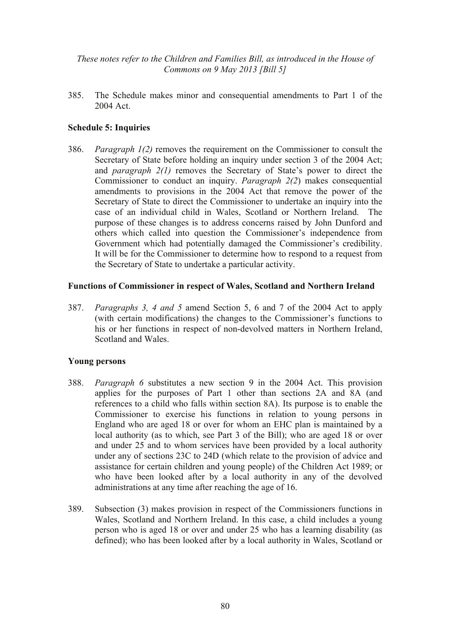385. The Schedule makes minor and consequential amendments to Part 1 of the 2004 Act.

## **Schedule 5: Inquiries**

386. *Paragraph 1(2)* removes the requirement on the Commissioner to consult the Secretary of State before holding an inquiry under section 3 of the 2004 Act; and *paragraph 2(1)* removes the Secretary of State's power to direct the Commissioner to conduct an inquiry. *Paragraph 2(2*) makes consequential amendments to provisions in the 2004 Act that remove the power of the Secretary of State to direct the Commissioner to undertake an inquiry into the case of an individual child in Wales, Scotland or Northern Ireland. The purpose of these changes is to address concerns raised by John Dunford and others which called into question the Commissioner's independence from Government which had potentially damaged the Commissioner's credibility. It will be for the Commissioner to determine how to respond to a request from the Secretary of State to undertake a particular activity.

#### **Functions of Commissioner in respect of Wales, Scotland and Northern Ireland**

387. *Paragraphs 3, 4 and 5* amend Section 5, 6 and 7 of the 2004 Act to apply (with certain modifications) the changes to the Commissioner's functions to his or her functions in respect of non-devolved matters in Northern Ireland, Scotland and Wales.

#### **Young persons**

- 388. *Paragraph 6* substitutes a new section 9 in the 2004 Act. This provision applies for the purposes of Part 1 other than sections 2A and 8A (and references to a child who falls within section 8A). Its purpose is to enable the Commissioner to exercise his functions in relation to young persons in England who are aged 18 or over for whom an EHC plan is maintained by a local authority (as to which, see Part 3 of the Bill); who are aged 18 or over and under 25 and to whom services have been provided by a local authority under any of sections 23C to 24D (which relate to the provision of advice and assistance for certain children and young people) of the Children Act 1989; or who have been looked after by a local authority in any of the devolved administrations at any time after reaching the age of 16.
- 389. Subsection (3) makes provision in respect of the Commissioners functions in Wales, Scotland and Northern Ireland. In this case, a child includes a young person who is aged 18 or over and under 25 who has a learning disability (as defined); who has been looked after by a local authority in Wales, Scotland or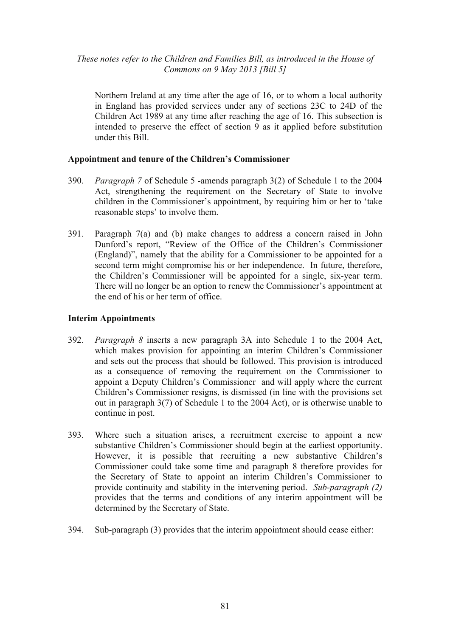Northern Ireland at any time after the age of 16, or to whom a local authority in England has provided services under any of sections 23C to 24D of the Children Act 1989 at any time after reaching the age of 16. This subsection is intended to preserve the effect of section 9 as it applied before substitution under this Bill.

# **Appointment and tenure of the Children's Commissioner**

- 390. *Paragraph 7* of Schedule 5 -amends paragraph 3(2) of Schedule 1 to the 2004 Act, strengthening the requirement on the Secretary of State to involve children in the Commissioner's appointment, by requiring him or her to 'take reasonable steps' to involve them.
- 391. Paragraph 7(a) and (b) make changes to address a concern raised in John Dunford's report, "Review of the Office of the Children's Commissioner (England)", namely that the ability for a Commissioner to be appointed for a second term might compromise his or her independence. In future, therefore, the Children's Commissioner will be appointed for a single, six-year term. There will no longer be an option to renew the Commissioner's appointment at the end of his or her term of office.

# **Interim Appointments**

- 392. *Paragraph 8* inserts a new paragraph 3A into Schedule 1 to the 2004 Act, which makes provision for appointing an interim Children's Commissioner and sets out the process that should be followed. This provision is introduced as a consequence of removing the requirement on the Commissioner to appoint a Deputy Children's Commissioner and will apply where the current Children's Commissioner resigns, is dismissed (in line with the provisions set out in paragraph 3(7) of Schedule 1 to the 2004 Act), or is otherwise unable to continue in post.
- 393. Where such a situation arises, a recruitment exercise to appoint a new substantive Children's Commissioner should begin at the earliest opportunity. However, it is possible that recruiting a new substantive Children's Commissioner could take some time and paragraph 8 therefore provides for the Secretary of State to appoint an interim Children's Commissioner to provide continuity and stability in the intervening period. *Sub-paragraph (2)* provides that the terms and conditions of any interim appointment will be determined by the Secretary of State.
- 394. Sub-paragraph (3) provides that the interim appointment should cease either: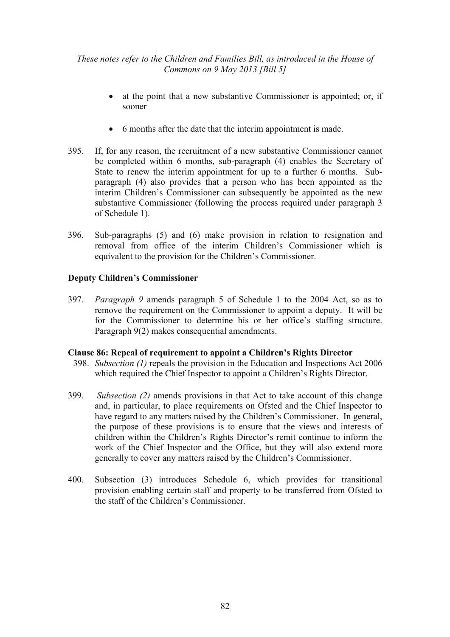- at the point that a new substantive Commissioner is appointed; or, if sooner
- 6 months after the date that the interim appointment is made.
- 395. If, for any reason, the recruitment of a new substantive Commissioner cannot be completed within 6 months, sub-paragraph (4) enables the Secretary of State to renew the interim appointment for up to a further 6 months. Subparagraph (4) also provides that a person who has been appointed as the interim Children's Commissioner can subsequently be appointed as the new substantive Commissioner (following the process required under paragraph 3 of Schedule 1).
- 396. Sub-paragraphs (5) and (6) make provision in relation to resignation and removal from office of the interim Children's Commissioner which is equivalent to the provision for the Children's Commissioner.

# **Deputy Children's Commissioner**

397. *Paragraph 9* amends paragraph 5 of Schedule 1 to the 2004 Act, so as to remove the requirement on the Commissioner to appoint a deputy. It will be for the Commissioner to determine his or her office's staffing structure. Paragraph 9(2) makes consequential amendments.

### **Clause 86: Repeal of requirement to appoint a Children's Rights Director**

- 398. *Subsection (1)* repeals the provision in the Education and Inspections Act 2006 which required the Chief Inspector to appoint a Children's Rights Director.
- 399. *Subsection (2)* amends provisions in that Act to take account of this change and, in particular, to place requirements on Ofsted and the Chief Inspector to have regard to any matters raised by the Children's Commissioner. In general, the purpose of these provisions is to ensure that the views and interests of children within the Children's Rights Director's remit continue to inform the work of the Chief Inspector and the Office, but they will also extend more generally to cover any matters raised by the Children's Commissioner.
- 400. Subsection (3) introduces Schedule 6, which provides for transitional provision enabling certain staff and property to be transferred from Ofsted to the staff of the Children's Commissioner.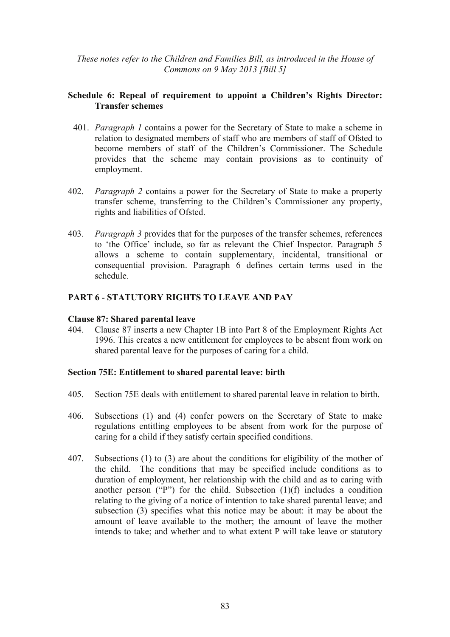# **Schedule 6: Repeal of requirement to appoint a Children's Rights Director: Transfer schemes**

- 401. *Paragraph 1* contains a power for the Secretary of State to make a scheme in relation to designated members of staff who are members of staff of Ofsted to become members of staff of the Children's Commissioner. The Schedule provides that the scheme may contain provisions as to continuity of employment.
- 402. *Paragraph 2* contains a power for the Secretary of State to make a property transfer scheme, transferring to the Children's Commissioner any property, rights and liabilities of Ofsted.
- 403. *Paragraph 3* provides that for the purposes of the transfer schemes, references to 'the Office' include, so far as relevant the Chief Inspector. Paragraph 5 allows a scheme to contain supplementary, incidental, transitional or consequential provision. Paragraph 6 defines certain terms used in the schedule.

# **PART 6 - STATUTORY RIGHTS TO LEAVE AND PAY**

#### **Clause 87: Shared parental leave**

404. Clause 87 inserts a new Chapter 1B into Part 8 of the Employment Rights Act 1996. This creates a new entitlement for employees to be absent from work on shared parental leave for the purposes of caring for a child.

### **Section 75E: Entitlement to shared parental leave: birth**

- 405. Section 75E deals with entitlement to shared parental leave in relation to birth.
- 406. Subsections (1) and (4) confer powers on the Secretary of State to make regulations entitling employees to be absent from work for the purpose of caring for a child if they satisfy certain specified conditions.
- 407. Subsections (1) to (3) are about the conditions for eligibility of the mother of the child. The conditions that may be specified include conditions as to duration of employment, her relationship with the child and as to caring with another person ("P") for the child. Subsection  $(1)(f)$  includes a condition relating to the giving of a notice of intention to take shared parental leave; and subsection (3) specifies what this notice may be about: it may be about the amount of leave available to the mother; the amount of leave the mother intends to take; and whether and to what extent P will take leave or statutory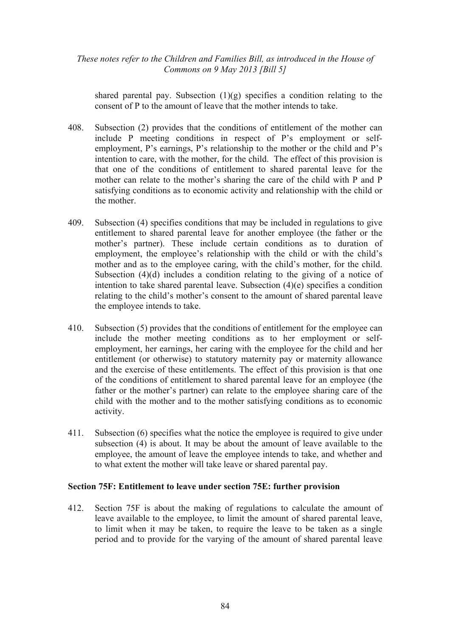shared parental pay. Subsection  $(1)(g)$  specifies a condition relating to the consent of P to the amount of leave that the mother intends to take.

- 408. Subsection (2) provides that the conditions of entitlement of the mother can include P meeting conditions in respect of P's employment or selfemployment, P's earnings, P's relationship to the mother or the child and P's intention to care, with the mother, for the child. The effect of this provision is that one of the conditions of entitlement to shared parental leave for the mother can relate to the mother's sharing the care of the child with P and P satisfying conditions as to economic activity and relationship with the child or the mother.
- 409. Subsection (4) specifies conditions that may be included in regulations to give entitlement to shared parental leave for another employee (the father or the mother's partner). These include certain conditions as to duration of employment, the employee's relationship with the child or with the child's mother and as to the employee caring, with the child's mother, for the child. Subsection (4)(d) includes a condition relating to the giving of a notice of intention to take shared parental leave. Subsection (4)(e) specifies a condition relating to the child's mother's consent to the amount of shared parental leave the employee intends to take.
- 410. Subsection (5) provides that the conditions of entitlement for the employee can include the mother meeting conditions as to her employment or selfemployment, her earnings, her caring with the employee for the child and her entitlement (or otherwise) to statutory maternity pay or maternity allowance and the exercise of these entitlements. The effect of this provision is that one of the conditions of entitlement to shared parental leave for an employee (the father or the mother's partner) can relate to the employee sharing care of the child with the mother and to the mother satisfying conditions as to economic activity.
- 411. Subsection (6) specifies what the notice the employee is required to give under subsection (4) is about. It may be about the amount of leave available to the employee, the amount of leave the employee intends to take, and whether and to what extent the mother will take leave or shared parental pay.

### **Section 75F: Entitlement to leave under section 75E: further provision**

412. Section 75F is about the making of regulations to calculate the amount of leave available to the employee, to limit the amount of shared parental leave, to limit when it may be taken, to require the leave to be taken as a single period and to provide for the varying of the amount of shared parental leave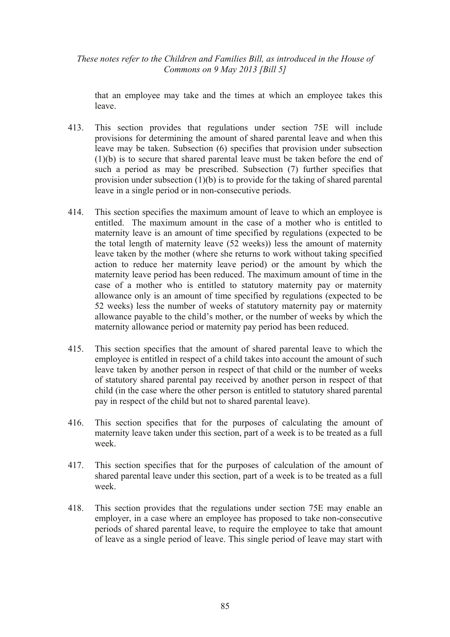that an employee may take and the times at which an employee takes this leave.

- 413. This section provides that regulations under section 75E will include provisions for determining the amount of shared parental leave and when this leave may be taken. Subsection (6) specifies that provision under subsection (1)(b) is to secure that shared parental leave must be taken before the end of such a period as may be prescribed. Subsection (7) further specifies that provision under subsection (1)(b) is to provide for the taking of shared parental leave in a single period or in non-consecutive periods.
- 414. This section specifies the maximum amount of leave to which an employee is entitled. The maximum amount in the case of a mother who is entitled to maternity leave is an amount of time specified by regulations (expected to be the total length of maternity leave (52 weeks)) less the amount of maternity leave taken by the mother (where she returns to work without taking specified action to reduce her maternity leave period) or the amount by which the maternity leave period has been reduced. The maximum amount of time in the case of a mother who is entitled to statutory maternity pay or maternity allowance only is an amount of time specified by regulations (expected to be 52 weeks) less the number of weeks of statutory maternity pay or maternity allowance payable to the child's mother, or the number of weeks by which the maternity allowance period or maternity pay period has been reduced.
- 415. This section specifies that the amount of shared parental leave to which the employee is entitled in respect of a child takes into account the amount of such leave taken by another person in respect of that child or the number of weeks of statutory shared parental pay received by another person in respect of that child (in the case where the other person is entitled to statutory shared parental pay in respect of the child but not to shared parental leave).
- 416. This section specifies that for the purposes of calculating the amount of maternity leave taken under this section, part of a week is to be treated as a full week.
- 417. This section specifies that for the purposes of calculation of the amount of shared parental leave under this section, part of a week is to be treated as a full week.
- 418. This section provides that the regulations under section 75E may enable an employer, in a case where an employee has proposed to take non-consecutive periods of shared parental leave, to require the employee to take that amount of leave as a single period of leave. This single period of leave may start with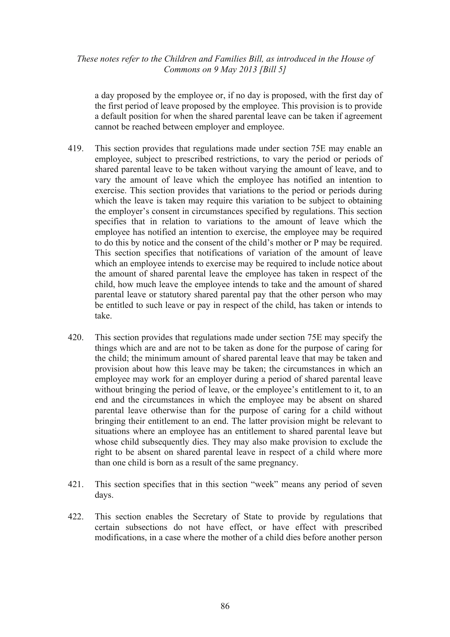a day proposed by the employee or, if no day is proposed, with the first day of the first period of leave proposed by the employee. This provision is to provide a default position for when the shared parental leave can be taken if agreement cannot be reached between employer and employee.

- 419. This section provides that regulations made under section 75E may enable an employee, subject to prescribed restrictions, to vary the period or periods of shared parental leave to be taken without varying the amount of leave, and to vary the amount of leave which the employee has notified an intention to exercise. This section provides that variations to the period or periods during which the leave is taken may require this variation to be subject to obtaining the employer's consent in circumstances specified by regulations. This section specifies that in relation to variations to the amount of leave which the employee has notified an intention to exercise, the employee may be required to do this by notice and the consent of the child's mother or P may be required. This section specifies that notifications of variation of the amount of leave which an employee intends to exercise may be required to include notice about the amount of shared parental leave the employee has taken in respect of the child, how much leave the employee intends to take and the amount of shared parental leave or statutory shared parental pay that the other person who may be entitled to such leave or pay in respect of the child, has taken or intends to take.
- 420. This section provides that regulations made under section 75E may specify the things which are and are not to be taken as done for the purpose of caring for the child; the minimum amount of shared parental leave that may be taken and provision about how this leave may be taken; the circumstances in which an employee may work for an employer during a period of shared parental leave without bringing the period of leave, or the employee's entitlement to it, to an end and the circumstances in which the employee may be absent on shared parental leave otherwise than for the purpose of caring for a child without bringing their entitlement to an end. The latter provision might be relevant to situations where an employee has an entitlement to shared parental leave but whose child subsequently dies. They may also make provision to exclude the right to be absent on shared parental leave in respect of a child where more than one child is born as a result of the same pregnancy.
- 421. This section specifies that in this section "week" means any period of seven days.
- 422. This section enables the Secretary of State to provide by regulations that certain subsections do not have effect, or have effect with prescribed modifications, in a case where the mother of a child dies before another person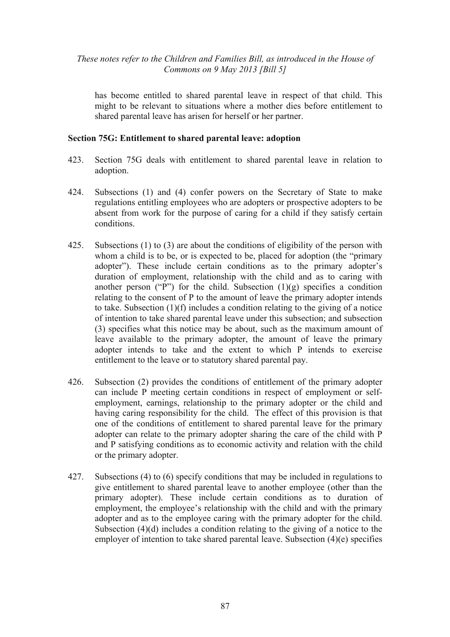has become entitled to shared parental leave in respect of that child. This might to be relevant to situations where a mother dies before entitlement to shared parental leave has arisen for herself or her partner.

#### **Section 75G: Entitlement to shared parental leave: adoption**

- 423. Section 75G deals with entitlement to shared parental leave in relation to adoption.
- 424. Subsections (1) and (4) confer powers on the Secretary of State to make regulations entitling employees who are adopters or prospective adopters to be absent from work for the purpose of caring for a child if they satisfy certain conditions.
- 425. Subsections (1) to (3) are about the conditions of eligibility of the person with whom a child is to be, or is expected to be, placed for adoption (the "primary adopter"). These include certain conditions as to the primary adopter's duration of employment, relationship with the child and as to caring with another person ("P") for the child. Subsection  $(1)(g)$  specifies a condition relating to the consent of P to the amount of leave the primary adopter intends to take. Subsection (1)(f) includes a condition relating to the giving of a notice of intention to take shared parental leave under this subsection; and subsection (3) specifies what this notice may be about, such as the maximum amount of leave available to the primary adopter, the amount of leave the primary adopter intends to take and the extent to which P intends to exercise entitlement to the leave or to statutory shared parental pay.
- 426. Subsection (2) provides the conditions of entitlement of the primary adopter can include P meeting certain conditions in respect of employment or selfemployment, earnings, relationship to the primary adopter or the child and having caring responsibility for the child. The effect of this provision is that one of the conditions of entitlement to shared parental leave for the primary adopter can relate to the primary adopter sharing the care of the child with P and P satisfying conditions as to economic activity and relation with the child or the primary adopter.
- 427. Subsections (4) to (6) specify conditions that may be included in regulations to give entitlement to shared parental leave to another employee (other than the primary adopter). These include certain conditions as to duration of employment, the employee's relationship with the child and with the primary adopter and as to the employee caring with the primary adopter for the child. Subsection (4)(d) includes a condition relating to the giving of a notice to the employer of intention to take shared parental leave. Subsection (4)(e) specifies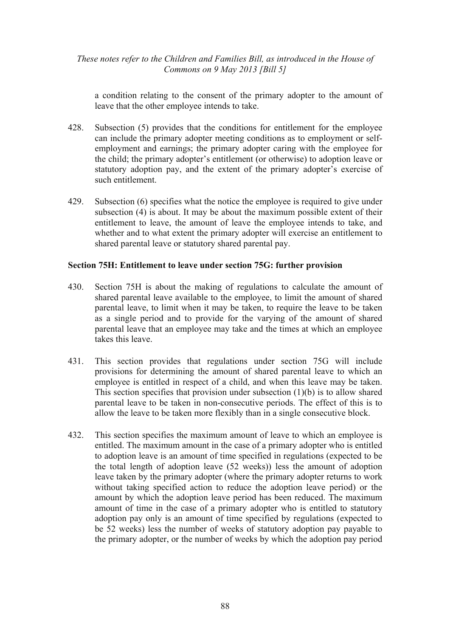a condition relating to the consent of the primary adopter to the amount of leave that the other employee intends to take.

- 428. Subsection (5) provides that the conditions for entitlement for the employee can include the primary adopter meeting conditions as to employment or selfemployment and earnings; the primary adopter caring with the employee for the child; the primary adopter's entitlement (or otherwise) to adoption leave or statutory adoption pay, and the extent of the primary adopter's exercise of such entitlement.
- 429. Subsection (6) specifies what the notice the employee is required to give under subsection (4) is about. It may be about the maximum possible extent of their entitlement to leave, the amount of leave the employee intends to take, and whether and to what extent the primary adopter will exercise an entitlement to shared parental leave or statutory shared parental pay.

## **Section 75H: Entitlement to leave under section 75G: further provision**

- 430. Section 75H is about the making of regulations to calculate the amount of shared parental leave available to the employee, to limit the amount of shared parental leave, to limit when it may be taken, to require the leave to be taken as a single period and to provide for the varying of the amount of shared parental leave that an employee may take and the times at which an employee takes this leave.
- 431. This section provides that regulations under section 75G will include provisions for determining the amount of shared parental leave to which an employee is entitled in respect of a child, and when this leave may be taken. This section specifies that provision under subsection  $(1)(b)$  is to allow shared parental leave to be taken in non-consecutive periods. The effect of this is to allow the leave to be taken more flexibly than in a single consecutive block.
- 432. This section specifies the maximum amount of leave to which an employee is entitled. The maximum amount in the case of a primary adopter who is entitled to adoption leave is an amount of time specified in regulations (expected to be the total length of adoption leave (52 weeks)) less the amount of adoption leave taken by the primary adopter (where the primary adopter returns to work without taking specified action to reduce the adoption leave period) or the amount by which the adoption leave period has been reduced. The maximum amount of time in the case of a primary adopter who is entitled to statutory adoption pay only is an amount of time specified by regulations (expected to be 52 weeks) less the number of weeks of statutory adoption pay payable to the primary adopter, or the number of weeks by which the adoption pay period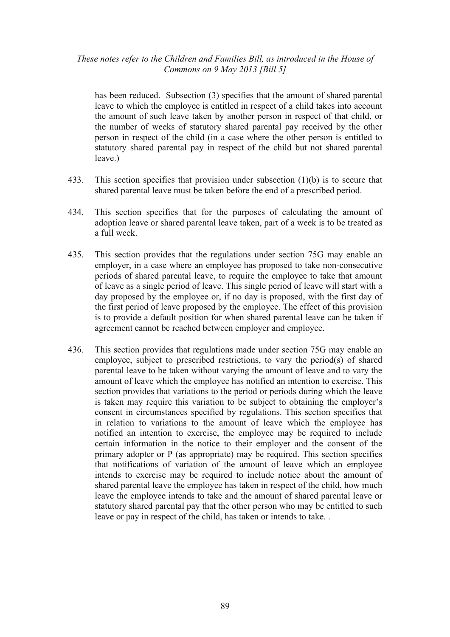has been reduced. Subsection (3) specifies that the amount of shared parental leave to which the employee is entitled in respect of a child takes into account the amount of such leave taken by another person in respect of that child, or the number of weeks of statutory shared parental pay received by the other person in respect of the child (in a case where the other person is entitled to statutory shared parental pay in respect of the child but not shared parental leave.)

- 433. This section specifies that provision under subsection (1)(b) is to secure that shared parental leave must be taken before the end of a prescribed period.
- 434. This section specifies that for the purposes of calculating the amount of adoption leave or shared parental leave taken, part of a week is to be treated as a full week.
- 435. This section provides that the regulations under section 75G may enable an employer, in a case where an employee has proposed to take non-consecutive periods of shared parental leave, to require the employee to take that amount of leave as a single period of leave. This single period of leave will start with a day proposed by the employee or, if no day is proposed, with the first day of the first period of leave proposed by the employee. The effect of this provision is to provide a default position for when shared parental leave can be taken if agreement cannot be reached between employer and employee.
- 436. This section provides that regulations made under section 75G may enable an employee, subject to prescribed restrictions, to vary the period(s) of shared parental leave to be taken without varying the amount of leave and to vary the amount of leave which the employee has notified an intention to exercise. This section provides that variations to the period or periods during which the leave is taken may require this variation to be subject to obtaining the employer's consent in circumstances specified by regulations. This section specifies that in relation to variations to the amount of leave which the employee has notified an intention to exercise, the employee may be required to include certain information in the notice to their employer and the consent of the primary adopter or P (as appropriate) may be required. This section specifies that notifications of variation of the amount of leave which an employee intends to exercise may be required to include notice about the amount of shared parental leave the employee has taken in respect of the child, how much leave the employee intends to take and the amount of shared parental leave or statutory shared parental pay that the other person who may be entitled to such leave or pay in respect of the child, has taken or intends to take. .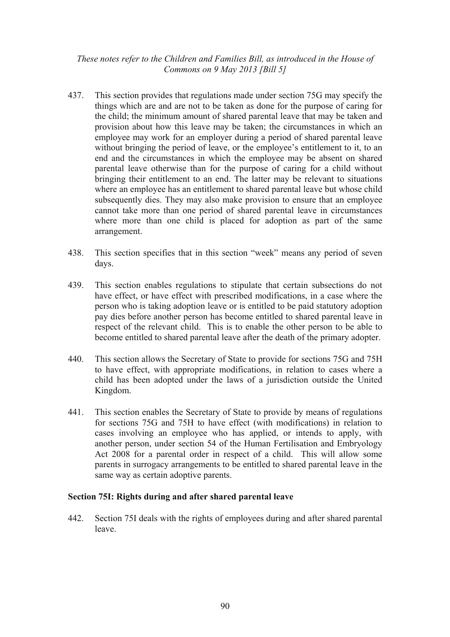- 437. This section provides that regulations made under section 75G may specify the things which are and are not to be taken as done for the purpose of caring for the child; the minimum amount of shared parental leave that may be taken and provision about how this leave may be taken; the circumstances in which an employee may work for an employer during a period of shared parental leave without bringing the period of leave, or the employee's entitlement to it, to an end and the circumstances in which the employee may be absent on shared parental leave otherwise than for the purpose of caring for a child without bringing their entitlement to an end. The latter may be relevant to situations where an employee has an entitlement to shared parental leave but whose child subsequently dies. They may also make provision to ensure that an employee cannot take more than one period of shared parental leave in circumstances where more than one child is placed for adoption as part of the same arrangement.
- 438. This section specifies that in this section "week" means any period of seven days.
- 439. This section enables regulations to stipulate that certain subsections do not have effect, or have effect with prescribed modifications, in a case where the person who is taking adoption leave or is entitled to be paid statutory adoption pay dies before another person has become entitled to shared parental leave in respect of the relevant child. This is to enable the other person to be able to become entitled to shared parental leave after the death of the primary adopter.
- 440. This section allows the Secretary of State to provide for sections 75G and 75H to have effect, with appropriate modifications, in relation to cases where a child has been adopted under the laws of a jurisdiction outside the United Kingdom.
- 441. This section enables the Secretary of State to provide by means of regulations for sections 75G and 75H to have effect (with modifications) in relation to cases involving an employee who has applied, or intends to apply, with another person, under section 54 of the Human Fertilisation and Embryology Act 2008 for a parental order in respect of a child. This will allow some parents in surrogacy arrangements to be entitled to shared parental leave in the same way as certain adoptive parents.

### **Section 75I: Rights during and after shared parental leave**

442. Section 75I deals with the rights of employees during and after shared parental leave.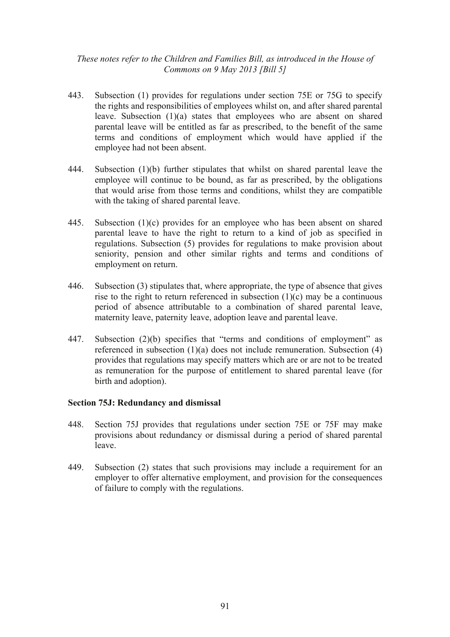- 443. Subsection (1) provides for regulations under section 75E or 75G to specify the rights and responsibilities of employees whilst on, and after shared parental leave. Subsection (1)(a) states that employees who are absent on shared parental leave will be entitled as far as prescribed, to the benefit of the same terms and conditions of employment which would have applied if the employee had not been absent.
- 444. Subsection (1)(b) further stipulates that whilst on shared parental leave the employee will continue to be bound, as far as prescribed, by the obligations that would arise from those terms and conditions, whilst they are compatible with the taking of shared parental leave.
- 445. Subsection (1)(c) provides for an employee who has been absent on shared parental leave to have the right to return to a kind of job as specified in regulations. Subsection (5) provides for regulations to make provision about seniority, pension and other similar rights and terms and conditions of employment on return.
- 446. Subsection (3) stipulates that, where appropriate, the type of absence that gives rise to the right to return referenced in subsection  $(1)(c)$  may be a continuous period of absence attributable to a combination of shared parental leave, maternity leave, paternity leave, adoption leave and parental leave.
- 447. Subsection (2)(b) specifies that "terms and conditions of employment" as referenced in subsection (1)(a) does not include remuneration. Subsection (4) provides that regulations may specify matters which are or are not to be treated as remuneration for the purpose of entitlement to shared parental leave (for birth and adoption).

### **Section 75J: Redundancy and dismissal**

- 448. Section 75J provides that regulations under section 75E or 75F may make provisions about redundancy or dismissal during a period of shared parental leave.
- 449. Subsection (2) states that such provisions may include a requirement for an employer to offer alternative employment, and provision for the consequences of failure to comply with the regulations.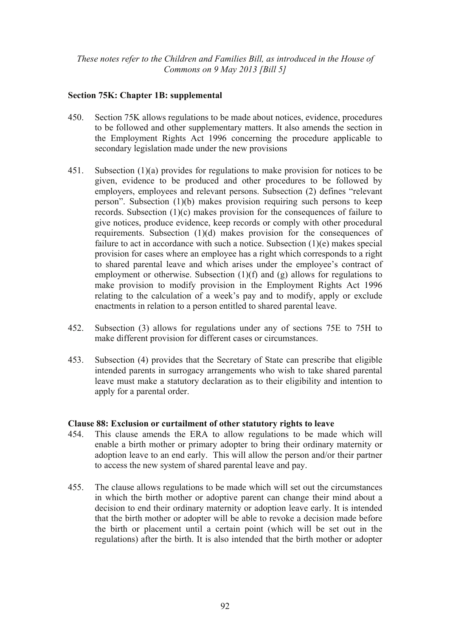# **Section 75K: Chapter 1B: supplemental**

- 450. Section 75K allows regulations to be made about notices, evidence, procedures to be followed and other supplementary matters. It also amends the section in the Employment Rights Act 1996 concerning the procedure applicable to secondary legislation made under the new provisions
- 451. Subsection (1)(a) provides for regulations to make provision for notices to be given, evidence to be produced and other procedures to be followed by employers, employees and relevant persons. Subsection (2) defines "relevant person". Subsection (1)(b) makes provision requiring such persons to keep records. Subsection (1)(c) makes provision for the consequences of failure to give notices, produce evidence, keep records or comply with other procedural requirements. Subsection (1)(d) makes provision for the consequences of failure to act in accordance with such a notice. Subsection (1)(e) makes special provision for cases where an employee has a right which corresponds to a right to shared parental leave and which arises under the employee's contract of employment or otherwise. Subsection (1)(f) and (g) allows for regulations to make provision to modify provision in the Employment Rights Act 1996 relating to the calculation of a week's pay and to modify, apply or exclude enactments in relation to a person entitled to shared parental leave.
- 452. Subsection (3) allows for regulations under any of sections 75E to 75H to make different provision for different cases or circumstances.
- 453. Subsection (4) provides that the Secretary of State can prescribe that eligible intended parents in surrogacy arrangements who wish to take shared parental leave must make a statutory declaration as to their eligibility and intention to apply for a parental order.

### **Clause 88: Exclusion or curtailment of other statutory rights to leave**

- 454. This clause amends the ERA to allow regulations to be made which will enable a birth mother or primary adopter to bring their ordinary maternity or adoption leave to an end early. This will allow the person and/or their partner to access the new system of shared parental leave and pay.
- 455. The clause allows regulations to be made which will set out the circumstances in which the birth mother or adoptive parent can change their mind about a decision to end their ordinary maternity or adoption leave early. It is intended that the birth mother or adopter will be able to revoke a decision made before the birth or placement until a certain point (which will be set out in the regulations) after the birth. It is also intended that the birth mother or adopter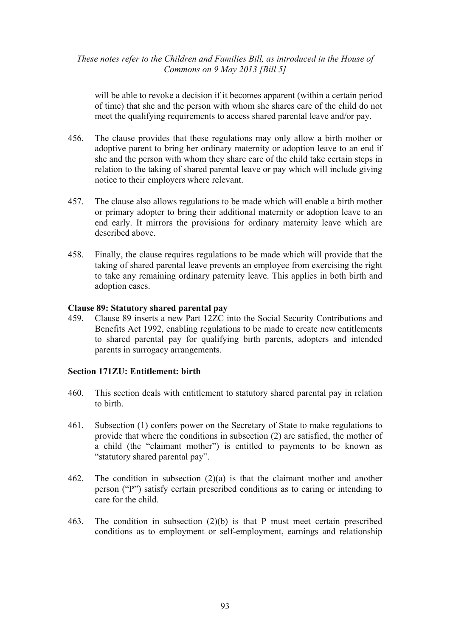will be able to revoke a decision if it becomes apparent (within a certain period of time) that she and the person with whom she shares care of the child do not meet the qualifying requirements to access shared parental leave and/or pay.

- 456. The clause provides that these regulations may only allow a birth mother or adoptive parent to bring her ordinary maternity or adoption leave to an end if she and the person with whom they share care of the child take certain steps in relation to the taking of shared parental leave or pay which will include giving notice to their employers where relevant.
- 457. The clause also allows regulations to be made which will enable a birth mother or primary adopter to bring their additional maternity or adoption leave to an end early. It mirrors the provisions for ordinary maternity leave which are described above.
- 458. Finally, the clause requires regulations to be made which will provide that the taking of shared parental leave prevents an employee from exercising the right to take any remaining ordinary paternity leave. This applies in both birth and adoption cases.

### **Clause 89: Statutory shared parental pay**

459. Clause 89 inserts a new Part 12ZC into the Social Security Contributions and Benefits Act 1992, enabling regulations to be made to create new entitlements to shared parental pay for qualifying birth parents, adopters and intended parents in surrogacy arrangements.

#### **Section 171ZU: Entitlement: birth**

- 460. This section deals with entitlement to statutory shared parental pay in relation to birth.
- 461. Subsection (1) confers power on the Secretary of State to make regulations to provide that where the conditions in subsection (2) are satisfied, the mother of a child (the "claimant mother") is entitled to payments to be known as "statutory shared parental pay".
- 462. The condition in subsection (2)(a) is that the claimant mother and another person ("P") satisfy certain prescribed conditions as to caring or intending to care for the child.
- 463. The condition in subsection (2)(b) is that P must meet certain prescribed conditions as to employment or self-employment, earnings and relationship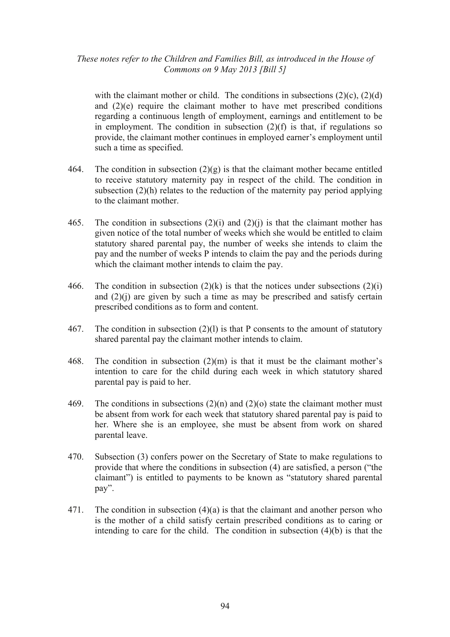with the claimant mother or child. The conditions in subsections  $(2)(c)$ ,  $(2)(d)$ and  $(2)(e)$  require the claimant mother to have met prescribed conditions regarding a continuous length of employment, earnings and entitlement to be in employment. The condition in subsection  $(2)(f)$  is that, if regulations so provide, the claimant mother continues in employed earner's employment until such a time as specified.

- 464. The condition in subsection  $(2)(g)$  is that the claimant mother became entitled to receive statutory maternity pay in respect of the child. The condition in subsection (2)(h) relates to the reduction of the maternity pay period applying to the claimant mother.
- 465. The condition in subsections  $(2)(i)$  and  $(2)(j)$  is that the claimant mother has given notice of the total number of weeks which she would be entitled to claim statutory shared parental pay, the number of weeks she intends to claim the pay and the number of weeks P intends to claim the pay and the periods during which the claimant mother intends to claim the pay.
- 466. The condition in subsection  $(2)(k)$  is that the notices under subsections  $(2)(i)$ and  $(2)(i)$  are given by such a time as may be prescribed and satisfy certain prescribed conditions as to form and content.
- 467. The condition in subsection (2)(l) is that P consents to the amount of statutory shared parental pay the claimant mother intends to claim.
- 468. The condition in subsection (2)(m) is that it must be the claimant mother's intention to care for the child during each week in which statutory shared parental pay is paid to her.
- 469. The conditions in subsections  $(2)(n)$  and  $(2)(o)$  state the claimant mother must be absent from work for each week that statutory shared parental pay is paid to her. Where she is an employee, she must be absent from work on shared parental leave.
- 470. Subsection (3) confers power on the Secretary of State to make regulations to provide that where the conditions in subsection (4) are satisfied, a person ("the claimant") is entitled to payments to be known as "statutory shared parental pay".
- 471. The condition in subsection (4)(a) is that the claimant and another person who is the mother of a child satisfy certain prescribed conditions as to caring or intending to care for the child. The condition in subsection  $(4)(b)$  is that the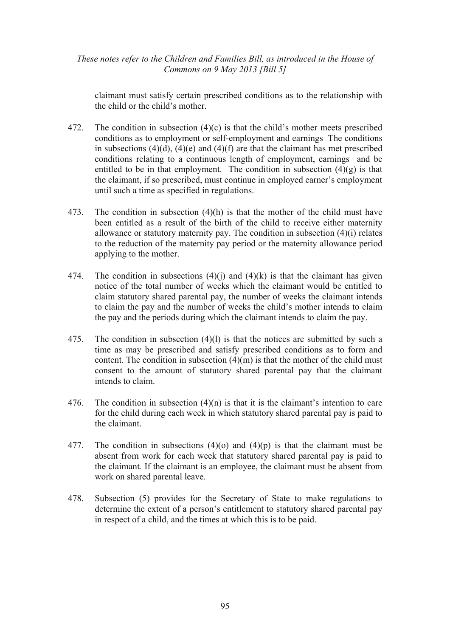claimant must satisfy certain prescribed conditions as to the relationship with the child or the child's mother.

- 472. The condition in subsection  $(4)(c)$  is that the child's mother meets prescribed conditions as to employment or self-employment and earnings The conditions in subsections  $(4)(d)$ ,  $(4)(e)$  and  $(4)(f)$  are that the claimant has met prescribed conditions relating to a continuous length of employment, earnings and be entitled to be in that employment. The condition in subsection  $(4)(g)$  is that the claimant, if so prescribed, must continue in employed earner's employment until such a time as specified in regulations.
- 473. The condition in subsection (4)(h) is that the mother of the child must have been entitled as a result of the birth of the child to receive either maternity allowance or statutory maternity pay. The condition in subsection (4)(i) relates to the reduction of the maternity pay period or the maternity allowance period applying to the mother.
- 474. The condition in subsections  $(4)(i)$  and  $(4)(k)$  is that the claimant has given notice of the total number of weeks which the claimant would be entitled to claim statutory shared parental pay, the number of weeks the claimant intends to claim the pay and the number of weeks the child's mother intends to claim the pay and the periods during which the claimant intends to claim the pay.
- 475. The condition in subsection (4)(l) is that the notices are submitted by such a time as may be prescribed and satisfy prescribed conditions as to form and content. The condition in subsection  $(4)(m)$  is that the mother of the child must consent to the amount of statutory shared parental pay that the claimant intends to claim.
- 476. The condition in subsection (4)(n) is that it is the claimant's intention to care for the child during each week in which statutory shared parental pay is paid to the claimant.
- 477. The condition in subsections (4)(o) and (4)(p) is that the claimant must be absent from work for each week that statutory shared parental pay is paid to the claimant. If the claimant is an employee, the claimant must be absent from work on shared parental leave.
- 478. Subsection (5) provides for the Secretary of State to make regulations to determine the extent of a person's entitlement to statutory shared parental pay in respect of a child, and the times at which this is to be paid.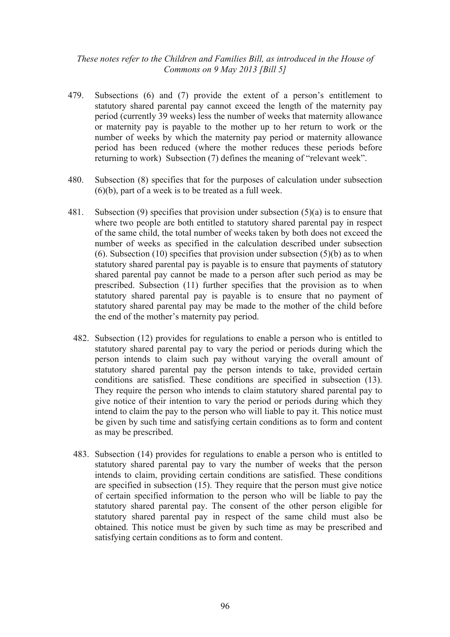- 479. Subsections (6) and (7) provide the extent of a person's entitlement to statutory shared parental pay cannot exceed the length of the maternity pay period (currently 39 weeks) less the number of weeks that maternity allowance or maternity pay is payable to the mother up to her return to work or the number of weeks by which the maternity pay period or maternity allowance period has been reduced (where the mother reduces these periods before returning to work) Subsection (7) defines the meaning of "relevant week".
- 480. Subsection (8) specifies that for the purposes of calculation under subsection (6)(b), part of a week is to be treated as a full week.
- 481. Subsection (9) specifies that provision under subsection (5)(a) is to ensure that where two people are both entitled to statutory shared parental pay in respect of the same child, the total number of weeks taken by both does not exceed the number of weeks as specified in the calculation described under subsection (6). Subsection (10) specifies that provision under subsection  $(5)(b)$  as to when statutory shared parental pay is payable is to ensure that payments of statutory shared parental pay cannot be made to a person after such period as may be prescribed. Subsection (11) further specifies that the provision as to when statutory shared parental pay is payable is to ensure that no payment of statutory shared parental pay may be made to the mother of the child before the end of the mother's maternity pay period.
	- 482. Subsection (12) provides for regulations to enable a person who is entitled to statutory shared parental pay to vary the period or periods during which the person intends to claim such pay without varying the overall amount of statutory shared parental pay the person intends to take, provided certain conditions are satisfied. These conditions are specified in subsection (13). They require the person who intends to claim statutory shared parental pay to give notice of their intention to vary the period or periods during which they intend to claim the pay to the person who will liable to pay it. This notice must be given by such time and satisfying certain conditions as to form and content as may be prescribed.
	- 483. Subsection (14) provides for regulations to enable a person who is entitled to statutory shared parental pay to vary the number of weeks that the person intends to claim, providing certain conditions are satisfied. These conditions are specified in subsection (15). They require that the person must give notice of certain specified information to the person who will be liable to pay the statutory shared parental pay. The consent of the other person eligible for statutory shared parental pay in respect of the same child must also be obtained. This notice must be given by such time as may be prescribed and satisfying certain conditions as to form and content.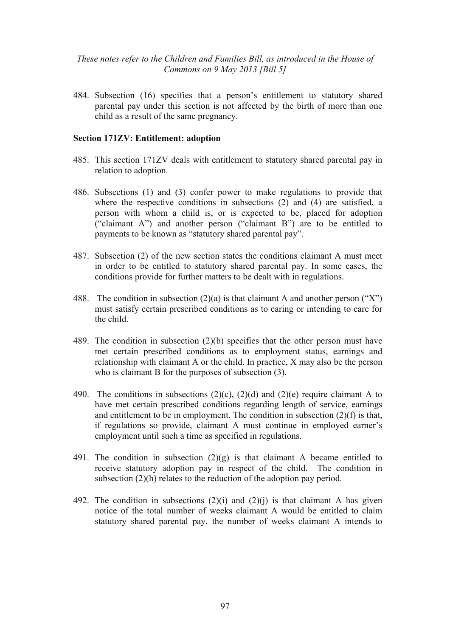484. Subsection (16) specifies that a person's entitlement to statutory shared parental pay under this section is not affected by the birth of more than one child as a result of the same pregnancy.

#### **Section 171ZV: Entitlement: adoption**

- 485. This section 171ZV deals with entitlement to statutory shared parental pay in relation to adoption.
- 486. Subsections (1) and (3) confer power to make regulations to provide that where the respective conditions in subsections (2) and (4) are satisfied, a person with whom a child is, or is expected to be, placed for adoption ("claimant A") and another person ("claimant B") are to be entitled to payments to be known as "statutory shared parental pay".
- 487. Subsection (2) of the new section states the conditions claimant A must meet in order to be entitled to statutory shared parental pay. In some cases, the conditions provide for further matters to be dealt with in regulations.
- 488. The condition in subsection  $(2)(a)$  is that claimant A and another person ("X") must satisfy certain prescribed conditions as to caring or intending to care for the child.
- 489. The condition in subsection (2)(b) specifies that the other person must have met certain prescribed conditions as to employment status, earnings and relationship with claimant A or the child. In practice, X may also be the person who is claimant B for the purposes of subsection (3).
- 490. The conditions in subsections  $(2)(c)$ ,  $(2)(d)$  and  $(2)(e)$  require claimant A to have met certain prescribed conditions regarding length of service, earnings and entitlement to be in employment. The condition in subsection  $(2)(f)$  is that, if regulations so provide, claimant A must continue in employed earner's employment until such a time as specified in regulations.
- 491. The condition in subsection  $(2)(g)$  is that claimant A became entitled to receive statutory adoption pay in respect of the child. The condition in subsection (2)(h) relates to the reduction of the adoption pay period.
- 492. The condition in subsections  $(2)(i)$  and  $(2)(j)$  is that claimant A has given notice of the total number of weeks claimant A would be entitled to claim statutory shared parental pay, the number of weeks claimant A intends to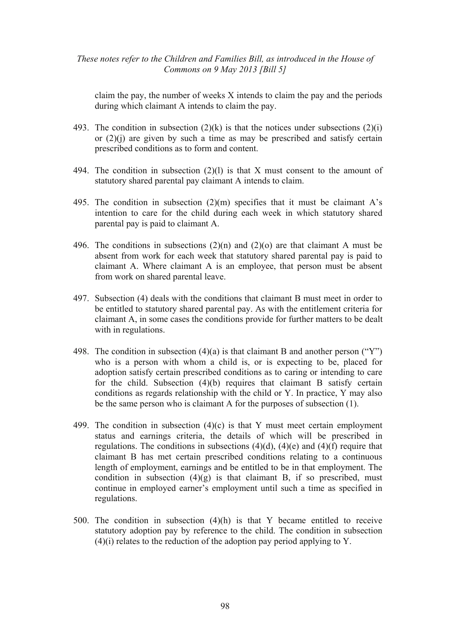claim the pay, the number of weeks X intends to claim the pay and the periods during which claimant A intends to claim the pay.

- 493. The condition in subsection  $(2)(k)$  is that the notices under subsections  $(2)(i)$ or  $(2)(i)$  are given by such a time as may be prescribed and satisfy certain prescribed conditions as to form and content.
- 494. The condition in subsection (2)(l) is that X must consent to the amount of statutory shared parental pay claimant A intends to claim.
- 495. The condition in subsection  $(2)(m)$  specifies that it must be claimant A's intention to care for the child during each week in which statutory shared parental pay is paid to claimant A.
- 496. The conditions in subsections (2)(n) and (2)(o) are that claimant A must be absent from work for each week that statutory shared parental pay is paid to claimant A. Where claimant A is an employee, that person must be absent from work on shared parental leave.
- 497. Subsection (4) deals with the conditions that claimant B must meet in order to be entitled to statutory shared parental pay. As with the entitlement criteria for claimant A, in some cases the conditions provide for further matters to be dealt with in regulations.
- 498. The condition in subsection  $(4)(a)$  is that claimant B and another person ("Y") who is a person with whom a child is, or is expecting to be, placed for adoption satisfy certain prescribed conditions as to caring or intending to care for the child. Subsection (4)(b) requires that claimant B satisfy certain conditions as regards relationship with the child or Y. In practice, Y may also be the same person who is claimant A for the purposes of subsection (1).
- 499. The condition in subsection (4)(c) is that Y must meet certain employment status and earnings criteria, the details of which will be prescribed in regulations. The conditions in subsections  $(4)(d)$ ,  $(4)(e)$  and  $(4)(f)$  require that claimant B has met certain prescribed conditions relating to a continuous length of employment, earnings and be entitled to be in that employment. The condition in subsection  $(4)(g)$  is that claimant B, if so prescribed, must continue in employed earner's employment until such a time as specified in regulations.
- 500. The condition in subsection (4)(h) is that Y became entitled to receive statutory adoption pay by reference to the child. The condition in subsection  $(4)(i)$  relates to the reduction of the adoption pay period applying to Y.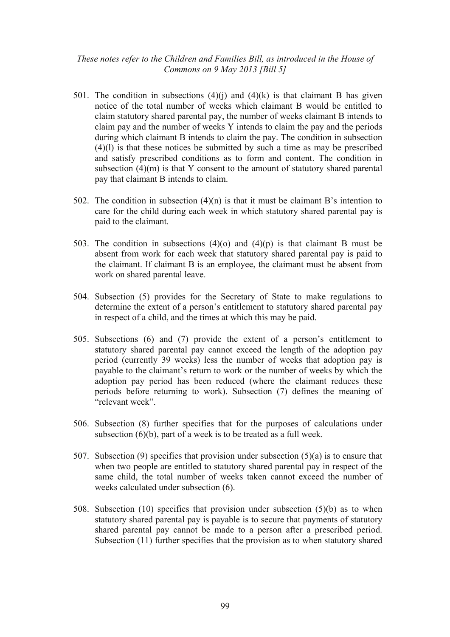- 501. The condition in subsections  $(4)(i)$  and  $(4)(k)$  is that claimant B has given notice of the total number of weeks which claimant B would be entitled to claim statutory shared parental pay, the number of weeks claimant B intends to claim pay and the number of weeks Y intends to claim the pay and the periods during which claimant B intends to claim the pay. The condition in subsection (4)(l) is that these notices be submitted by such a time as may be prescribed and satisfy prescribed conditions as to form and content. The condition in subsection  $(4)(m)$  is that Y consent to the amount of statutory shared parental pay that claimant B intends to claim.
- 502. The condition in subsection  $(4)(n)$  is that it must be claimant B's intention to care for the child during each week in which statutory shared parental pay is paid to the claimant.
- 503. The condition in subsections  $(4)(o)$  and  $(4)(p)$  is that claimant B must be absent from work for each week that statutory shared parental pay is paid to the claimant. If claimant B is an employee, the claimant must be absent from work on shared parental leave.
- 504. Subsection (5) provides for the Secretary of State to make regulations to determine the extent of a person's entitlement to statutory shared parental pay in respect of a child, and the times at which this may be paid.
- 505. Subsections (6) and (7) provide the extent of a person's entitlement to statutory shared parental pay cannot exceed the length of the adoption pay period (currently 39 weeks) less the number of weeks that adoption pay is payable to the claimant's return to work or the number of weeks by which the adoption pay period has been reduced (where the claimant reduces these periods before returning to work). Subsection (7) defines the meaning of "relevant week".
- 506. Subsection (8) further specifies that for the purposes of calculations under subsection (6)(b), part of a week is to be treated as a full week.
- 507. Subsection (9) specifies that provision under subsection (5)(a) is to ensure that when two people are entitled to statutory shared parental pay in respect of the same child, the total number of weeks taken cannot exceed the number of weeks calculated under subsection (6).
- 508. Subsection (10) specifies that provision under subsection (5)(b) as to when statutory shared parental pay is payable is to secure that payments of statutory shared parental pay cannot be made to a person after a prescribed period. Subsection (11) further specifies that the provision as to when statutory shared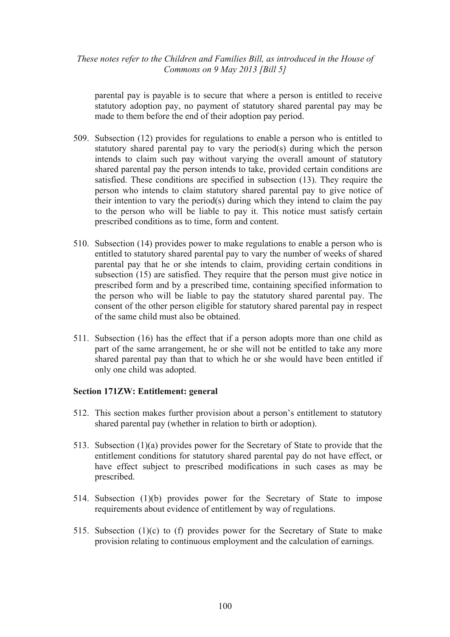parental pay is payable is to secure that where a person is entitled to receive statutory adoption pay, no payment of statutory shared parental pay may be made to them before the end of their adoption pay period.

- 509. Subsection (12) provides for regulations to enable a person who is entitled to statutory shared parental pay to vary the period(s) during which the person intends to claim such pay without varying the overall amount of statutory shared parental pay the person intends to take, provided certain conditions are satisfied. These conditions are specified in subsection (13). They require the person who intends to claim statutory shared parental pay to give notice of their intention to vary the period(s) during which they intend to claim the pay to the person who will be liable to pay it. This notice must satisfy certain prescribed conditions as to time, form and content.
- 510. Subsection (14) provides power to make regulations to enable a person who is entitled to statutory shared parental pay to vary the number of weeks of shared parental pay that he or she intends to claim, providing certain conditions in subsection (15) are satisfied. They require that the person must give notice in prescribed form and by a prescribed time, containing specified information to the person who will be liable to pay the statutory shared parental pay. The consent of the other person eligible for statutory shared parental pay in respect of the same child must also be obtained.
- 511. Subsection (16) has the effect that if a person adopts more than one child as part of the same arrangement, he or she will not be entitled to take any more shared parental pay than that to which he or she would have been entitled if only one child was adopted.

### **Section 171ZW: Entitlement: general**

- 512. This section makes further provision about a person's entitlement to statutory shared parental pay (whether in relation to birth or adoption).
- 513. Subsection (1)(a) provides power for the Secretary of State to provide that the entitlement conditions for statutory shared parental pay do not have effect, or have effect subject to prescribed modifications in such cases as may be prescribed.
- 514. Subsection (1)(b) provides power for the Secretary of State to impose requirements about evidence of entitlement by way of regulations.
- 515. Subsection (1)(c) to (f) provides power for the Secretary of State to make provision relating to continuous employment and the calculation of earnings.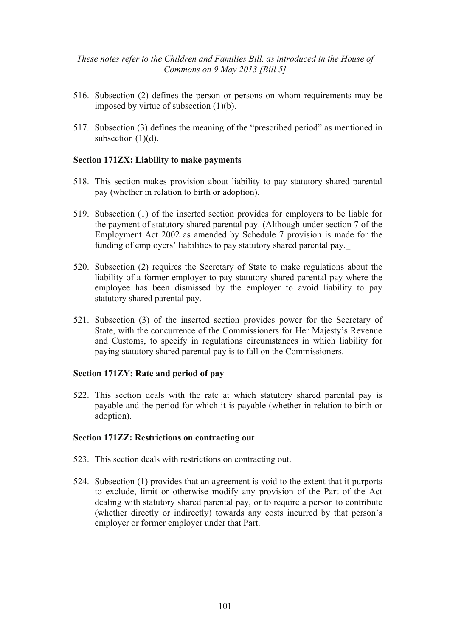- 516. Subsection (2) defines the person or persons on whom requirements may be imposed by virtue of subsection (1)(b).
- 517. Subsection (3) defines the meaning of the "prescribed period" as mentioned in subsection  $(1)(d)$ .

### **Section 171ZX: Liability to make payments**

- 518. This section makes provision about liability to pay statutory shared parental pay (whether in relation to birth or adoption).
- 519. Subsection (1) of the inserted section provides for employers to be liable for the payment of statutory shared parental pay. (Although under section 7 of the Employment Act 2002 as amended by Schedule 7 provision is made for the funding of employers' liabilities to pay statutory shared parental pay.\_
- 520. Subsection (2) requires the Secretary of State to make regulations about the liability of a former employer to pay statutory shared parental pay where the employee has been dismissed by the employer to avoid liability to pay statutory shared parental pay.
- 521. Subsection (3) of the inserted section provides power for the Secretary of State, with the concurrence of the Commissioners for Her Majesty's Revenue and Customs, to specify in regulations circumstances in which liability for paying statutory shared parental pay is to fall on the Commissioners.

#### **Section 171ZY: Rate and period of pay**

522. This section deals with the rate at which statutory shared parental pay is payable and the period for which it is payable (whether in relation to birth or adoption).

#### **Section 171ZZ: Restrictions on contracting out**

- 523. This section deals with restrictions on contracting out.
- 524. Subsection (1) provides that an agreement is void to the extent that it purports to exclude, limit or otherwise modify any provision of the Part of the Act dealing with statutory shared parental pay, or to require a person to contribute (whether directly or indirectly) towards any costs incurred by that person's employer or former employer under that Part.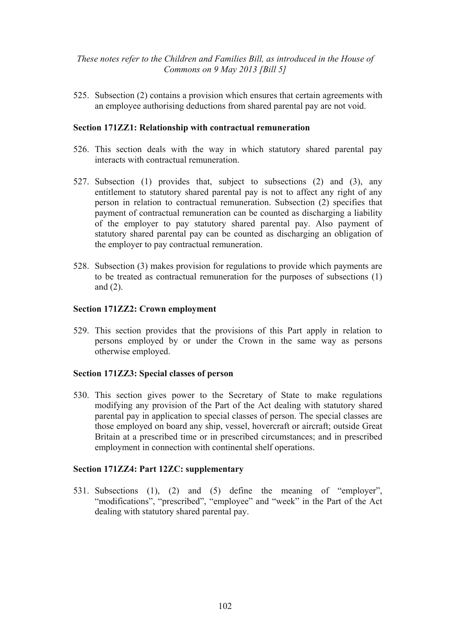525. Subsection (2) contains a provision which ensures that certain agreements with an employee authorising deductions from shared parental pay are not void.

### **Section 171ZZ1: Relationship with contractual remuneration**

- 526. This section deals with the way in which statutory shared parental pay interacts with contractual remuneration.
- 527. Subsection (1) provides that, subject to subsections (2) and (3), any entitlement to statutory shared parental pay is not to affect any right of any person in relation to contractual remuneration. Subsection (2) specifies that payment of contractual remuneration can be counted as discharging a liability of the employer to pay statutory shared parental pay. Also payment of statutory shared parental pay can be counted as discharging an obligation of the employer to pay contractual remuneration.
- 528. Subsection (3) makes provision for regulations to provide which payments are to be treated as contractual remuneration for the purposes of subsections (1) and (2).

### **Section 171ZZ2: Crown employment**

529. This section provides that the provisions of this Part apply in relation to persons employed by or under the Crown in the same way as persons otherwise employed.

### **Section 171ZZ3: Special classes of person**

530. This section gives power to the Secretary of State to make regulations modifying any provision of the Part of the Act dealing with statutory shared parental pay in application to special classes of person. The special classes are those employed on board any ship, vessel, hovercraft or aircraft; outside Great Britain at a prescribed time or in prescribed circumstances; and in prescribed employment in connection with continental shelf operations.

### **Section 171ZZ4: Part 12ZC: supplementary**

531. Subsections (1), (2) and (5) define the meaning of "employer", "modifications", "prescribed", "employee" and "week" in the Part of the Act dealing with statutory shared parental pay.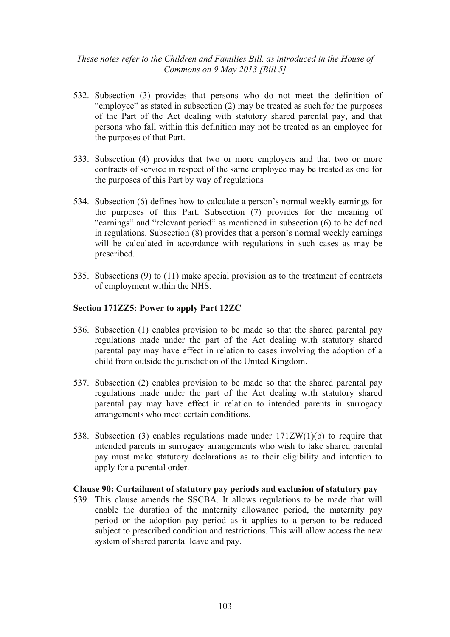- 532. Subsection (3) provides that persons who do not meet the definition of "employee" as stated in subsection (2) may be treated as such for the purposes of the Part of the Act dealing with statutory shared parental pay, and that persons who fall within this definition may not be treated as an employee for the purposes of that Part.
- 533. Subsection (4) provides that two or more employers and that two or more contracts of service in respect of the same employee may be treated as one for the purposes of this Part by way of regulations
- 534. Subsection (6) defines how to calculate a person's normal weekly earnings for the purposes of this Part. Subsection (7) provides for the meaning of "earnings" and "relevant period" as mentioned in subsection (6) to be defined in regulations. Subsection (8) provides that a person's normal weekly earnings will be calculated in accordance with regulations in such cases as may be prescribed.
- 535. Subsections (9) to (11) make special provision as to the treatment of contracts of employment within the NHS.

## **Section 171ZZ5: Power to apply Part 12ZC**

- 536. Subsection (1) enables provision to be made so that the shared parental pay regulations made under the part of the Act dealing with statutory shared parental pay may have effect in relation to cases involving the adoption of a child from outside the jurisdiction of the United Kingdom.
- 537. Subsection (2) enables provision to be made so that the shared parental pay regulations made under the part of the Act dealing with statutory shared parental pay may have effect in relation to intended parents in surrogacy arrangements who meet certain conditions.
- 538. Subsection (3) enables regulations made under 171ZW(1)(b) to require that intended parents in surrogacy arrangements who wish to take shared parental pay must make statutory declarations as to their eligibility and intention to apply for a parental order.

### **Clause 90: Curtailment of statutory pay periods and exclusion of statutory pay**

539. This clause amends the SSCBA. It allows regulations to be made that will enable the duration of the maternity allowance period, the maternity pay period or the adoption pay period as it applies to a person to be reduced subject to prescribed condition and restrictions. This will allow access the new system of shared parental leave and pay.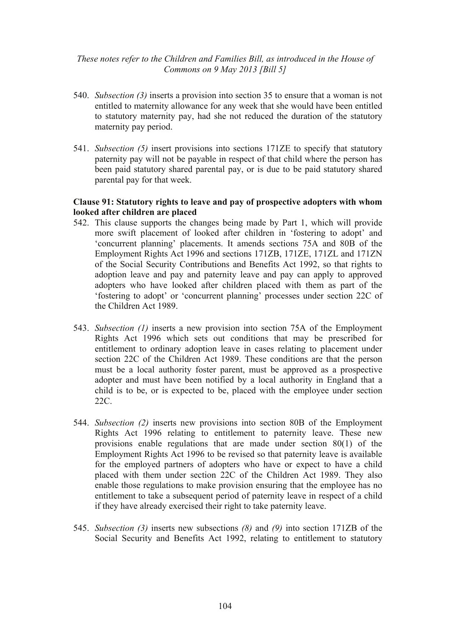- 540. *Subsection (3)* inserts a provision into section 35 to ensure that a woman is not entitled to maternity allowance for any week that she would have been entitled to statutory maternity pay, had she not reduced the duration of the statutory maternity pay period.
- 541. *Subsection (5)* insert provisions into sections 171ZE to specify that statutory paternity pay will not be payable in respect of that child where the person has been paid statutory shared parental pay, or is due to be paid statutory shared parental pay for that week.

# **Clause 91: Statutory rights to leave and pay of prospective adopters with whom looked after children are placed**

- 542. This clause supports the changes being made by Part 1, which will provide more swift placement of looked after children in 'fostering to adopt' and 'concurrent planning' placements. It amends sections 75A and 80B of the Employment Rights Act 1996 and sections 171ZB, 171ZE, 171ZL and 171ZN of the Social Security Contributions and Benefits Act 1992, so that rights to adoption leave and pay and paternity leave and pay can apply to approved adopters who have looked after children placed with them as part of the 'fostering to adopt' or 'concurrent planning' processes under section 22C of the Children Act 1989.
- 543. *Subsection (1)* inserts a new provision into section 75A of the Employment Rights Act 1996 which sets out conditions that may be prescribed for entitlement to ordinary adoption leave in cases relating to placement under section 22C of the Children Act 1989. These conditions are that the person must be a local authority foster parent, must be approved as a prospective adopter and must have been notified by a local authority in England that a child is to be, or is expected to be, placed with the employee under section 22C.
- 544. *Subsection (2)* inserts new provisions into section 80B of the Employment Rights Act 1996 relating to entitlement to paternity leave. These new provisions enable regulations that are made under section 80(1) of the Employment Rights Act 1996 to be revised so that paternity leave is available for the employed partners of adopters who have or expect to have a child placed with them under section 22C of the Children Act 1989. They also enable those regulations to make provision ensuring that the employee has no entitlement to take a subsequent period of paternity leave in respect of a child if they have already exercised their right to take paternity leave.
- 545. *Subsection (3)* inserts new subsections *(8)* and *(9)* into section 171ZB of the Social Security and Benefits Act 1992, relating to entitlement to statutory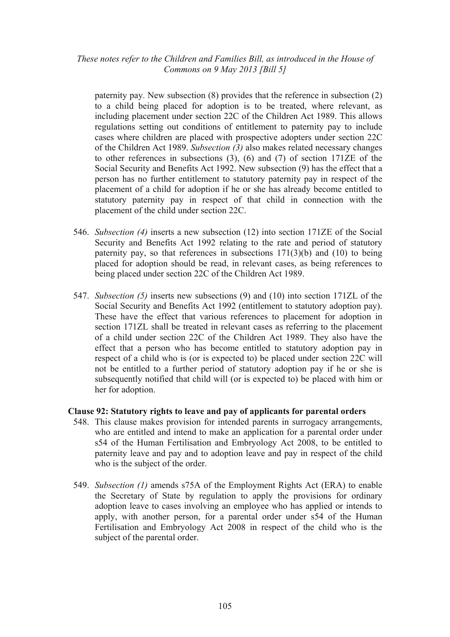paternity pay. New subsection (8) provides that the reference in subsection (2) to a child being placed for adoption is to be treated, where relevant, as including placement under section 22C of the Children Act 1989. This allows regulations setting out conditions of entitlement to paternity pay to include cases where children are placed with prospective adopters under section 22C of the Children Act 1989. *Subsection (3)* also makes related necessary changes to other references in subsections (3), (6) and (7) of section 171ZE of the Social Security and Benefits Act 1992. New subsection (9) has the effect that a person has no further entitlement to statutory paternity pay in respect of the placement of a child for adoption if he or she has already become entitled to statutory paternity pay in respect of that child in connection with the placement of the child under section 22C.

- 546. *Subsection (4)* inserts a new subsection (12) into section 171ZE of the Social Security and Benefits Act 1992 relating to the rate and period of statutory paternity pay, so that references in subsections  $171(3)(b)$  and  $(10)$  to being placed for adoption should be read, in relevant cases, as being references to being placed under section 22C of the Children Act 1989.
- 547. *Subsection (5)* inserts new subsections (9) and (10) into section 171ZL of the Social Security and Benefits Act 1992 (entitlement to statutory adoption pay). These have the effect that various references to placement for adoption in section 171ZL shall be treated in relevant cases as referring to the placement of a child under section 22C of the Children Act 1989. They also have the effect that a person who has become entitled to statutory adoption pay in respect of a child who is (or is expected to) be placed under section 22C will not be entitled to a further period of statutory adoption pay if he or she is subsequently notified that child will (or is expected to) be placed with him or her for adoption.

### **Clause 92: Statutory rights to leave and pay of applicants for parental orders**

- 548. This clause makes provision for intended parents in surrogacy arrangements, who are entitled and intend to make an application for a parental order under s54 of the Human Fertilisation and Embryology Act 2008, to be entitled to paternity leave and pay and to adoption leave and pay in respect of the child who is the subject of the order.
- 549. *Subsection (1)* amends s75A of the Employment Rights Act (ERA) to enable the Secretary of State by regulation to apply the provisions for ordinary adoption leave to cases involving an employee who has applied or intends to apply, with another person, for a parental order under s54 of the Human Fertilisation and Embryology Act 2008 in respect of the child who is the subject of the parental order.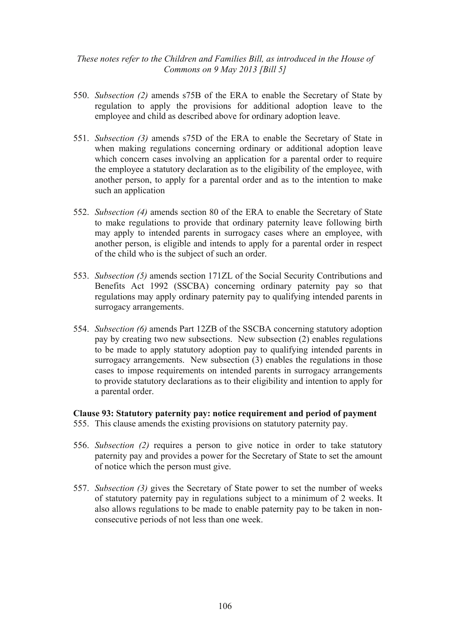- 550. *Subsection (2)* amends s75B of the ERA to enable the Secretary of State by regulation to apply the provisions for additional adoption leave to the employee and child as described above for ordinary adoption leave.
- 551. *Subsection (3)* amends s75D of the ERA to enable the Secretary of State in when making regulations concerning ordinary or additional adoption leave which concern cases involving an application for a parental order to require the employee a statutory declaration as to the eligibility of the employee, with another person, to apply for a parental order and as to the intention to make such an application
- 552. *Subsection (4)* amends section 80 of the ERA to enable the Secretary of State to make regulations to provide that ordinary paternity leave following birth may apply to intended parents in surrogacy cases where an employee, with another person, is eligible and intends to apply for a parental order in respect of the child who is the subject of such an order.
- 553. *Subsection (5)* amends section 171ZL of the Social Security Contributions and Benefits Act 1992 (SSCBA) concerning ordinary paternity pay so that regulations may apply ordinary paternity pay to qualifying intended parents in surrogacy arrangements.
- 554. *Subsection (6)* amends Part 12ZB of the SSCBA concerning statutory adoption pay by creating two new subsections. New subsection (2) enables regulations to be made to apply statutory adoption pay to qualifying intended parents in surrogacy arrangements. New subsection (3) enables the regulations in those cases to impose requirements on intended parents in surrogacy arrangements to provide statutory declarations as to their eligibility and intention to apply for a parental order.

### **Clause 93: Statutory paternity pay: notice requirement and period of payment**

- 555. This clause amends the existing provisions on statutory paternity pay.
- 556. *Subsection (2)* requires a person to give notice in order to take statutory paternity pay and provides a power for the Secretary of State to set the amount of notice which the person must give.
- 557. *Subsection (3)* gives the Secretary of State power to set the number of weeks of statutory paternity pay in regulations subject to a minimum of 2 weeks. It also allows regulations to be made to enable paternity pay to be taken in nonconsecutive periods of not less than one week.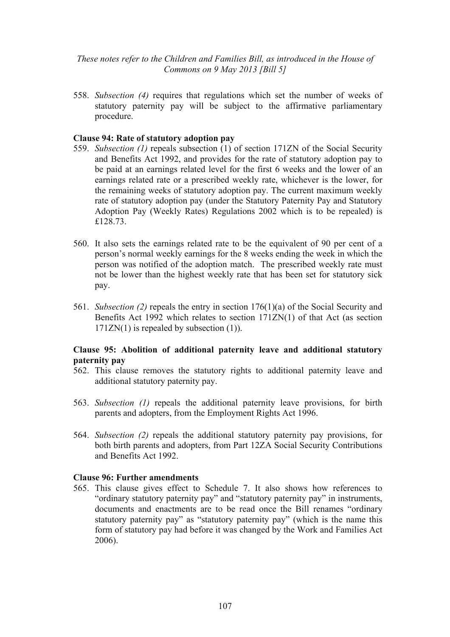558. *Subsection (4)* requires that regulations which set the number of weeks of statutory paternity pay will be subject to the affirmative parliamentary procedure.

### **Clause 94: Rate of statutory adoption pay**

- 559. *Subsection (1)* repeals subsection (1) of section 171ZN of the Social Security and Benefits Act 1992, and provides for the rate of statutory adoption pay to be paid at an earnings related level for the first 6 weeks and the lower of an earnings related rate or a prescribed weekly rate, whichever is the lower, for the remaining weeks of statutory adoption pay. The current maximum weekly rate of statutory adoption pay (under the Statutory Paternity Pay and Statutory Adoption Pay (Weekly Rates) Regulations 2002 which is to be repealed) is £128.73.
- 560. It also sets the earnings related rate to be the equivalent of 90 per cent of a person's normal weekly earnings for the 8 weeks ending the week in which the person was notified of the adoption match. The prescribed weekly rate must not be lower than the highest weekly rate that has been set for statutory sick pay.
- 561. *Subsection (2)* repeals the entry in section 176(1)(a) of the Social Security and Benefits Act 1992 which relates to section 171ZN(1) of that Act (as section 171ZN(1) is repealed by subsection (1)).

## **Clause 95: Abolition of additional paternity leave and additional statutory paternity pay**

- 562. This clause removes the statutory rights to additional paternity leave and additional statutory paternity pay.
- 563. *Subsection (1)* repeals the additional paternity leave provisions, for birth parents and adopters, from the Employment Rights Act 1996.
- 564. *Subsection (2)* repeals the additional statutory paternity pay provisions, for both birth parents and adopters, from Part 12ZA Social Security Contributions and Benefits Act 1992.

### **Clause 96: Further amendments**

565. This clause gives effect to Schedule 7. It also shows how references to "ordinary statutory paternity pay" and "statutory paternity pay" in instruments, documents and enactments are to be read once the Bill renames "ordinary statutory paternity pay" as "statutory paternity pay" (which is the name this form of statutory pay had before it was changed by the Work and Families Act 2006).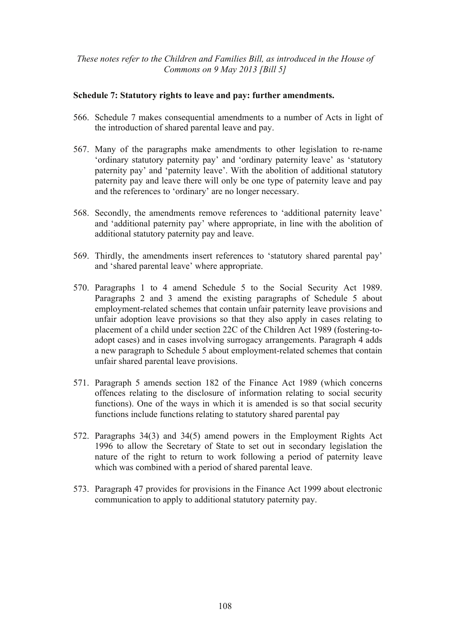### **Schedule 7: Statutory rights to leave and pay: further amendments.**

- 566. Schedule 7 makes consequential amendments to a number of Acts in light of the introduction of shared parental leave and pay.
- 567. Many of the paragraphs make amendments to other legislation to re-name 'ordinary statutory paternity pay' and 'ordinary paternity leave' as 'statutory paternity pay' and 'paternity leave'. With the abolition of additional statutory paternity pay and leave there will only be one type of paternity leave and pay and the references to 'ordinary' are no longer necessary.
- 568. Secondly, the amendments remove references to 'additional paternity leave' and 'additional paternity pay' where appropriate, in line with the abolition of additional statutory paternity pay and leave.
- 569. Thirdly, the amendments insert references to 'statutory shared parental pay' and 'shared parental leave' where appropriate.
- 570. Paragraphs 1 to 4 amend Schedule 5 to the Social Security Act 1989. Paragraphs 2 and 3 amend the existing paragraphs of Schedule 5 about employment-related schemes that contain unfair paternity leave provisions and unfair adoption leave provisions so that they also apply in cases relating to placement of a child under section 22C of the Children Act 1989 (fostering-toadopt cases) and in cases involving surrogacy arrangements. Paragraph 4 adds a new paragraph to Schedule 5 about employment-related schemes that contain unfair shared parental leave provisions.
- 571. Paragraph 5 amends section 182 of the Finance Act 1989 (which concerns offences relating to the disclosure of information relating to social security functions). One of the ways in which it is amended is so that social security functions include functions relating to statutory shared parental pay
- 572. Paragraphs 34(3) and 34(5) amend powers in the Employment Rights Act 1996 to allow the Secretary of State to set out in secondary legislation the nature of the right to return to work following a period of paternity leave which was combined with a period of shared parental leave.
- 573. Paragraph 47 provides for provisions in the Finance Act 1999 about electronic communication to apply to additional statutory paternity pay.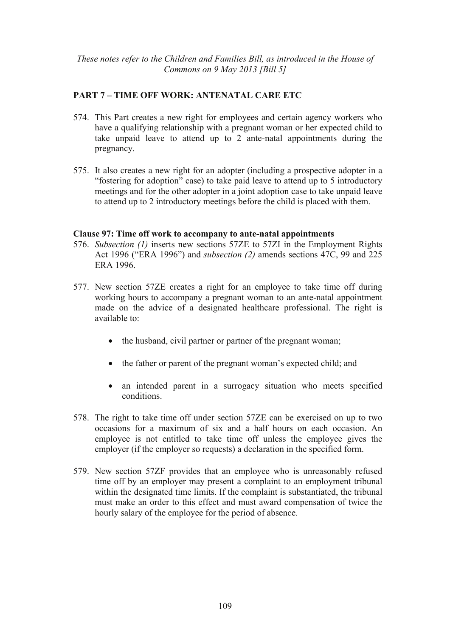## **PART 7 – TIME OFF WORK: ANTENATAL CARE ETC**

- 574. This Part creates a new right for employees and certain agency workers who have a qualifying relationship with a pregnant woman or her expected child to take unpaid leave to attend up to 2 ante-natal appointments during the pregnancy.
- 575. It also creates a new right for an adopter (including a prospective adopter in a "fostering for adoption" case) to take paid leave to attend up to 5 introductory meetings and for the other adopter in a joint adoption case to take unpaid leave to attend up to 2 introductory meetings before the child is placed with them.

#### **Clause 97: Time off work to accompany to ante-natal appointments**

- 576. *Subsection (1)* inserts new sections 57ZE to 57ZI in the Employment Rights Act 1996 ("ERA 1996") and *subsection (2)* amends sections 47C, 99 and 225 ERA 1996.
- 577. New section 57ZE creates a right for an employee to take time off during working hours to accompany a pregnant woman to an ante-natal appointment made on the advice of a designated healthcare professional. The right is available to:
	- the husband, civil partner or partner of the pregnant woman;
	- the father or parent of the pregnant woman's expected child; and
	- an intended parent in a surrogacy situation who meets specified conditions.
- 578. The right to take time off under section 57ZE can be exercised on up to two occasions for a maximum of six and a half hours on each occasion. An employee is not entitled to take time off unless the employee gives the employer (if the employer so requests) a declaration in the specified form.
- 579. New section 57ZF provides that an employee who is unreasonably refused time off by an employer may present a complaint to an employment tribunal within the designated time limits. If the complaint is substantiated, the tribunal must make an order to this effect and must award compensation of twice the hourly salary of the employee for the period of absence.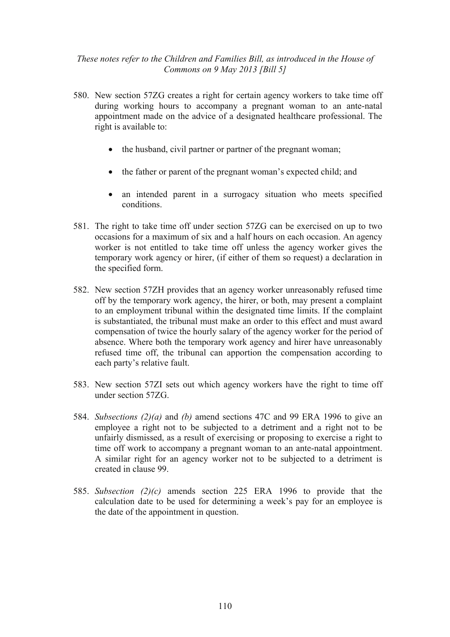- 580. New section 57ZG creates a right for certain agency workers to take time off during working hours to accompany a pregnant woman to an ante-natal appointment made on the advice of a designated healthcare professional. The right is available to:
	- the husband, civil partner or partner of the pregnant woman;
	- the father or parent of the pregnant woman's expected child; and
	- an intended parent in a surrogacy situation who meets specified conditions.
- 581. The right to take time off under section 57ZG can be exercised on up to two occasions for a maximum of six and a half hours on each occasion. An agency worker is not entitled to take time off unless the agency worker gives the temporary work agency or hirer, (if either of them so request) a declaration in the specified form.
- 582. New section 57ZH provides that an agency worker unreasonably refused time off by the temporary work agency, the hirer, or both, may present a complaint to an employment tribunal within the designated time limits. If the complaint is substantiated, the tribunal must make an order to this effect and must award compensation of twice the hourly salary of the agency worker for the period of absence. Where both the temporary work agency and hirer have unreasonably refused time off, the tribunal can apportion the compensation according to each party's relative fault.
- 583. New section 57ZI sets out which agency workers have the right to time off under section 57ZG.
- 584. *Subsections (2)(a)* and *(b)* amend sections 47C and 99 ERA 1996 to give an employee a right not to be subjected to a detriment and a right not to be unfairly dismissed, as a result of exercising or proposing to exercise a right to time off work to accompany a pregnant woman to an ante-natal appointment. A similar right for an agency worker not to be subjected to a detriment is created in clause 99.
- 585. *Subsection (2)(c)* amends section 225 ERA 1996 to provide that the calculation date to be used for determining a week's pay for an employee is the date of the appointment in question.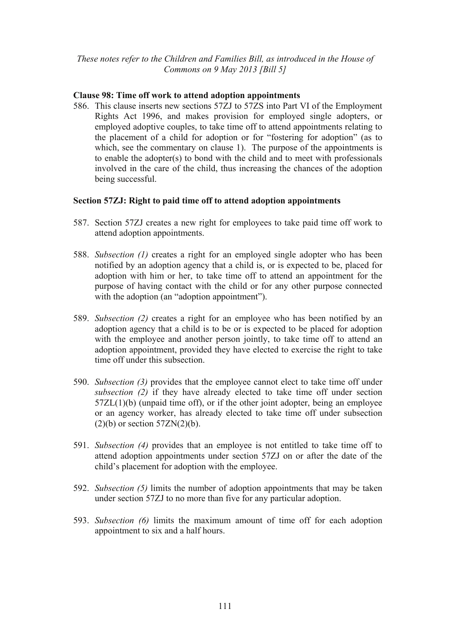#### **Clause 98: Time off work to attend adoption appointments**

586. This clause inserts new sections 57ZJ to 57ZS into Part VI of the Employment Rights Act 1996, and makes provision for employed single adopters, or employed adoptive couples, to take time off to attend appointments relating to the placement of a child for adoption or for "fostering for adoption" (as to which, see the commentary on clause 1). The purpose of the appointments is to enable the adopter(s) to bond with the child and to meet with professionals involved in the care of the child, thus increasing the chances of the adoption being successful.

## **Section 57ZJ: Right to paid time off to attend adoption appointments**

- 587. Section 57ZJ creates a new right for employees to take paid time off work to attend adoption appointments.
- 588. *Subsection (1)* creates a right for an employed single adopter who has been notified by an adoption agency that a child is, or is expected to be, placed for adoption with him or her, to take time off to attend an appointment for the purpose of having contact with the child or for any other purpose connected with the adoption (an "adoption appointment").
- 589. *Subsection (2)* creates a right for an employee who has been notified by an adoption agency that a child is to be or is expected to be placed for adoption with the employee and another person jointly, to take time off to attend an adoption appointment, provided they have elected to exercise the right to take time off under this subsection.
- 590. *Subsection (3)* provides that the employee cannot elect to take time off under *subsection (2)* if they have already elected to take time off under section 57ZL(1)(b) (unpaid time off), or if the other joint adopter, being an employee or an agency worker, has already elected to take time off under subsection  $(2)(b)$  or section  $57ZN(2)(b)$ .
- 591. *Subsection (4)* provides that an employee is not entitled to take time off to attend adoption appointments under section 57ZJ on or after the date of the child's placement for adoption with the employee.
- 592. *Subsection (5)* limits the number of adoption appointments that may be taken under section 57ZJ to no more than five for any particular adoption.
- 593. *Subsection (6)* limits the maximum amount of time off for each adoption appointment to six and a half hours.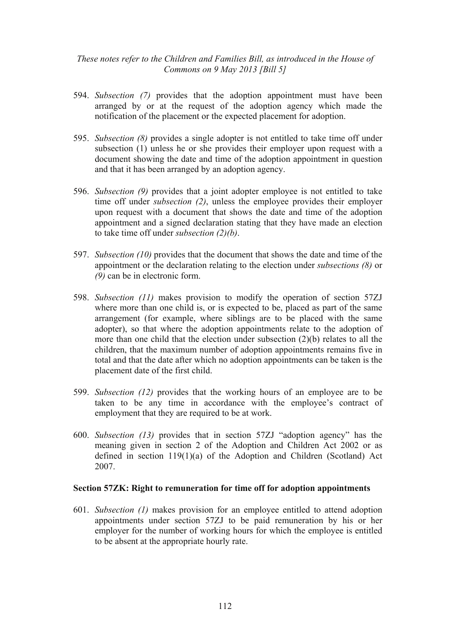- 594. *Subsection (7)* provides that the adoption appointment must have been arranged by or at the request of the adoption agency which made the notification of the placement or the expected placement for adoption.
- 595. *Subsection (8)* provides a single adopter is not entitled to take time off under subsection (1) unless he or she provides their employer upon request with a document showing the date and time of the adoption appointment in question and that it has been arranged by an adoption agency.
- 596. *Subsection (9)* provides that a joint adopter employee is not entitled to take time off under *subsection (2)*, unless the employee provides their employer upon request with a document that shows the date and time of the adoption appointment and a signed declaration stating that they have made an election to take time off under *subsection (2)(b)*.
- 597. *Subsection (10)* provides that the document that shows the date and time of the appointment or the declaration relating to the election under *subsections (8)* or *(9)* can be in electronic form.
- 598. *Subsection (11)* makes provision to modify the operation of section 57ZJ where more than one child is, or is expected to be, placed as part of the same arrangement (for example, where siblings are to be placed with the same adopter), so that where the adoption appointments relate to the adoption of more than one child that the election under subsection (2)(b) relates to all the children, that the maximum number of adoption appointments remains five in total and that the date after which no adoption appointments can be taken is the placement date of the first child.
- 599. *Subsection (12)* provides that the working hours of an employee are to be taken to be any time in accordance with the employee's contract of employment that they are required to be at work.
- 600. *Subsection (13)* provides that in section 57ZJ "adoption agency" has the meaning given in section 2 of the Adoption and Children Act 2002 or as defined in section 119(1)(a) of the Adoption and Children (Scotland) Act 2007.

#### **Section 57ZK: Right to remuneration for time off for adoption appointments**

601. *Subsection (1)* makes provision for an employee entitled to attend adoption appointments under section 57ZJ to be paid remuneration by his or her employer for the number of working hours for which the employee is entitled to be absent at the appropriate hourly rate.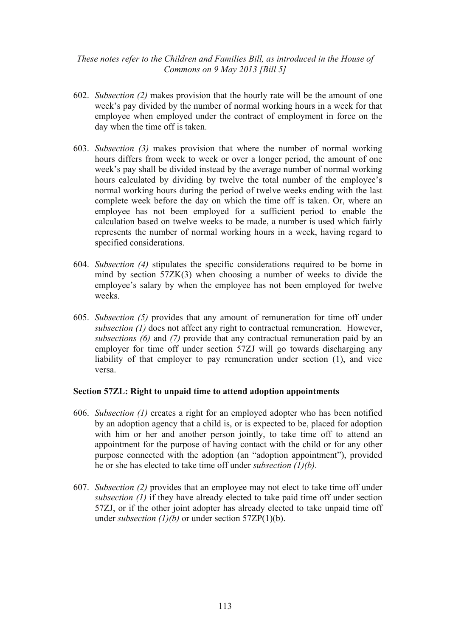- 602. *Subsection (2)* makes provision that the hourly rate will be the amount of one week's pay divided by the number of normal working hours in a week for that employee when employed under the contract of employment in force on the day when the time off is taken.
- 603. *Subsection (3)* makes provision that where the number of normal working hours differs from week to week or over a longer period, the amount of one week's pay shall be divided instead by the average number of normal working hours calculated by dividing by twelve the total number of the employee's normal working hours during the period of twelve weeks ending with the last complete week before the day on which the time off is taken. Or, where an employee has not been employed for a sufficient period to enable the calculation based on twelve weeks to be made, a number is used which fairly represents the number of normal working hours in a week, having regard to specified considerations.
- 604. *Subsection (4)* stipulates the specific considerations required to be borne in mind by section 57ZK(3) when choosing a number of weeks to divide the employee's salary by when the employee has not been employed for twelve weeks.
- 605. *Subsection (5)* provides that any amount of remuneration for time off under *subsection (1)* does not affect any right to contractual remuneration. However, *subsections (6)* and *(7)* provide that any contractual remuneration paid by an employer for time off under section 57ZJ will go towards discharging any liability of that employer to pay remuneration under section (1), and vice versa.

#### **Section 57ZL: Right to unpaid time to attend adoption appointments**

- 606. *Subsection (1)* creates a right for an employed adopter who has been notified by an adoption agency that a child is, or is expected to be, placed for adoption with him or her and another person jointly, to take time off to attend an appointment for the purpose of having contact with the child or for any other purpose connected with the adoption (an "adoption appointment"), provided he or she has elected to take time off under *subsection (1)(b)*.
- 607. *Subsection (2)* provides that an employee may not elect to take time off under *subsection (1)* if they have already elected to take paid time off under section 57ZJ, or if the other joint adopter has already elected to take unpaid time off under *subsection (1)(b)* or under section 57ZP(1)(b).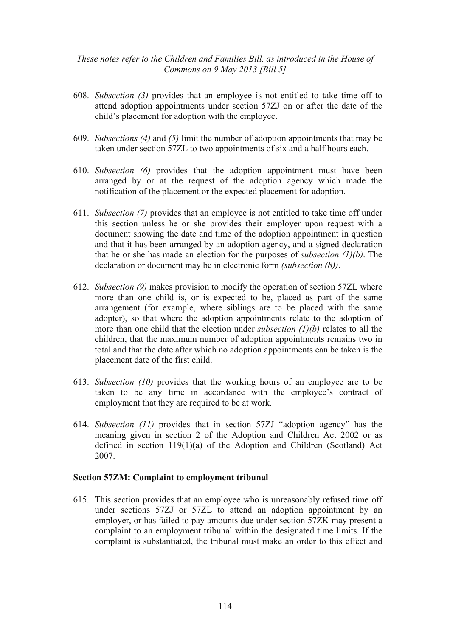- 608. *Subsection (3)* provides that an employee is not entitled to take time off to attend adoption appointments under section 57ZJ on or after the date of the child's placement for adoption with the employee.
- 609. *Subsections (4)* and *(5)* limit the number of adoption appointments that may be taken under section 57ZL to two appointments of six and a half hours each.
- 610. *Subsection (6)* provides that the adoption appointment must have been arranged by or at the request of the adoption agency which made the notification of the placement or the expected placement for adoption.
- 611. *Subsection (7)* provides that an employee is not entitled to take time off under this section unless he or she provides their employer upon request with a document showing the date and time of the adoption appointment in question and that it has been arranged by an adoption agency, and a signed declaration that he or she has made an election for the purposes of *subsection (1)(b)*. The declaration or document may be in electronic form *(subsection (8))*.
- 612. *Subsection (9)* makes provision to modify the operation of section 57ZL where more than one child is, or is expected to be, placed as part of the same arrangement (for example, where siblings are to be placed with the same adopter), so that where the adoption appointments relate to the adoption of more than one child that the election under *subsection (1)(b)* relates to all the children, that the maximum number of adoption appointments remains two in total and that the date after which no adoption appointments can be taken is the placement date of the first child.
- 613. *Subsection (10)* provides that the working hours of an employee are to be taken to be any time in accordance with the employee's contract of employment that they are required to be at work.
- 614. *Subsection (11)* provides that in section 57ZJ "adoption agency" has the meaning given in section 2 of the Adoption and Children Act 2002 or as defined in section 119(1)(a) of the Adoption and Children (Scotland) Act 2007.

#### **Section 57ZM: Complaint to employment tribunal**

615. This section provides that an employee who is unreasonably refused time off under sections 57ZJ or 57ZL to attend an adoption appointment by an employer, or has failed to pay amounts due under section 57ZK may present a complaint to an employment tribunal within the designated time limits. If the complaint is substantiated, the tribunal must make an order to this effect and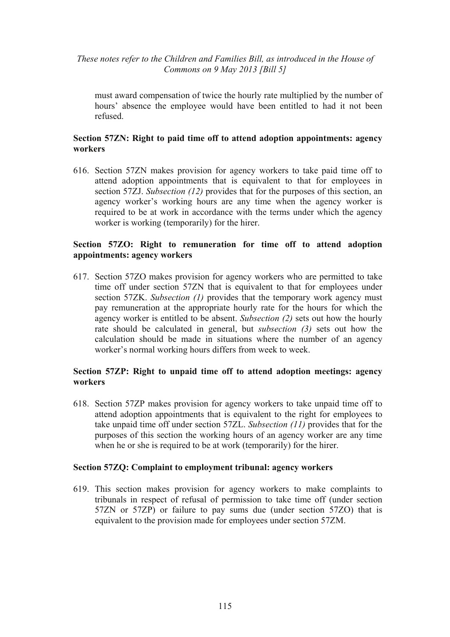must award compensation of twice the hourly rate multiplied by the number of hours' absence the employee would have been entitled to had it not been refused.

#### **Section 57ZN: Right to paid time off to attend adoption appointments: agency workers**

616. Section 57ZN makes provision for agency workers to take paid time off to attend adoption appointments that is equivalent to that for employees in section 57ZJ. *Subsection (12)* provides that for the purposes of this section, an agency worker's working hours are any time when the agency worker is required to be at work in accordance with the terms under which the agency worker is working (temporarily) for the hirer.

## **Section 57ZO: Right to remuneration for time off to attend adoption appointments: agency workers**

617. Section 57ZO makes provision for agency workers who are permitted to take time off under section 57ZN that is equivalent to that for employees under section 57ZK. *Subsection (1)* provides that the temporary work agency must pay remuneration at the appropriate hourly rate for the hours for which the agency worker is entitled to be absent. *Subsection (2)* sets out how the hourly rate should be calculated in general, but *subsection (3)* sets out how the calculation should be made in situations where the number of an agency worker's normal working hours differs from week to week.

#### **Section 57ZP: Right to unpaid time off to attend adoption meetings: agency workers**

618. Section 57ZP makes provision for agency workers to take unpaid time off to attend adoption appointments that is equivalent to the right for employees to take unpaid time off under section 57ZL. *Subsection (11)* provides that for the purposes of this section the working hours of an agency worker are any time when he or she is required to be at work (temporarily) for the hirer.

#### **Section 57ZQ: Complaint to employment tribunal: agency workers**

619. This section makes provision for agency workers to make complaints to tribunals in respect of refusal of permission to take time off (under section 57ZN or 57ZP) or failure to pay sums due (under section 57ZO) that is equivalent to the provision made for employees under section 57ZM.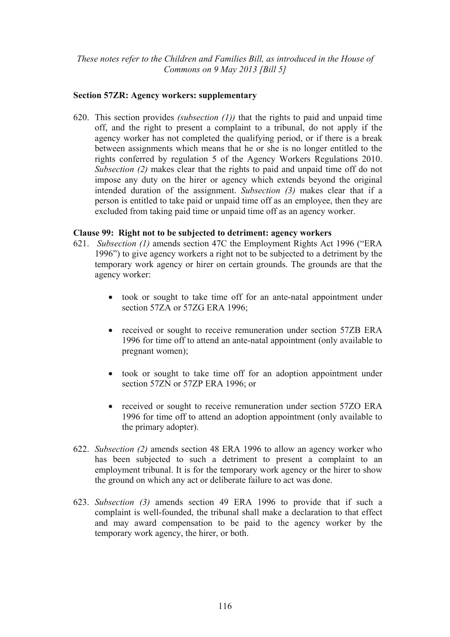#### **Section 57ZR: Agency workers: supplementary**

620. This section provides *(subsection (1))* that the rights to paid and unpaid time off, and the right to present a complaint to a tribunal, do not apply if the agency worker has not completed the qualifying period, or if there is a break between assignments which means that he or she is no longer entitled to the rights conferred by regulation 5 of the Agency Workers Regulations 2010. *Subsection (2)* makes clear that the rights to paid and unpaid time off do not impose any duty on the hirer or agency which extends beyond the original intended duration of the assignment. *Subsection (3)* makes clear that if a person is entitled to take paid or unpaid time off as an employee, then they are excluded from taking paid time or unpaid time off as an agency worker.

#### **Clause 99: Right not to be subjected to detriment: agency workers**

- 621. *Subsection (1)* amends section 47C the Employment Rights Act 1996 ("ERA 1996") to give agency workers a right not to be subjected to a detriment by the temporary work agency or hirer on certain grounds. The grounds are that the agency worker:
	- took or sought to take time off for an ante-natal appointment under section 57ZA or 57ZG ERA 1996;
	- received or sought to receive remuneration under section 57ZB ERA 1996 for time off to attend an ante-natal appointment (only available to pregnant women);
	- took or sought to take time off for an adoption appointment under section 57ZN or 57ZP ERA 1996; or
	- received or sought to receive remuneration under section 57ZO ERA 1996 for time off to attend an adoption appointment (only available to the primary adopter).
- 622. *Subsection (2)* amends section 48 ERA 1996 to allow an agency worker who has been subjected to such a detriment to present a complaint to an employment tribunal. It is for the temporary work agency or the hirer to show the ground on which any act or deliberate failure to act was done.
- 623. *Subsection (3)* amends section 49 ERA 1996 to provide that if such a complaint is well-founded, the tribunal shall make a declaration to that effect and may award compensation to be paid to the agency worker by the temporary work agency, the hirer, or both.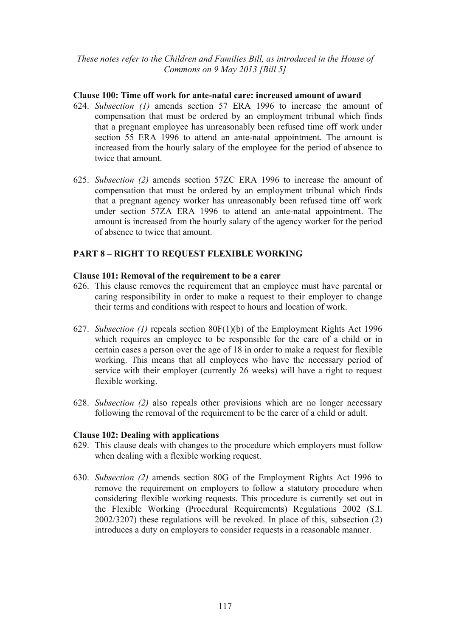#### **Clause 100: Time off work for ante-natal care: increased amount of award**

- 624. *Subsection (1)* amends section 57 ERA 1996 to increase the amount of compensation that must be ordered by an employment tribunal which finds that a pregnant employee has unreasonably been refused time off work under section 55 ERA 1996 to attend an ante-natal appointment. The amount is increased from the hourly salary of the employee for the period of absence to twice that amount.
- 625. *Subsection (2)* amends section 57ZC ERA 1996 to increase the amount of compensation that must be ordered by an employment tribunal which finds that a pregnant agency worker has unreasonably been refused time off work under section 57ZA ERA 1996 to attend an ante-natal appointment. The amount is increased from the hourly salary of the agency worker for the period of absence to twice that amount.

# **PART 8 – RIGHT TO REQUEST FLEXIBLE WORKING**

## **Clause 101: Removal of the requirement to be a carer**

- 626. This clause removes the requirement that an employee must have parental or caring responsibility in order to make a request to their employer to change their terms and conditions with respect to hours and location of work.
- 627. *Subsection (1)* repeals section 80F(1)(b) of the Employment Rights Act 1996 which requires an employee to be responsible for the care of a child or in certain cases a person over the age of 18 in order to make a request for flexible working. This means that all employees who have the necessary period of service with their employer (currently 26 weeks) will have a right to request flexible working.
- 628. *Subsection (2)* also repeals other provisions which are no longer necessary following the removal of the requirement to be the carer of a child or adult.

#### **Clause 102: Dealing with applications**

- 629. This clause deals with changes to the procedure which employers must follow when dealing with a flexible working request.
- 630. *Subsection (2)* amends section 80G of the Employment Rights Act 1996 to remove the requirement on employers to follow a statutory procedure when considering flexible working requests. This procedure is currently set out in the Flexible Working (Procedural Requirements) Regulations 2002 (S.I. 2002/3207) these regulations will be revoked. In place of this, subsection (2) introduces a duty on employers to consider requests in a reasonable manner.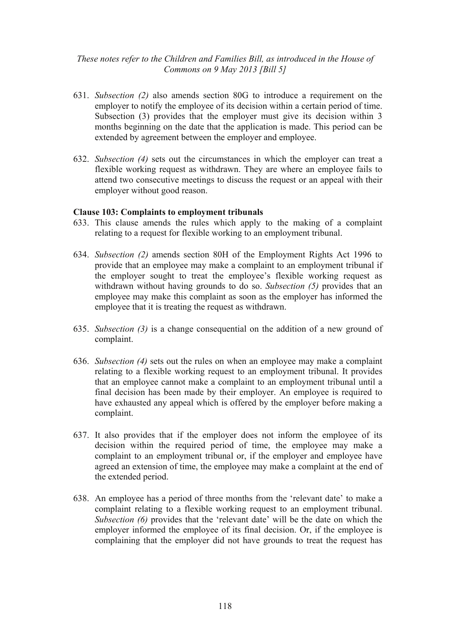- 631. *Subsection (2)* also amends section 80G to introduce a requirement on the employer to notify the employee of its decision within a certain period of time. Subsection (3) provides that the employer must give its decision within 3 months beginning on the date that the application is made. This period can be extended by agreement between the employer and employee.
- 632. *Subsection (4)* sets out the circumstances in which the employer can treat a flexible working request as withdrawn. They are where an employee fails to attend two consecutive meetings to discuss the request or an appeal with their employer without good reason.

#### **Clause 103: Complaints to employment tribunals**

- 633. This clause amends the rules which apply to the making of a complaint relating to a request for flexible working to an employment tribunal.
- 634. *Subsection (2)* amends section 80H of the Employment Rights Act 1996 to provide that an employee may make a complaint to an employment tribunal if the employer sought to treat the employee's flexible working request as withdrawn without having grounds to do so. *Subsection (5)* provides that an employee may make this complaint as soon as the employer has informed the employee that it is treating the request as withdrawn.
- 635. *Subsection (3)* is a change consequential on the addition of a new ground of complaint.
- 636. *Subsection (4)* sets out the rules on when an employee may make a complaint relating to a flexible working request to an employment tribunal. It provides that an employee cannot make a complaint to an employment tribunal until a final decision has been made by their employer. An employee is required to have exhausted any appeal which is offered by the employer before making a complaint.
- 637. It also provides that if the employer does not inform the employee of its decision within the required period of time, the employee may make a complaint to an employment tribunal or, if the employer and employee have agreed an extension of time, the employee may make a complaint at the end of the extended period.
- 638. An employee has a period of three months from the 'relevant date' to make a complaint relating to a flexible working request to an employment tribunal. *Subsection (6)* provides that the 'relevant date' will be the date on which the employer informed the employee of its final decision. Or, if the employee is complaining that the employer did not have grounds to treat the request has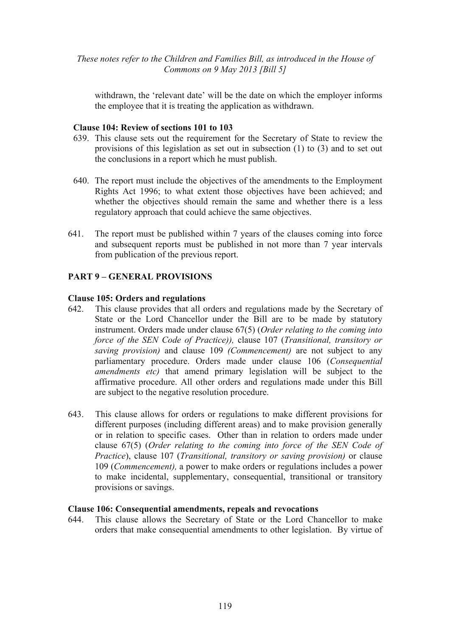withdrawn, the 'relevant date' will be the date on which the employer informs the employee that it is treating the application as withdrawn.

#### **Clause 104: Review of sections 101 to 103**

- 639. This clause sets out the requirement for the Secretary of State to review the provisions of this legislation as set out in subsection (1) to (3) and to set out the conclusions in a report which he must publish.
- 640. The report must include the objectives of the amendments to the Employment Rights Act 1996; to what extent those objectives have been achieved; and whether the objectives should remain the same and whether there is a less regulatory approach that could achieve the same objectives.
- 641. The report must be published within 7 years of the clauses coming into force and subsequent reports must be published in not more than 7 year intervals from publication of the previous report.

#### **PART 9 – GENERAL PROVISIONS**

#### **Clause 105: Orders and regulations**

- 642. This clause provides that all orders and regulations made by the Secretary of State or the Lord Chancellor under the Bill are to be made by statutory instrument. Orders made under clause 67(5) (*Order relating to the coming into force of the SEN Code of Practice)),* clause 107 (*Transitional, transitory or saving provision)* and clause 109 *(Commencement)* are not subject to any parliamentary procedure. Orders made under clause 106 (*Consequential amendments etc)* that amend primary legislation will be subject to the affirmative procedure. All other orders and regulations made under this Bill are subject to the negative resolution procedure.
- 643. This clause allows for orders or regulations to make different provisions for different purposes (including different areas) and to make provision generally or in relation to specific cases. Other than in relation to orders made under clause 67(5) (*Order relating to the coming into force of the SEN Code of Practice*), clause 107 (*Transitional, transitory or saving provision)* or clause 109 (*Commencement),* a power to make orders or regulations includes a power to make incidental, supplementary, consequential, transitional or transitory provisions or savings.

#### **Clause 106: Consequential amendments, repeals and revocations**

644. This clause allows the Secretary of State or the Lord Chancellor to make orders that make consequential amendments to other legislation. By virtue of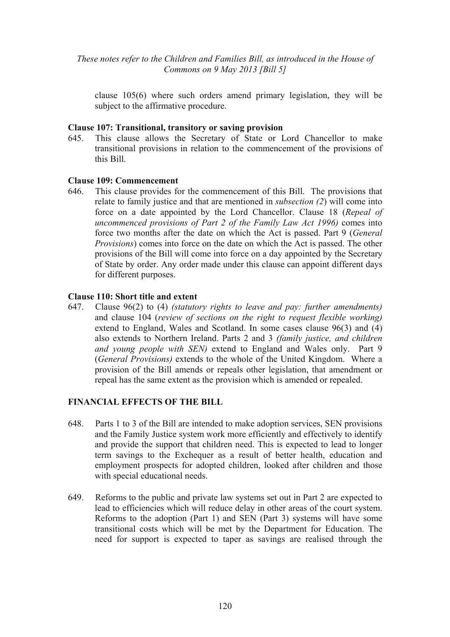clause 105(6) where such orders amend primary legislation, they will be subject to the affirmative procedure.

#### **Clause 107: Transitional, transitory or saving provision**

645. This clause allows the Secretary of State or Lord Chancellor to make transitional provisions in relation to the commencement of the provisions of this Bill.

#### **Clause 109: Commencement**

646. This clause provides for the commencement of this Bill. The provisions that relate to family justice and that are mentioned in *subsection (2*) will come into force on a date appointed by the Lord Chancellor. Clause 18 (*Repeal of uncommenced provisions of Part 2 of the Family Law Act 1996)* comes into force two months after the date on which the Act is passed. Part 9 (*General Provisions*) comes into force on the date on which the Act is passed. The other provisions of the Bill will come into force on a day appointed by the Secretary of State by order. Any order made under this clause can appoint different days for different purposes.

#### **Clause 110: Short title and extent**

647. Clause 96(2) to (4) *(statutory rights to leave and pay: further amendments)*  and clause 104 (*review of sections on the right to request flexible working)* extend to England, Wales and Scotland. In some cases clause 96(3) and (4) also extends to Northern Ireland. Parts 2 and 3 *(family justice, and children and young people with SEN)* extend to England and Wales only. Part 9 (*General Provisions)* extends to the whole of the United Kingdom. Where a provision of the Bill amends or repeals other legislation, that amendment or repeal has the same extent as the provision which is amended or repealed.

#### **FINANCIAL EFFECTS OF THE BILL**

- 648. Parts 1 to 3 of the Bill are intended to make adoption services, SEN provisions and the Family Justice system work more efficiently and effectively to identify and provide the support that children need. This is expected to lead to longer term savings to the Exchequer as a result of better health, education and employment prospects for adopted children, looked after children and those with special educational needs.
- 649. Reforms to the public and private law systems set out in Part 2 are expected to lead to efficiencies which will reduce delay in other areas of the court system. Reforms to the adoption (Part 1) and SEN (Part 3) systems will have some transitional costs which will be met by the Department for Education. The need for support is expected to taper as savings are realised through the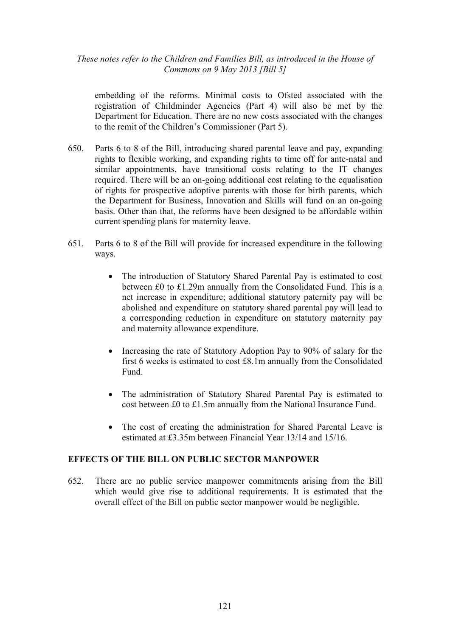embedding of the reforms. Minimal costs to Ofsted associated with the registration of Childminder Agencies (Part 4) will also be met by the Department for Education. There are no new costs associated with the changes to the remit of the Children's Commissioner (Part 5).

- 650. Parts 6 to 8 of the Bill, introducing shared parental leave and pay, expanding rights to flexible working, and expanding rights to time off for ante-natal and similar appointments, have transitional costs relating to the IT changes required. There will be an on-going additional cost relating to the equalisation of rights for prospective adoptive parents with those for birth parents, which the Department for Business, Innovation and Skills will fund on an on-going basis. Other than that, the reforms have been designed to be affordable within current spending plans for maternity leave.
- 651. Parts 6 to 8 of the Bill will provide for increased expenditure in the following ways.
	- The introduction of Statutory Shared Parental Pay is estimated to cost between £0 to £1.29m annually from the Consolidated Fund. This is a net increase in expenditure; additional statutory paternity pay will be abolished and expenditure on statutory shared parental pay will lead to a corresponding reduction in expenditure on statutory maternity pay and maternity allowance expenditure.
	- Increasing the rate of Statutory Adoption Pay to 90% of salary for the first 6 weeks is estimated to cost £8.1m annually from the Consolidated Fund.
	- The administration of Statutory Shared Parental Pay is estimated to cost between £0 to £1.5m annually from the National Insurance Fund.
	- The cost of creating the administration for Shared Parental Leave is estimated at £3.35m between Financial Year 13/14 and 15/16.

#### **EFFECTS OF THE BILL ON PUBLIC SECTOR MANPOWER**

652. There are no public service manpower commitments arising from the Bill which would give rise to additional requirements. It is estimated that the overall effect of the Bill on public sector manpower would be negligible.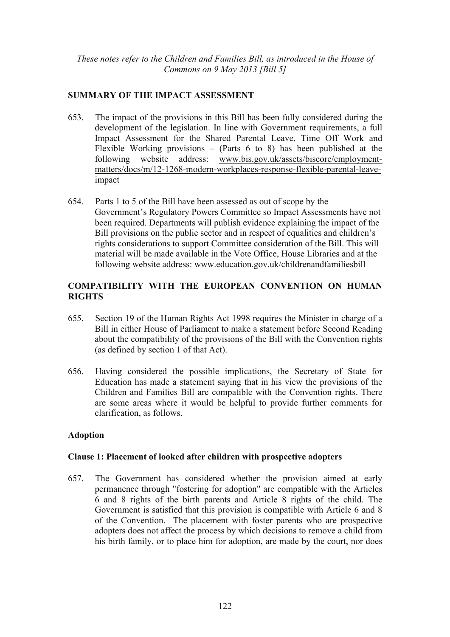## **SUMMARY OF THE IMPACT ASSESSMENT**

- 653. The impact of the provisions in this Bill has been fully considered during the development of the legislation. In line with Government requirements, a full Impact Assessment for the Shared Parental Leave, Time Off Work and Flexible Working provisions – (Parts 6 to 8) has been published at the following website address: www.bis.gov.uk/assets/biscore/employmentmatters/docs/m/12-1268-modern-workplaces-response-flexible-parental-leaveimpact
- 654. Parts 1 to 5 of the Bill have been assessed as out of scope by the Government's Regulatory Powers Committee so Impact Assessments have not been required. Departments will publish evidence explaining the impact of the Bill provisions on the public sector and in respect of equalities and children's rights considerations to support Committee consideration of the Bill. This will material will be made available in the Vote Office, House Libraries and at the following website address: www.education.gov.uk/childrenandfamiliesbill

# **COMPATIBILITY WITH THE EUROPEAN CONVENTION ON HUMAN RIGHTS**

- 655. Section 19 of the Human Rights Act 1998 requires the Minister in charge of a Bill in either House of Parliament to make a statement before Second Reading about the compatibility of the provisions of the Bill with the Convention rights (as defined by section 1 of that Act).
- 656. Having considered the possible implications, the Secretary of State for Education has made a statement saying that in his view the provisions of the Children and Families Bill are compatible with the Convention rights. There are some areas where it would be helpful to provide further comments for clarification, as follows.

## **Adoption**

## **Clause 1: Placement of looked after children with prospective adopters**

657. The Government has considered whether the provision aimed at early permanence through "fostering for adoption" are compatible with the Articles 6 and 8 rights of the birth parents and Article 8 rights of the child. The Government is satisfied that this provision is compatible with Article 6 and 8 of the Convention. The placement with foster parents who are prospective adopters does not affect the process by which decisions to remove a child from his birth family, or to place him for adoption, are made by the court, nor does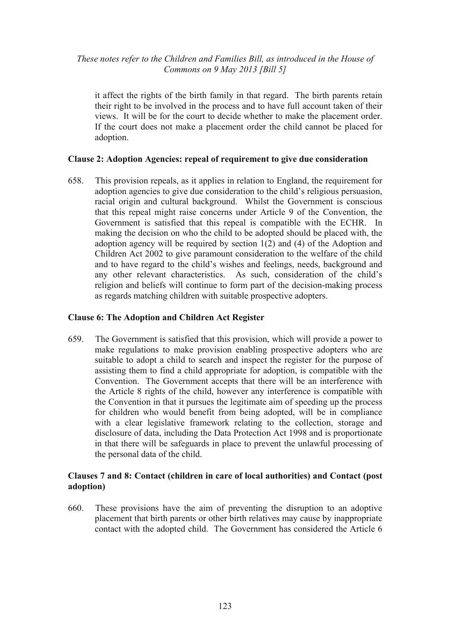it affect the rights of the birth family in that regard. The birth parents retain their right to be involved in the process and to have full account taken of their views. It will be for the court to decide whether to make the placement order. If the court does not make a placement order the child cannot be placed for adoption.

## **Clause 2: Adoption Agencies: repeal of requirement to give due consideration**

658. This provision repeals, as it applies in relation to England, the requirement for adoption agencies to give due consideration to the child's religious persuasion, racial origin and cultural background. Whilst the Government is conscious that this repeal might raise concerns under Article 9 of the Convention, the Government is satisfied that this repeal is compatible with the ECHR. In making the decision on who the child to be adopted should be placed with, the adoption agency will be required by section 1(2) and (4) of the Adoption and Children Act 2002 to give paramount consideration to the welfare of the child and to have regard to the child's wishes and feelings, needs, background and any other relevant characteristics. As such, consideration of the child's religion and beliefs will continue to form part of the decision-making process as regards matching children with suitable prospective adopters.

## **Clause 6: The Adoption and Children Act Register**

659. The Government is satisfied that this provision, which will provide a power to make regulations to make provision enabling prospective adopters who are suitable to adopt a child to search and inspect the register for the purpose of assisting them to find a child appropriate for adoption, is compatible with the Convention. The Government accepts that there will be an interference with the Article 8 rights of the child, however any interference is compatible with the Convention in that it pursues the legitimate aim of speeding up the process for children who would benefit from being adopted, will be in compliance with a clear legislative framework relating to the collection, storage and disclosure of data, including the Data Protection Act 1998 and is proportionate in that there will be safeguards in place to prevent the unlawful processing of the personal data of the child.

## **Clauses 7 and 8: Contact (children in care of local authorities) and Contact (post adoption)**

660. These provisions have the aim of preventing the disruption to an adoptive placement that birth parents or other birth relatives may cause by inappropriate contact with the adopted child. The Government has considered the Article 6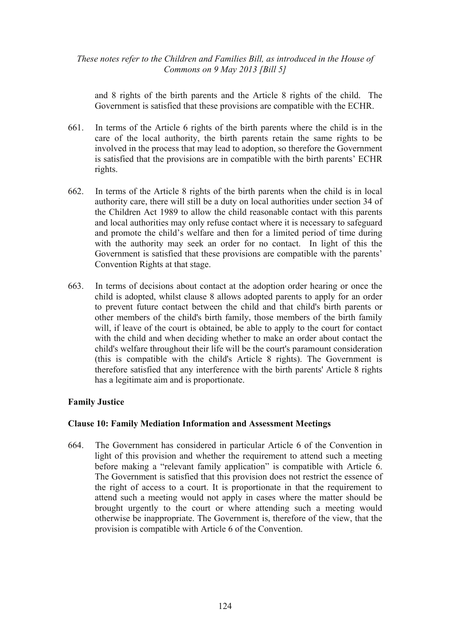and 8 rights of the birth parents and the Article 8 rights of the child. The Government is satisfied that these provisions are compatible with the ECHR.

- 661. In terms of the Article 6 rights of the birth parents where the child is in the care of the local authority, the birth parents retain the same rights to be involved in the process that may lead to adoption, so therefore the Government is satisfied that the provisions are in compatible with the birth parents' ECHR rights.
- 662. In terms of the Article 8 rights of the birth parents when the child is in local authority care, there will still be a duty on local authorities under section 34 of the Children Act 1989 to allow the child reasonable contact with this parents and local authorities may only refuse contact where it is necessary to safeguard and promote the child's welfare and then for a limited period of time during with the authority may seek an order for no contact. In light of this the Government is satisfied that these provisions are compatible with the parents' Convention Rights at that stage.
- 663. In terms of decisions about contact at the adoption order hearing or once the child is adopted, whilst clause 8 allows adopted parents to apply for an order to prevent future contact between the child and that child's birth parents or other members of the child's birth family, those members of the birth family will, if leave of the court is obtained, be able to apply to the court for contact with the child and when deciding whether to make an order about contact the child's welfare throughout their life will be the court's paramount consideration (this is compatible with the child's Article 8 rights). The Government is therefore satisfied that any interference with the birth parents' Article 8 rights has a legitimate aim and is proportionate.

## **Family Justice**

## **Clause 10: Family Mediation Information and Assessment Meetings**

664. The Government has considered in particular Article 6 of the Convention in light of this provision and whether the requirement to attend such a meeting before making a "relevant family application" is compatible with Article 6. The Government is satisfied that this provision does not restrict the essence of the right of access to a court. It is proportionate in that the requirement to attend such a meeting would not apply in cases where the matter should be brought urgently to the court or where attending such a meeting would otherwise be inappropriate. The Government is, therefore of the view, that the provision is compatible with Article 6 of the Convention.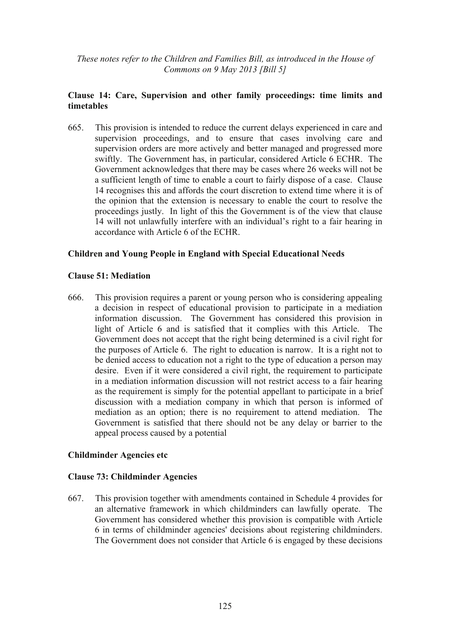## **Clause 14: Care, Supervision and other family proceedings: time limits and timetables**

665. This provision is intended to reduce the current delays experienced in care and supervision proceedings, and to ensure that cases involving care and supervision orders are more actively and better managed and progressed more swiftly. The Government has, in particular, considered Article 6 ECHR. The Government acknowledges that there may be cases where 26 weeks will not be a sufficient length of time to enable a court to fairly dispose of a case. Clause 14 recognises this and affords the court discretion to extend time where it is of the opinion that the extension is necessary to enable the court to resolve the proceedings justly. In light of this the Government is of the view that clause 14 will not unlawfully interfere with an individual's right to a fair hearing in accordance with Article 6 of the ECHR.

## **Children and Young People in England with Special Educational Needs**

#### **Clause 51: Mediation**

666. This provision requires a parent or young person who is considering appealing a decision in respect of educational provision to participate in a mediation information discussion. The Government has considered this provision in light of Article 6 and is satisfied that it complies with this Article. The Government does not accept that the right being determined is a civil right for the purposes of Article 6. The right to education is narrow. It is a right not to be denied access to education not a right to the type of education a person may desire. Even if it were considered a civil right, the requirement to participate in a mediation information discussion will not restrict access to a fair hearing as the requirement is simply for the potential appellant to participate in a brief discussion with a mediation company in which that person is informed of mediation as an option; there is no requirement to attend mediation. The Government is satisfied that there should not be any delay or barrier to the appeal process caused by a potential

## **Childminder Agencies etc**

#### **Clause 73: Childminder Agencies**

667. This provision together with amendments contained in Schedule 4 provides for an alternative framework in which childminders can lawfully operate. The Government has considered whether this provision is compatible with Article 6 in terms of childminder agencies' decisions about registering childminders. The Government does not consider that Article 6 is engaged by these decisions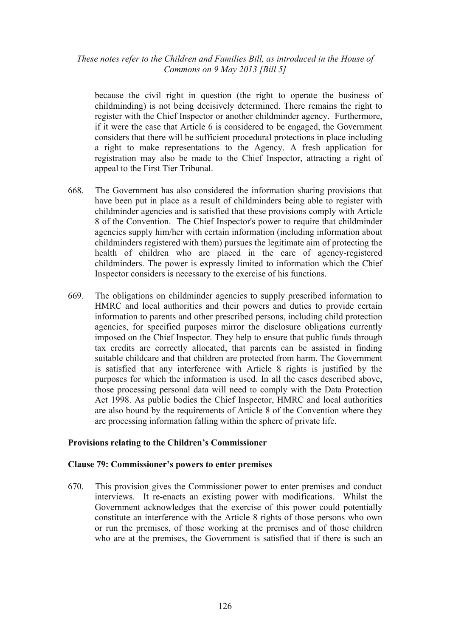because the civil right in question (the right to operate the business of childminding) is not being decisively determined. There remains the right to register with the Chief Inspector or another childminder agency. Furthermore, if it were the case that Article 6 is considered to be engaged, the Government considers that there will be sufficient procedural protections in place including a right to make representations to the Agency. A fresh application for registration may also be made to the Chief Inspector, attracting a right of appeal to the First Tier Tribunal.

- 668. The Government has also considered the information sharing provisions that have been put in place as a result of childminders being able to register with childminder agencies and is satisfied that these provisions comply with Article 8 of the Convention. The Chief Inspector's power to require that childminder agencies supply him/her with certain information (including information about childminders registered with them) pursues the legitimate aim of protecting the health of children who are placed in the care of agency-registered childminders. The power is expressly limited to information which the Chief Inspector considers is necessary to the exercise of his functions.
- 669. The obligations on childminder agencies to supply prescribed information to HMRC and local authorities and their powers and duties to provide certain information to parents and other prescribed persons, including child protection agencies, for specified purposes mirror the disclosure obligations currently imposed on the Chief Inspector. They help to ensure that public funds through tax credits are correctly allocated, that parents can be assisted in finding suitable childcare and that children are protected from harm. The Government is satisfied that any interference with Article 8 rights is justified by the purposes for which the information is used. In all the cases described above, those processing personal data will need to comply with the Data Protection Act 1998. As public bodies the Chief Inspector, HMRC and local authorities are also bound by the requirements of Article 8 of the Convention where they are processing information falling within the sphere of private life.

#### **Provisions relating to the Children's Commissioner**

#### **Clause 79: Commissioner's powers to enter premises**

670. This provision gives the Commissioner power to enter premises and conduct interviews. It re-enacts an existing power with modifications. Whilst the Government acknowledges that the exercise of this power could potentially constitute an interference with the Article 8 rights of those persons who own or run the premises, of those working at the premises and of those children who are at the premises, the Government is satisfied that if there is such an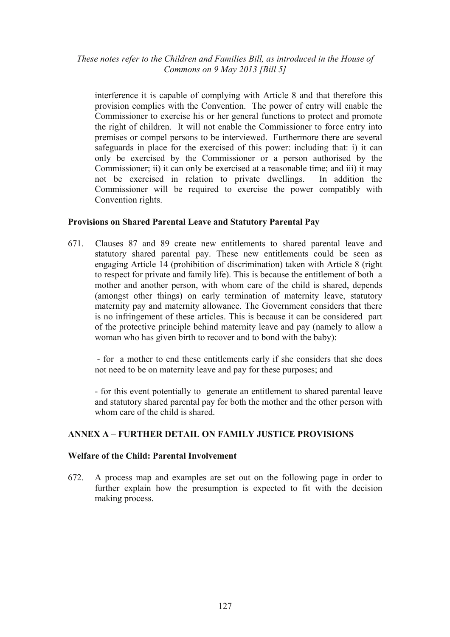interference it is capable of complying with Article 8 and that therefore this provision complies with the Convention. The power of entry will enable the Commissioner to exercise his or her general functions to protect and promote the right of children. It will not enable the Commissioner to force entry into premises or compel persons to be interviewed. Furthermore there are several safeguards in place for the exercised of this power: including that: i) it can only be exercised by the Commissioner or a person authorised by the Commissioner; ii) it can only be exercised at a reasonable time; and iii) it may not be exercised in relation to private dwellings. In addition the Commissioner will be required to exercise the power compatibly with Convention rights.

## **Provisions on Shared Parental Leave and Statutory Parental Pay**

671. Clauses 87 and 89 create new entitlements to shared parental leave and statutory shared parental pay. These new entitlements could be seen as engaging Article 14 (prohibition of discrimination) taken with Article 8 (right to respect for private and family life). This is because the entitlement of both a mother and another person, with whom care of the child is shared, depends (amongst other things) on early termination of maternity leave, statutory maternity pay and maternity allowance. The Government considers that there is no infringement of these articles. This is because it can be considered part of the protective principle behind maternity leave and pay (namely to allow a woman who has given birth to recover and to bond with the baby):

 - for a mother to end these entitlements early if she considers that she does not need to be on maternity leave and pay for these purposes; and

- for this event potentially to generate an entitlement to shared parental leave and statutory shared parental pay for both the mother and the other person with whom care of the child is shared.

## **ANNEX A – FURTHER DETAIL ON FAMILY JUSTICE PROVISIONS**

#### **Welfare of the Child: Parental Involvement**

672. A process map and examples are set out on the following page in order to further explain how the presumption is expected to fit with the decision making process.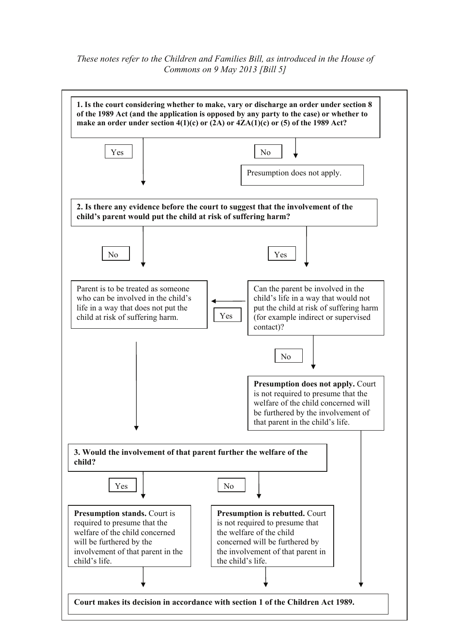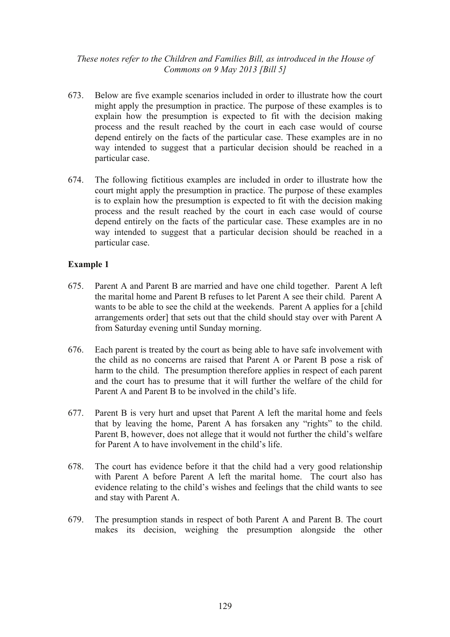- 673. Below are five example scenarios included in order to illustrate how the court might apply the presumption in practice. The purpose of these examples is to explain how the presumption is expected to fit with the decision making process and the result reached by the court in each case would of course depend entirely on the facts of the particular case. These examples are in no way intended to suggest that a particular decision should be reached in a particular case.
- 674. The following fictitious examples are included in order to illustrate how the court might apply the presumption in practice. The purpose of these examples is to explain how the presumption is expected to fit with the decision making process and the result reached by the court in each case would of course depend entirely on the facts of the particular case. These examples are in no way intended to suggest that a particular decision should be reached in a particular case.

- 675. Parent A and Parent B are married and have one child together. Parent A left the marital home and Parent B refuses to let Parent A see their child. Parent A wants to be able to see the child at the weekends. Parent A applies for a [child arrangements order] that sets out that the child should stay over with Parent A from Saturday evening until Sunday morning.
- 676. Each parent is treated by the court as being able to have safe involvement with the child as no concerns are raised that Parent A or Parent B pose a risk of harm to the child. The presumption therefore applies in respect of each parent and the court has to presume that it will further the welfare of the child for Parent A and Parent B to be involved in the child's life.
- 677. Parent B is very hurt and upset that Parent A left the marital home and feels that by leaving the home, Parent A has forsaken any "rights" to the child. Parent B, however, does not allege that it would not further the child's welfare for Parent A to have involvement in the child's life.
- 678. The court has evidence before it that the child had a very good relationship with Parent A before Parent A left the marital home. The court also has evidence relating to the child's wishes and feelings that the child wants to see and stay with Parent A.
- 679. The presumption stands in respect of both Parent A and Parent B. The court makes its decision, weighing the presumption alongside the other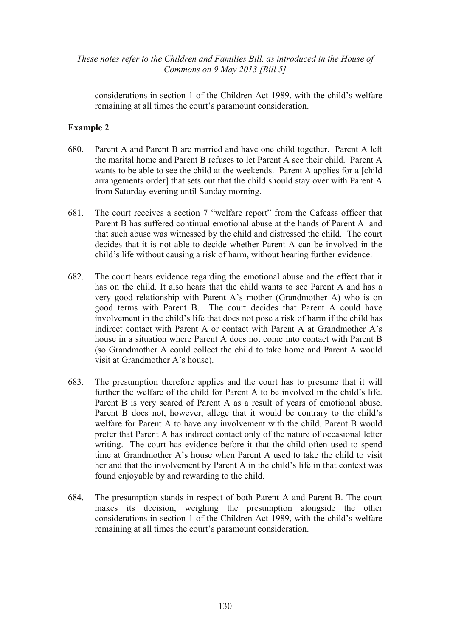considerations in section 1 of the Children Act 1989, with the child's welfare remaining at all times the court's paramount consideration.

- 680. Parent A and Parent B are married and have one child together. Parent A left the marital home and Parent B refuses to let Parent A see their child. Parent A wants to be able to see the child at the weekends. Parent A applies for a [child arrangements order] that sets out that the child should stay over with Parent A from Saturday evening until Sunday morning.
- 681. The court receives a section 7 "welfare report" from the Cafcass officer that Parent B has suffered continual emotional abuse at the hands of Parent A and that such abuse was witnessed by the child and distressed the child. The court decides that it is not able to decide whether Parent A can be involved in the child's life without causing a risk of harm, without hearing further evidence.
- 682. The court hears evidence regarding the emotional abuse and the effect that it has on the child. It also hears that the child wants to see Parent A and has a very good relationship with Parent A's mother (Grandmother A) who is on good terms with Parent B. The court decides that Parent A could have involvement in the child's life that does not pose a risk of harm if the child has indirect contact with Parent A or contact with Parent A at Grandmother A's house in a situation where Parent A does not come into contact with Parent B (so Grandmother A could collect the child to take home and Parent A would visit at Grandmother A's house).
- 683. The presumption therefore applies and the court has to presume that it will further the welfare of the child for Parent A to be involved in the child's life. Parent B is very scared of Parent A as a result of years of emotional abuse. Parent B does not, however, allege that it would be contrary to the child's welfare for Parent A to have any involvement with the child. Parent B would prefer that Parent A has indirect contact only of the nature of occasional letter writing. The court has evidence before it that the child often used to spend time at Grandmother A's house when Parent A used to take the child to visit her and that the involvement by Parent A in the child's life in that context was found enjoyable by and rewarding to the child.
- 684. The presumption stands in respect of both Parent A and Parent B. The court makes its decision, weighing the presumption alongside the other considerations in section 1 of the Children Act 1989, with the child's welfare remaining at all times the court's paramount consideration.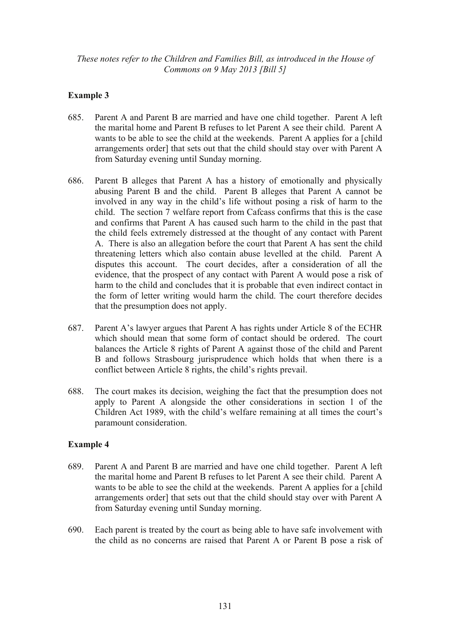# **Example 3**

- 685. Parent A and Parent B are married and have one child together. Parent A left the marital home and Parent B refuses to let Parent A see their child. Parent A wants to be able to see the child at the weekends. Parent A applies for a [child arrangements order] that sets out that the child should stay over with Parent A from Saturday evening until Sunday morning.
- 686. Parent B alleges that Parent A has a history of emotionally and physically abusing Parent B and the child. Parent B alleges that Parent A cannot be involved in any way in the child's life without posing a risk of harm to the child. The section 7 welfare report from Cafcass confirms that this is the case and confirms that Parent A has caused such harm to the child in the past that the child feels extremely distressed at the thought of any contact with Parent A. There is also an allegation before the court that Parent A has sent the child threatening letters which also contain abuse levelled at the child. Parent A disputes this account. The court decides, after a consideration of all the evidence, that the prospect of any contact with Parent A would pose a risk of harm to the child and concludes that it is probable that even indirect contact in the form of letter writing would harm the child. The court therefore decides that the presumption does not apply.
- 687. Parent A's lawyer argues that Parent A has rights under Article 8 of the ECHR which should mean that some form of contact should be ordered. The court balances the Article 8 rights of Parent A against those of the child and Parent B and follows Strasbourg jurisprudence which holds that when there is a conflict between Article 8 rights, the child's rights prevail.
- 688. The court makes its decision, weighing the fact that the presumption does not apply to Parent A alongside the other considerations in section 1 of the Children Act 1989, with the child's welfare remaining at all times the court's paramount consideration.

- 689. Parent A and Parent B are married and have one child together. Parent A left the marital home and Parent B refuses to let Parent A see their child. Parent A wants to be able to see the child at the weekends. Parent A applies for a [child arrangements order] that sets out that the child should stay over with Parent A from Saturday evening until Sunday morning.
- 690. Each parent is treated by the court as being able to have safe involvement with the child as no concerns are raised that Parent A or Parent B pose a risk of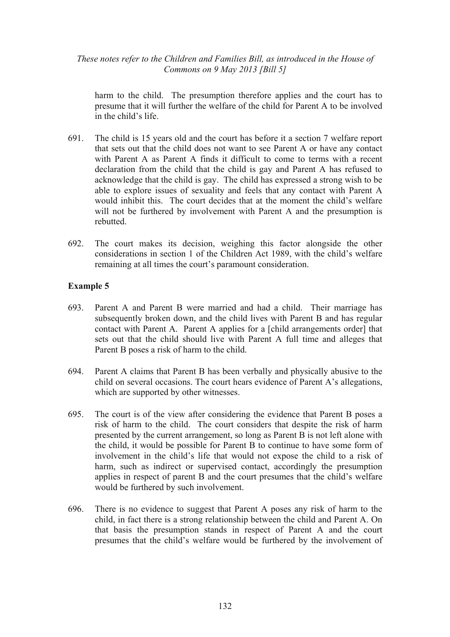harm to the child. The presumption therefore applies and the court has to presume that it will further the welfare of the child for Parent A to be involved in the child's life.

- 691. The child is 15 years old and the court has before it a section 7 welfare report that sets out that the child does not want to see Parent A or have any contact with Parent A as Parent A finds it difficult to come to terms with a recent declaration from the child that the child is gay and Parent A has refused to acknowledge that the child is gay. The child has expressed a strong wish to be able to explore issues of sexuality and feels that any contact with Parent A would inhibit this. The court decides that at the moment the child's welfare will not be furthered by involvement with Parent A and the presumption is rebutted.
- 692. The court makes its decision, weighing this factor alongside the other considerations in section 1 of the Children Act 1989, with the child's welfare remaining at all times the court's paramount consideration.

- 693. Parent A and Parent B were married and had a child. Their marriage has subsequently broken down, and the child lives with Parent B and has regular contact with Parent A. Parent A applies for a [child arrangements order] that sets out that the child should live with Parent A full time and alleges that Parent B poses a risk of harm to the child.
- 694. Parent A claims that Parent B has been verbally and physically abusive to the child on several occasions. The court hears evidence of Parent A's allegations, which are supported by other witnesses.
- 695. The court is of the view after considering the evidence that Parent B poses a risk of harm to the child. The court considers that despite the risk of harm presented by the current arrangement, so long as Parent B is not left alone with the child, it would be possible for Parent B to continue to have some form of involvement in the child's life that would not expose the child to a risk of harm, such as indirect or supervised contact, accordingly the presumption applies in respect of parent B and the court presumes that the child's welfare would be furthered by such involvement.
- 696. There is no evidence to suggest that Parent A poses any risk of harm to the child, in fact there is a strong relationship between the child and Parent A. On that basis the presumption stands in respect of Parent A and the court presumes that the child's welfare would be furthered by the involvement of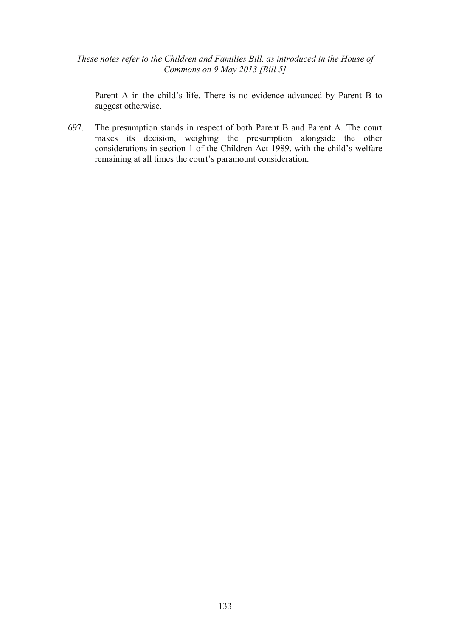Parent A in the child's life. There is no evidence advanced by Parent B to suggest otherwise.

697. The presumption stands in respect of both Parent B and Parent A. The court makes its decision, weighing the presumption alongside the other considerations in section 1 of the Children Act 1989, with the child's welfare remaining at all times the court's paramount consideration.